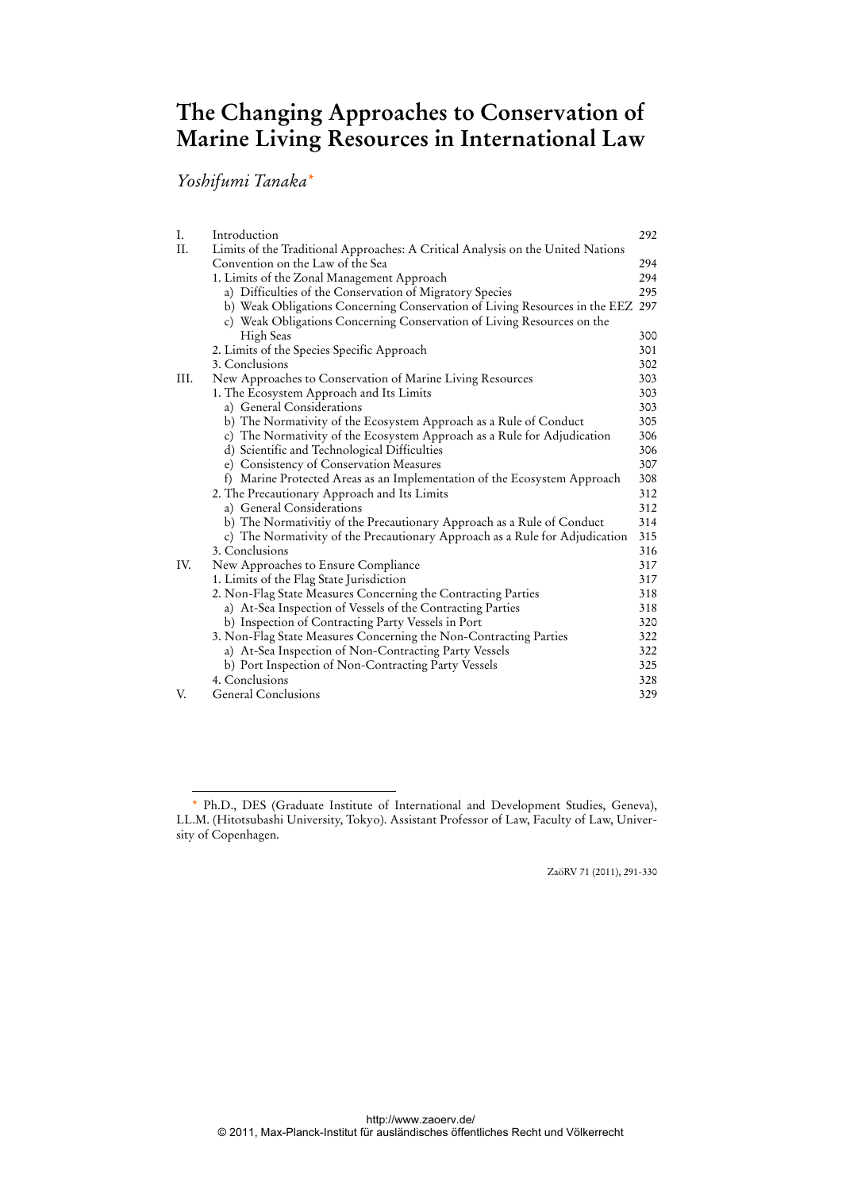# **The Changing Approaches to Conservation of Marine Living Resources in International Law**

*Yoshifumi Tanaka\**

 $\overline{a}$ 

| I.  | Introduction                                                                    | 292 |  |
|-----|---------------------------------------------------------------------------------|-----|--|
| II. | Limits of the Traditional Approaches: A Critical Analysis on the United Nations |     |  |
|     | Convention on the Law of the Sea                                                | 294 |  |
|     | 1. Limits of the Zonal Management Approach                                      | 294 |  |
|     | a) Difficulties of the Conservation of Migratory Species                        | 295 |  |
|     | b) Weak Obligations Concerning Conservation of Living Resources in the EEZ      | 297 |  |
|     | c) Weak Obligations Concerning Conservation of Living Resources on the          |     |  |
|     | High Seas                                                                       | 300 |  |
|     | 2. Limits of the Species Specific Approach                                      | 301 |  |
|     | 3. Conclusions                                                                  | 302 |  |
| Ш.  | New Approaches to Conservation of Marine Living Resources                       | 303 |  |
|     | 1. The Ecosystem Approach and Its Limits                                        | 303 |  |
|     | a) General Considerations                                                       | 303 |  |
|     | b) The Normativity of the Ecosystem Approach as a Rule of Conduct               | 305 |  |
|     | c) The Normativity of the Ecosystem Approach as a Rule for Adjudication         | 306 |  |
|     | d) Scientific and Technological Difficulties                                    | 306 |  |
|     | e) Consistency of Conservation Measures                                         | 307 |  |
|     | f) Marine Protected Areas as an Implementation of the Ecosystem Approach        | 308 |  |
|     | 2. The Precautionary Approach and Its Limits                                    | 312 |  |
|     | a) General Considerations                                                       | 312 |  |
|     | b) The Normativitiy of the Precautionary Approach as a Rule of Conduct          | 314 |  |
|     | c) The Normativity of the Precautionary Approach as a Rule for Adjudication     | 315 |  |
|     | 3. Conclusions                                                                  | 316 |  |
| IV. | New Approaches to Ensure Compliance                                             | 317 |  |
|     | 1. Limits of the Flag State Jurisdiction                                        | 317 |  |
|     | 2. Non-Flag State Measures Concerning the Contracting Parties                   | 318 |  |
|     | a) At-Sea Inspection of Vessels of the Contracting Parties                      | 318 |  |
|     | b) Inspection of Contracting Party Vessels in Port                              | 320 |  |
|     | 3. Non-Flag State Measures Concerning the Non-Contracting Parties               | 322 |  |
|     | a) At-Sea Inspection of Non-Contracting Party Vessels                           | 322 |  |
|     | b) Port Inspection of Non-Contracting Party Vessels                             | 325 |  |
|     | 4. Conclusions                                                                  | 328 |  |
| V.  | General Conclusions                                                             | 329 |  |

ZaöRV 71 (2011), 291-330

<sup>\*</sup> Ph.D., DES (Graduate Institute of International and Development Studies, Geneva), LL.M. (Hitotsubashi University, Tokyo). Assistant Professor of Law, Faculty of Law, University of Copenhagen.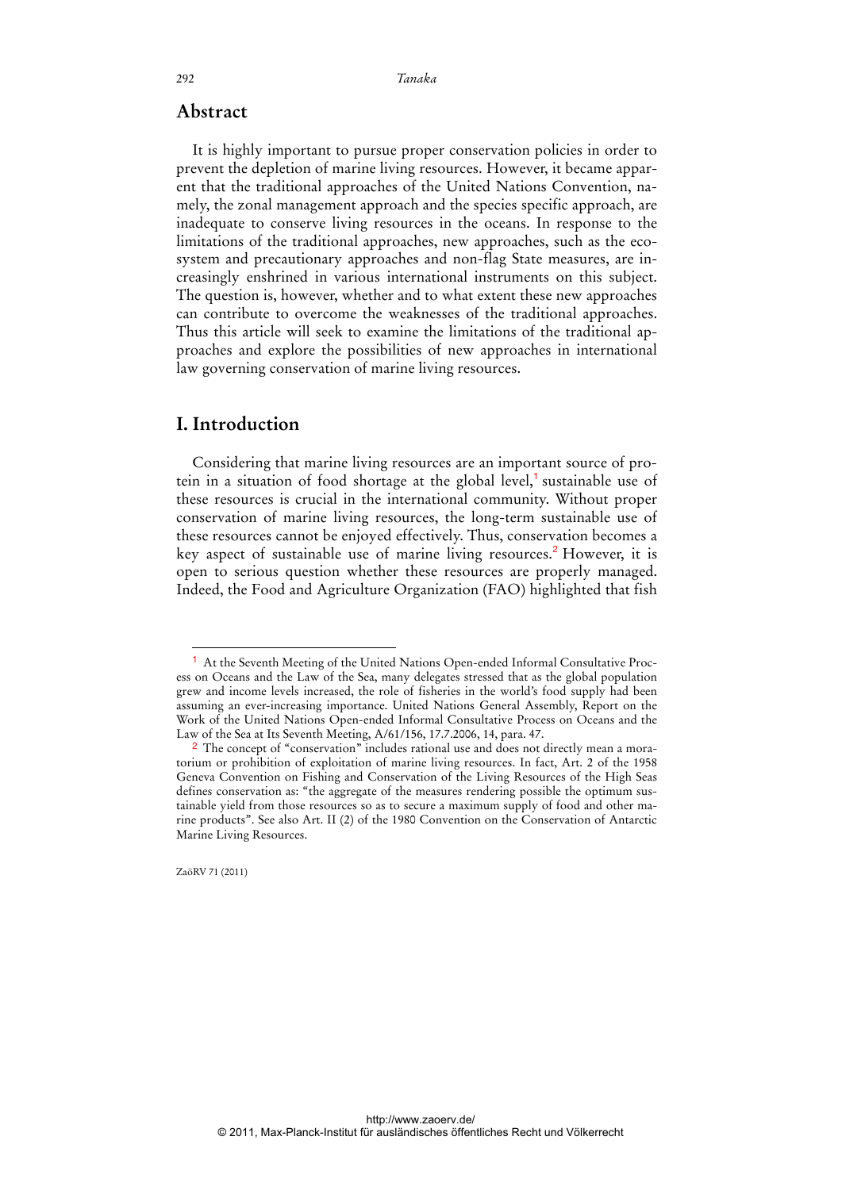### **Abstract**

It is highly important to pursue proper conservation policies in order to prevent the depletion of marine living resources. However, it became apparent that the traditional approaches of the United Nations Convention, namely, the zonal management approach and the species specific approach, are inadequate to conserve living resources in the oceans. In response to the limitations of the traditional approaches, new approaches, such as the ecosystem and precautionary approaches and non-flag State measures, are increasingly enshrined in various international instruments on this subject. The question is, however, whether and to what extent these new approaches can contribute to overcome the weaknesses of the traditional approaches. Thus this article will seek to examine the limitations of the traditional approaches and explore the possibilities of new approaches in international law governing conservation of marine living resources.

## **I. Introduction**

Considering that marine living resources are an important source of protein in a situation of food shortage at the global level,<sup>1</sup> sustainable use of these resources is crucial in the international community. Without proper conservation of marine living resources, the long-term sustainable use of these resources cannot be enjoyed effectively. Thus, conservation becomes a key aspect of sustainable use of marine living resources.<sup>2</sup> However, it is open to serious question whether these resources are properly managed. Indeed, the Food and Agriculture Organization (FAO) highlighted that fish

ZaöRV 71 (2011)

<sup>1</sup> At the Seventh Meeting of the United Nations Open-ended Informal Consultative Process on Oceans and the Law of the Sea, many delegates stressed that as the global population grew and income levels increased, the role of fisheries in the world's food supply had been assuming an ever-increasing importance. United Nations General Assembly, Report on the Work of the United Nations Open-ended Informal Consultative Process on Oceans and the Law of the Sea at Its Seventh Meeting, A/61/156, 17.7.2006, 14, para. 47.

<sup>2</sup> The concept of "conservation" includes rational use and does not directly mean a moratorium or prohibition of exploitation of marine living resources. In fact, Art. 2 of the 1958 Geneva Convention on Fishing and Conservation of the Living Resources of the High Seas defines conservation as: "the aggregate of the measures rendering possible the optimum sustainable yield from those resources so as to secure a maximum supply of food and other marine products". See also Art. II (2) of the 1980 Convention on the Conservation of Antarctic Marine Living Resources.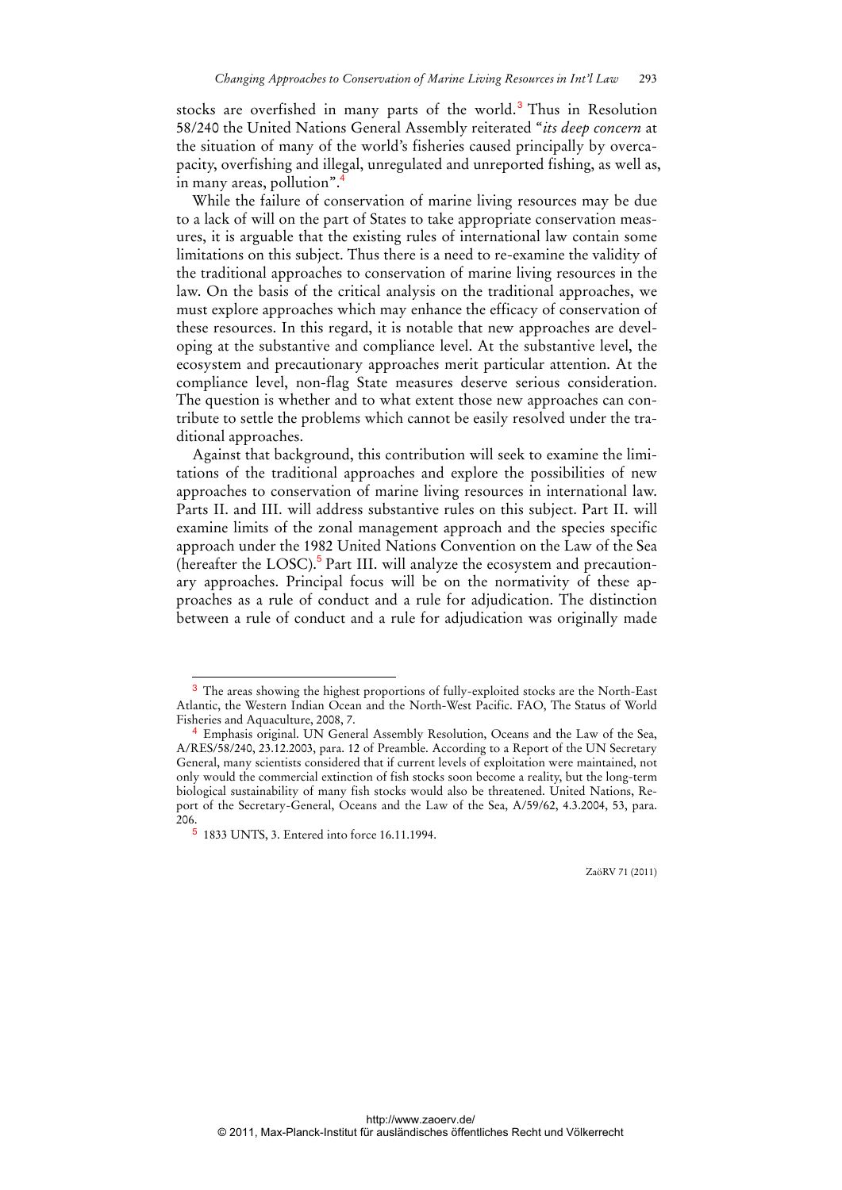stocks are overfished in many parts of the world.<sup>3</sup> Thus in Resolution 58/240 the United Nations General Assembly reiterated "*its deep concern* at the situation of many of the world's fisheries caused principally by overcapacity, overfishing and illegal, unregulated and unreported fishing, as well as, in many areas, pollution".

While the failure of conservation of marine living resources may be due to a lack of will on the part of States to take appropriate conservation measures, it is arguable that the existing rules of international law contain some limitations on this subject. Thus there is a need to re-examine the validity of the traditional approaches to conservation of marine living resources in the law. On the basis of the critical analysis on the traditional approaches, we must explore approaches which may enhance the efficacy of conservation of these resources. In this regard, it is notable that new approaches are developing at the substantive and compliance level. At the substantive level, the ecosystem and precautionary approaches merit particular attention. At the compliance level, non-flag State measures deserve serious consideration. The question is whether and to what extent those new approaches can contribute to settle the problems which cannot be easily resolved under the traditional approaches.

Against that background, this contribution will seek to examine the limitations of the traditional approaches and explore the possibilities of new approaches to conservation of marine living resources in international law. Parts II. and III. will address substantive rules on this subject. Part II. will examine limits of the zonal management approach and the species specific approach under the 1982 United Nations Convention on the Law of the Sea (hereafter the LOSC).<sup>5</sup> Part III. will analyze the ecosystem and precautionary approaches. Principal focus will be on the normativity of these approaches as a rule of conduct and a rule for adjudication. The distinction between a rule of conduct and a rule for adjudication was originally made

<sup>&</sup>lt;sup>3</sup> The areas showing the highest proportions of fully-exploited stocks are the North-East Atlantic, the Western Indian Ocean and the North-West Pacific. FAO, The Status of World Fisheries and Aquaculture, 2008, 7.

Emphasis original. UN General Assembly Resolution, Oceans and the Law of the Sea, A/RES/58/240, 23.12.2003, para. 12 of Preamble. According to a Report of the UN Secretary General, many scientists considered that if current levels of exploitation were maintained, not only would the commercial extinction of fish stocks soon become a reality, but the long-term biological sustainability of many fish stocks would also be threatened. United Nations, Report of the Secretary-General, Oceans and the Law of the Sea, A/59/62, 4.3.2004, 53, para. 206.

<sup>5</sup> 1833 UNTS, 3. Entered into force 16.11.1994.

ZaöRV 71 (2011)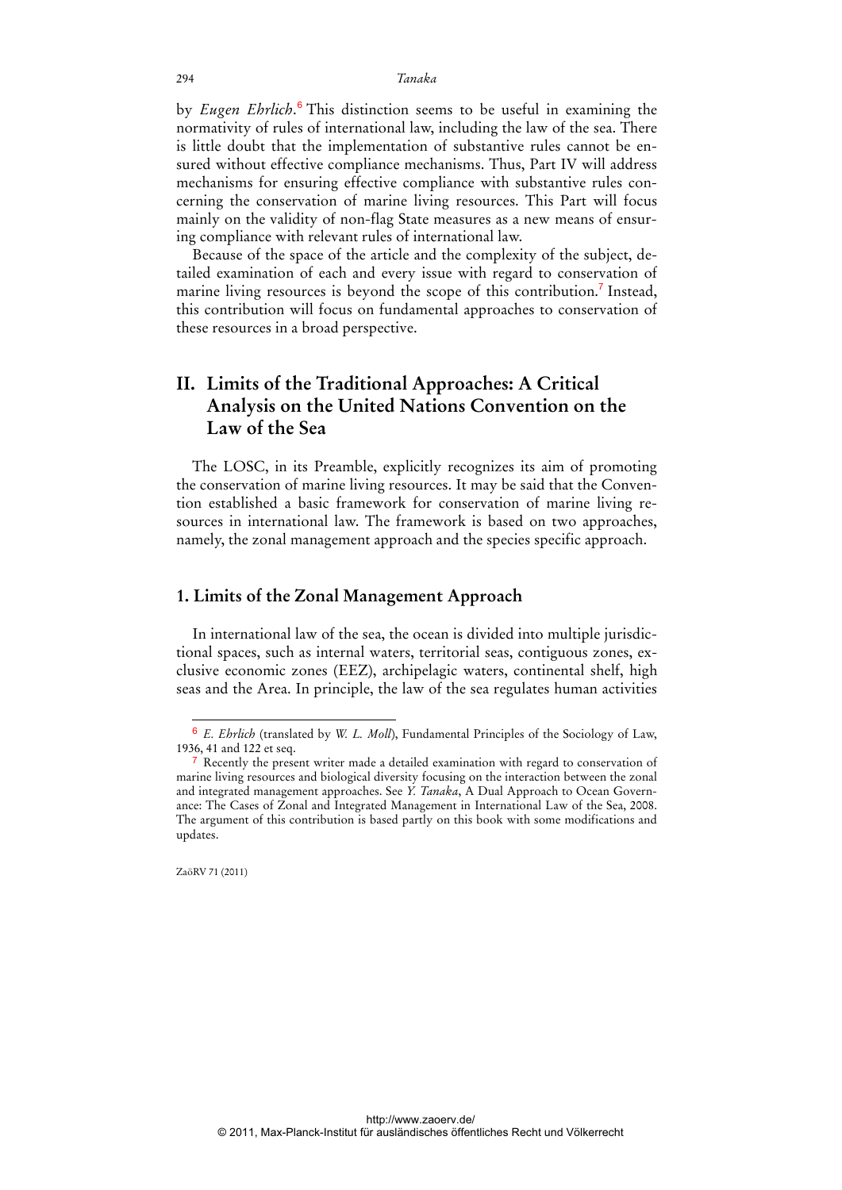by *Eugen Ehrlich*.<sup>6</sup> This distinction seems to be useful in examining the normativity of rules of international law, including the law of the sea. There is little doubt that the implementation of substantive rules cannot be ensured without effective compliance mechanisms. Thus, Part IV will address mechanisms for ensuring effective compliance with substantive rules concerning the conservation of marine living resources. This Part will focus mainly on the validity of non-flag State measures as a new means of ensuring compliance with relevant rules of international law.

Because of the space of the article and the complexity of the subject, detailed examination of each and every issue with regard to conservation of marine living resources is beyond the scope of this contribution.<sup>7</sup> Instead, this contribution will focus on fundamental approaches to conservation of these resources in a broad perspective.

## **II. Limits of the Traditional Approaches: A Critical Analysis on the United Nations Convention on the Law of the Sea**

The LOSC, in its Preamble, explicitly recognizes its aim of promoting the conservation of marine living resources. It may be said that the Convention established a basic framework for conservation of marine living resources in international law. The framework is based on two approaches, namely, the zonal management approach and the species specific approach.

## **1. Limits of the Zonal Management Approach**

In international law of the sea, the ocean is divided into multiple jurisdictional spaces, such as internal waters, territorial seas, contiguous zones, exclusive economic zones (EEZ), archipelagic waters, continental shelf, high seas and the Area. In principle, the law of the sea regulates human activities

ZaöRV 71 (2011)

 $\overline{a}$ 

http://www.zaoerv.de/ © 2011, Max-Planck-Institut für ausländisches öffentliches Recht und Völkerrecht

<sup>6</sup> *E. Ehrlich* (translated by *W. L. Moll*), Fundamental Principles of the Sociology of Law, 1936, 41 and 122 et seq.

<sup>&</sup>lt;sup>7</sup> Recently the present writer made a detailed examination with regard to conservation of marine living resources and biological diversity focusing on the interaction between the zonal and integrated management approaches. See *Y. Tanaka*, A Dual Approach to Ocean Governance: The Cases of Zonal and Integrated Management in International Law of the Sea, 2008. The argument of this contribution is based partly on this book with some modifications and updates.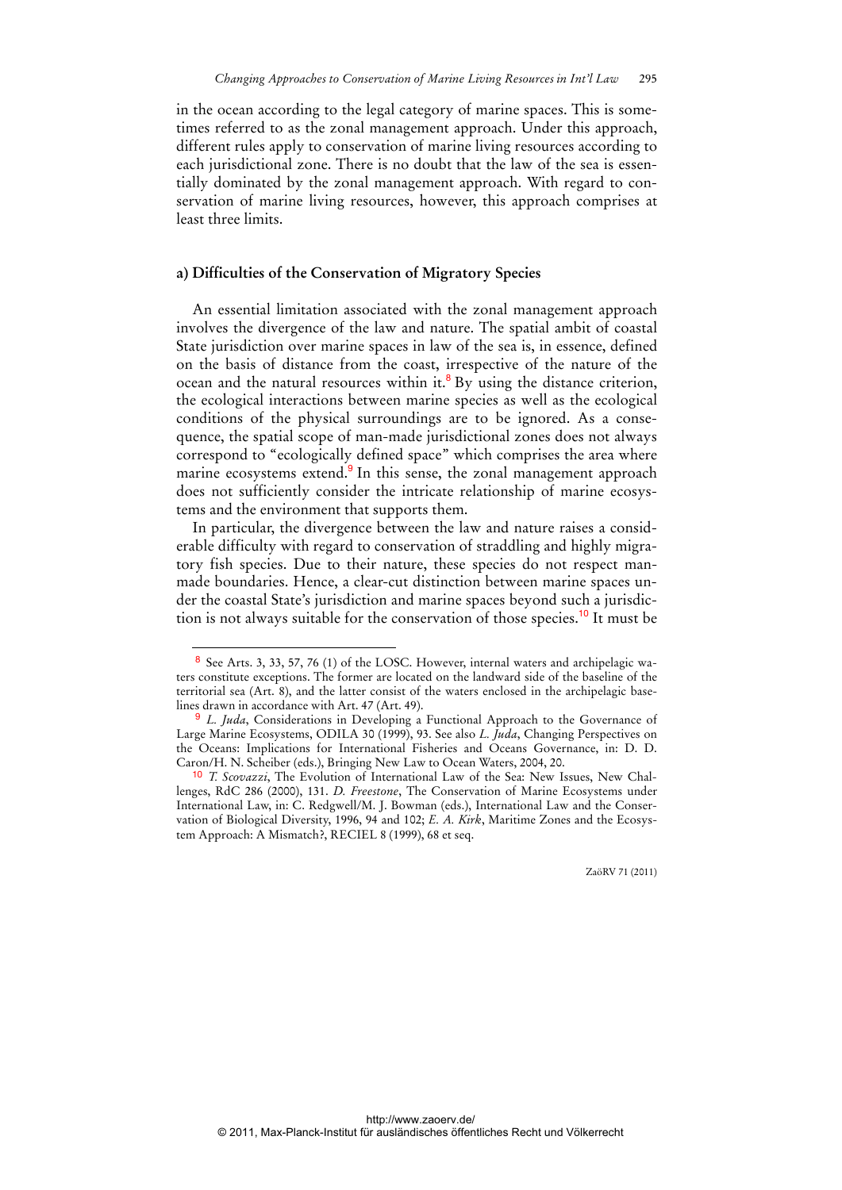in the ocean according to the legal category of marine spaces. This is sometimes referred to as the zonal management approach. Under this approach, different rules apply to conservation of marine living resources according to each jurisdictional zone. There is no doubt that the law of the sea is essentially dominated by the zonal management approach. With regard to conservation of marine living resources, however, this approach comprises at least three limits.

#### **a) Difficulties of the Conservation of Migratory Species**

An essential limitation associated with the zonal management approach involves the divergence of the law and nature. The spatial ambit of coastal State jurisdiction over marine spaces in law of the sea is, in essence, defined on the basis of distance from the coast, irrespective of the nature of the ocean and the natural resources within it.<sup>8</sup> By using the distance criterion, the ecological interactions between marine species as well as the ecological conditions of the physical surroundings are to be ignored. As a consequence, the spatial scope of man-made jurisdictional zones does not always correspond to "ecologically defined space" which comprises the area where marine ecosystems extend.<sup>9</sup> In this sense, the zonal management approach does not sufficiently consider the intricate relationship of marine ecosystems and the environment that supports them.

In particular, the divergence between the law and nature raises a considerable difficulty with regard to conservation of straddling and highly migratory fish species. Due to their nature, these species do not respect manmade boundaries. Hence, a clear-cut distinction between marine spaces under the coastal State's jurisdiction and marine spaces beyond such a jurisdiction is not always suitable for the conservation of those species.<sup>10</sup> It must be

 $\overline{a}$ 

<sup>8</sup> See Arts. 3, 33, 57, 76 (1) of the LOSC. However, internal waters and archipelagic waters constitute exceptions. The former are located on the landward side of the baseline of the territorial sea (Art. 8), and the latter consist of the waters enclosed in the archipelagic baselines drawn in accordance with Art. 47 (Art. 49).

<sup>9</sup> *L. Juda*, Considerations in Developing a Functional Approach to the Governance of Large Marine Ecosystems, ODILA 30 (1999), 93. See also *L. Juda*, Changing Perspectives on the Oceans: Implications for International Fisheries and Oceans Governance, in: D. D. Caron/H. N. Scheiber (eds.), Bringing New Law to Ocean Waters, 2004, 20.

<sup>10</sup> *T. Scovazzi*, The Evolution of International Law of the Sea: New Issues, New Challenges, RdC 286 (2000), 131. *D. Freestone*, The Conservation of Marine Ecosystems under International Law, in: C. Redgwell/M. J. Bowman (eds.), International Law and the Conservation of Biological Diversity, 1996, 94 and 102; *E. A. Kirk*, Maritime Zones and the Ecosystem Approach: A Mismatch?, RECIEL 8 (1999), 68 et seq.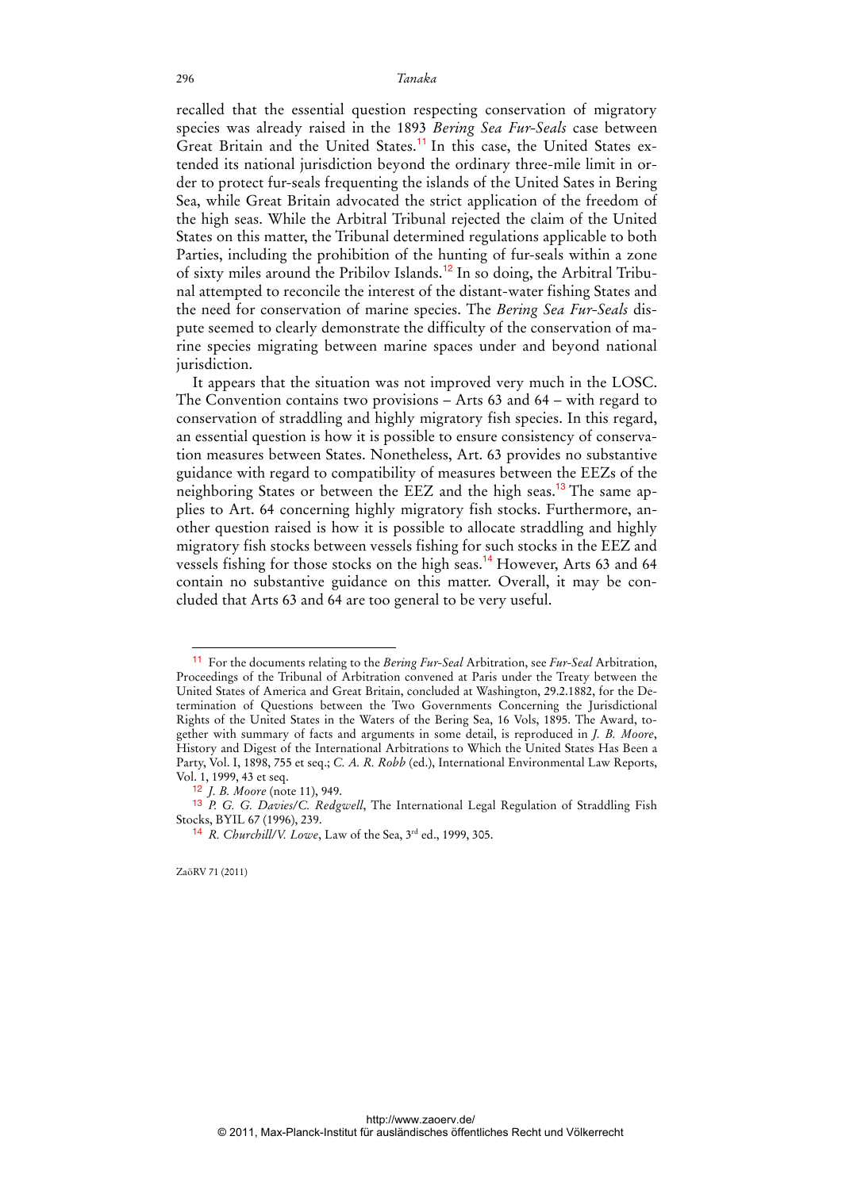recalled that the essential question respecting conservation of migratory species was already raised in the 1893 *Bering Sea Fur-Seals* case between Great Britain and the United States.<sup>11</sup> In this case, the United States extended its national jurisdiction beyond the ordinary three-mile limit in order to protect fur-seals frequenting the islands of the United Sates in Bering Sea, while Great Britain advocated the strict application of the freedom of the high seas. While the Arbitral Tribunal rejected the claim of the United States on this matter, the Tribunal determined regulations applicable to both Parties, including the prohibition of the hunting of fur-seals within a zone of sixty miles around the Pribilov Islands.<sup>12</sup> In so doing, the Arbitral Tribunal attempted to reconcile the interest of the distant-water fishing States and the need for conservation of marine species. The *Bering Sea Fur-Seals* dispute seemed to clearly demonstrate the difficulty of the conservation of marine species migrating between marine spaces under and beyond national jurisdiction.

It appears that the situation was not improved very much in the LOSC. The Convention contains two provisions – Arts 63 and 64 – with regard to conservation of straddling and highly migratory fish species. In this regard, an essential question is how it is possible to ensure consistency of conservation measures between States. Nonetheless, Art. 63 provides no substantive guidance with regard to compatibility of measures between the EEZs of the neighboring States or between the EEZ and the high seas.<sup>13</sup> The same applies to Art. 64 concerning highly migratory fish stocks. Furthermore, another question raised is how it is possible to allocate straddling and highly migratory fish stocks between vessels fishing for such stocks in the EEZ and vessels fishing for those stocks on the high seas.<sup>14</sup> However, Arts 63 and 64 contain no substantive guidance on this matter. Overall, it may be concluded that Arts 63 and 64 are too general to be very useful.

<sup>11</sup> For the documents relating to the *Bering Fur-Seal* Arbitration, see *Fur-Seal* Arbitration, Proceedings of the Tribunal of Arbitration convened at Paris under the Treaty between the United States of America and Great Britain, concluded at Washington, 29.2.1882, for the Determination of Questions between the Two Governments Concerning the Jurisdictional Rights of the United States in the Waters of the Bering Sea, 16 Vols, 1895. The Award, together with summary of facts and arguments in some detail, is reproduced in *J. B. Moore*, History and Digest of the International Arbitrations to Which the United States Has Been a Party, Vol. I, 1898, 755 et seq.; *C. A. R. Robb* (ed.), International Environmental Law Reports, Vol. 1, 1999, 43 et seq.

<sup>12</sup> *J. B. Moore* (note 11), 949.

<sup>13</sup> *P. G. G. Davies/C. Redgwell*, The International Legal Regulation of Straddling Fish Stocks, BYIL 67 (1996), 239.

<sup>&</sup>lt;sup>14</sup> *R. Churchill/V. Lowe*, Law of the Sea,  $3^{rd}$  ed., 1999, 305.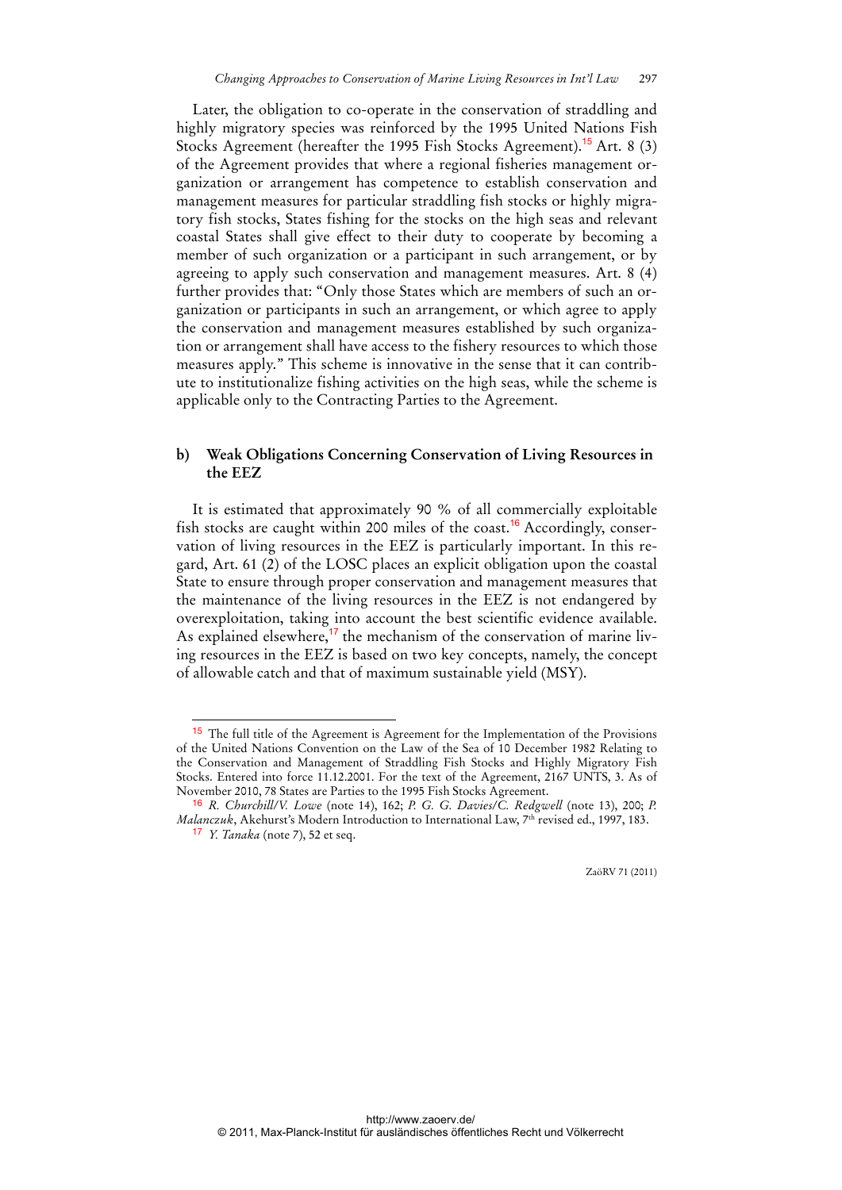Later, the obligation to co-operate in the conservation of straddling and highly migratory species was reinforced by the 1995 United Nations Fish Stocks Agreement (hereafter the 1995 Fish Stocks Agreement).<sup>15</sup> Art. 8 (3) of the Agreement provides that where a regional fisheries management organization or arrangement has competence to establish conservation and management measures for particular straddling fish stocks or highly migratory fish stocks, States fishing for the stocks on the high seas and relevant coastal States shall give effect to their duty to cooperate by becoming a member of such organization or a participant in such arrangement, or by agreeing to apply such conservation and management measures. Art. 8 (4) further provides that: "Only those States which are members of such an organization or participants in such an arrangement, or which agree to apply the conservation and management measures established by such organization or arrangement shall have access to the fishery resources to which those measures apply." This scheme is innovative in the sense that it can contribute to institutionalize fishing activities on the high seas, while the scheme is applicable only to the Contracting Parties to the Agreement.

### **b) Weak Obligations Concerning Conservation of Living Resources in the EEZ**

It is estimated that approximately 90 % of all commercially exploitable fish stocks are caught within 200 miles of the coast.<sup>16</sup> Accordingly, conservation of living resources in the EEZ is particularly important. In this regard, Art. 61 (2) of the LOSC places an explicit obligation upon the coastal State to ensure through proper conservation and management measures that the maintenance of the living resources in the EEZ is not endangered by overexploitation, taking into account the best scientific evidence available. As explained elsewhere,<sup>17</sup> the mechanism of the conservation of marine living resources in the EEZ is based on two key concepts, namely, the concept of allowable catch and that of maximum sustainable yield (MSY).

 $\overline{a}$ 

<sup>15</sup> The full title of the Agreement is Agreement for the Implementation of the Provisions of the United Nations Convention on the Law of the Sea of 10 December 1982 Relating to the Conservation and Management of Straddling Fish Stocks and Highly Migratory Fish Stocks. Entered into force 11.12.2001. For the text of the Agreement, 2167 UNTS, 3. As of November 2010, 78 States are Parties to the 1995 Fish Stocks Agreement.

<sup>16</sup> *R. Churchill/V. Lowe* (note 14), 162; *P. G. G. Davies/C. Redgwell* (note 13), 200; *P. Malanczuk*, Akehurst's Modern Introduction to International Law, 7<sup>th</sup> revised ed., 1997, 183. 17 *Y. Tanaka* (note 7), 52 et seq.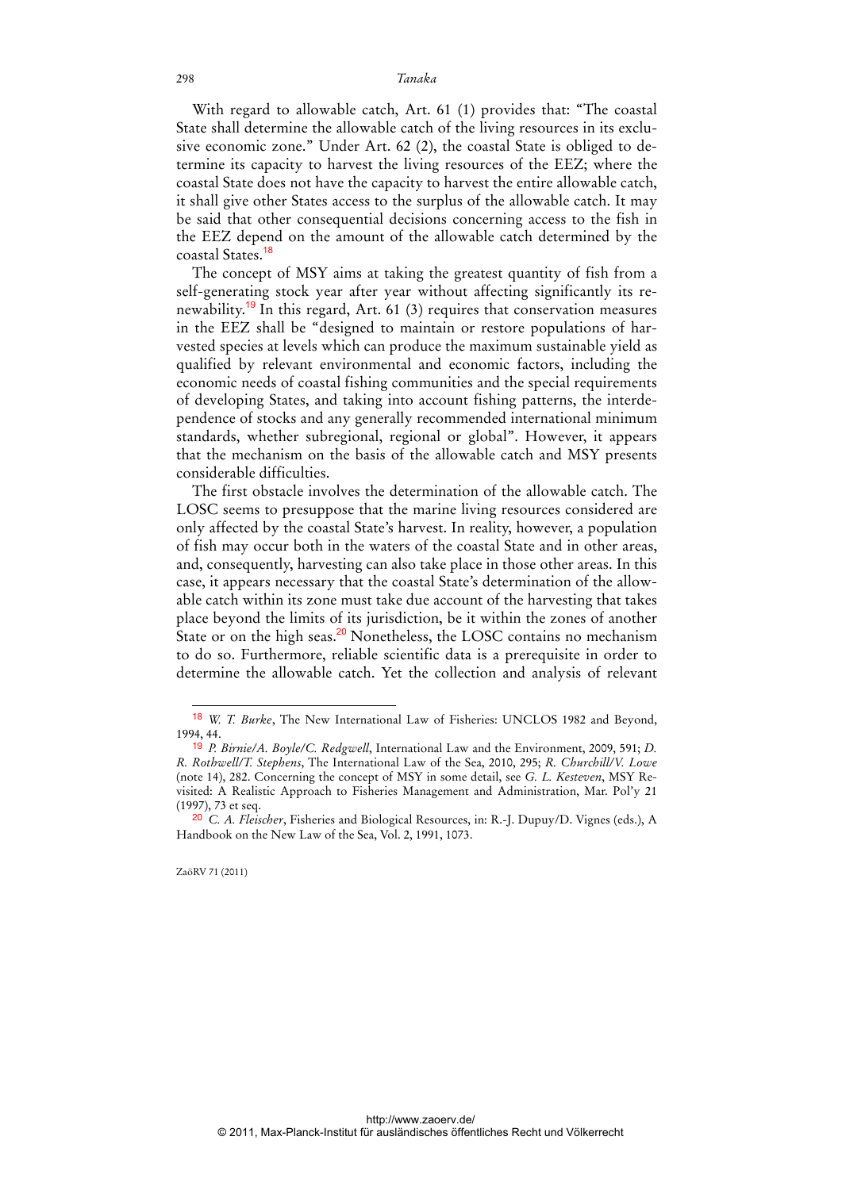With regard to allowable catch, Art. 61 (1) provides that: "The coastal State shall determine the allowable catch of the living resources in its exclusive economic zone." Under Art. 62 (2), the coastal State is obliged to determine its capacity to harvest the living resources of the EEZ; where the coastal State does not have the capacity to harvest the entire allowable catch, it shall give other States access to the surplus of the allowable catch. It may be said that other consequential decisions concerning access to the fish in the EEZ depend on the amount of the allowable catch determined by the coastal States.<sup>18</sup>

The concept of MSY aims at taking the greatest quantity of fish from a self-generating stock year after year without affecting significantly its renewability.<sup>19</sup> In this regard, Art. 61 (3) requires that conservation measures in the EEZ shall be "designed to maintain or restore populations of harvested species at levels which can produce the maximum sustainable yield as qualified by relevant environmental and economic factors, including the economic needs of coastal fishing communities and the special requirements of developing States, and taking into account fishing patterns, the interdependence of stocks and any generally recommended international minimum standards, whether subregional, regional or global". However, it appears that the mechanism on the basis of the allowable catch and MSY presents considerable difficulties.

The first obstacle involves the determination of the allowable catch. The LOSC seems to presuppose that the marine living resources considered are only affected by the coastal State's harvest. In reality, however, a population of fish may occur both in the waters of the coastal State and in other areas, and, consequently, harvesting can also take place in those other areas. In this case, it appears necessary that the coastal State's determination of the allowable catch within its zone must take due account of the harvesting that takes place beyond the limits of its jurisdiction, be it within the zones of another State or on the high seas.<sup>20</sup> Nonetheless, the LOSC contains no mechanism to do so. Furthermore, reliable scientific data is a prerequisite in order to determine the allowable catch. Yet the collection and analysis of relevant

<sup>18</sup> *W. T. Burke*, The New International Law of Fisheries: UNCLOS 1982 and Beyond, 1994, 44.

<sup>19</sup> *P. Birnie/A. Boyle/C. Redgwell*, International Law and the Environment, 2009, 591; *D. R. Rothwell/T. Stephens*, The International Law of the Sea, 2010, 295; *R. Churchill/V. Lowe* (note 14), 282. Concerning the concept of MSY in some detail, see *G. L. Kesteven*, MSY Revisited: A Realistic Approach to Fisheries Management and Administration, Mar. Pol'y 21 (1997), 73 et seq.

<sup>20</sup> *C. A. Fleischer*, Fisheries and Biological Resources, in: R.-J. Dupuy/D. Vignes (eds.), A Handbook on the New Law of the Sea, Vol. 2, 1991, 1073.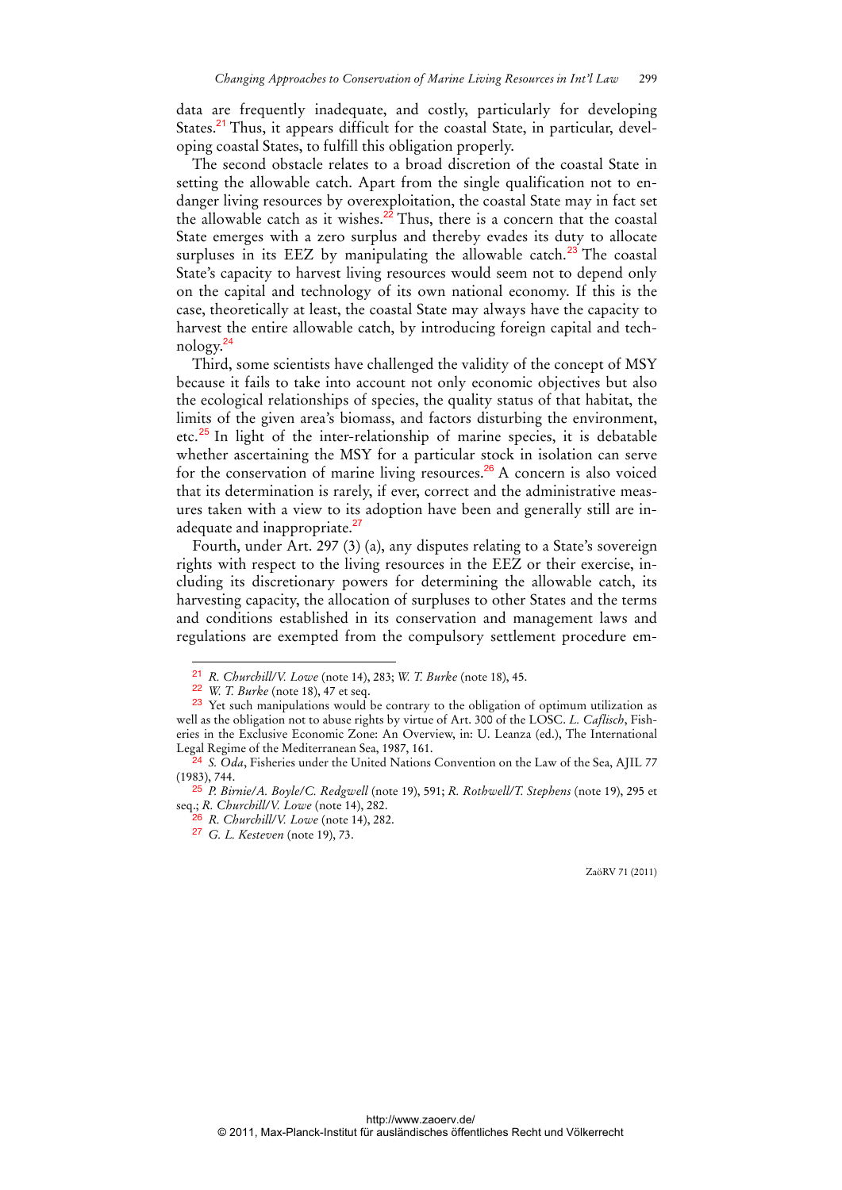data are frequently inadequate, and costly, particularly for developing States.<sup>21</sup> Thus, it appears difficult for the coastal State, in particular, developing coastal States, to fulfill this obligation properly.

The second obstacle relates to a broad discretion of the coastal State in setting the allowable catch. Apart from the single qualification not to endanger living resources by overexploitation, the coastal State may in fact set the allowable catch as it wishes. $^{22}$  Thus, there is a concern that the coastal State emerges with a zero surplus and thereby evades its duty to allocate surpluses in its EEZ by manipulating the allowable catch.<sup>23</sup> The coastal State's capacity to harvest living resources would seem not to depend only on the capital and technology of its own national economy. If this is the case, theoretically at least, the coastal State may always have the capacity to harvest the entire allowable catch, by introducing foreign capital and technology.<sup>24</sup>

Third, some scientists have challenged the validity of the concept of MSY because it fails to take into account not only economic objectives but also the ecological relationships of species, the quality status of that habitat, the limits of the given area's biomass, and factors disturbing the environment, etc. $^{25}$  In light of the inter-relationship of marine species, it is debatable whether ascertaining the MSY for a particular stock in isolation can serve for the conservation of marine living resources.<sup>26</sup> A concern is also voiced that its determination is rarely, if ever, correct and the administrative measures taken with a view to its adoption have been and generally still are inadequate and inappropriate.<sup>27</sup>

Fourth, under Art. 297 (3) (a), any disputes relating to a State's sovereign rights with respect to the living resources in the EEZ or their exercise, including its discretionary powers for determining the allowable catch, its harvesting capacity, the allocation of surpluses to other States and the terms and conditions established in its conservation and management laws and regulations are exempted from the compulsory settlement procedure em-

 $\overline{a}$ 

26 *R. Churchill/V. Lowe* (note 14), 282.

<sup>21</sup> *R. Churchill/V. Lowe* (note 14), 283; *W. T. Burke* (note 18), 45.

<sup>22</sup> *W. T. Burke* (note 18), 47 et seq.

<sup>&</sup>lt;sup>23</sup> Yet such manipulations would be contrary to the obligation of optimum utilization as well as the obligation not to abuse rights by virtue of Art. 300 of the LOSC. *L. Caflisch*, Fisheries in the Exclusive Economic Zone: An Overview, in: U. Leanza (ed.), The International Legal Regime of the Mediterranean Sea, 1987, 161.

<sup>24</sup> *S. Oda*, Fisheries under the United Nations Convention on the Law of the Sea, AJIL 77 (1983), 744.

<sup>25</sup> *P. Birnie/A. Boyle/C. Redgwell* (note 19), 591; *R. Rothwell/T. Stephens* (note 19), 295 et seq.; *R. Churchill/V. Lowe* (note 14), 282.

<sup>27</sup> *G. L. Kesteven* (note 19), 73.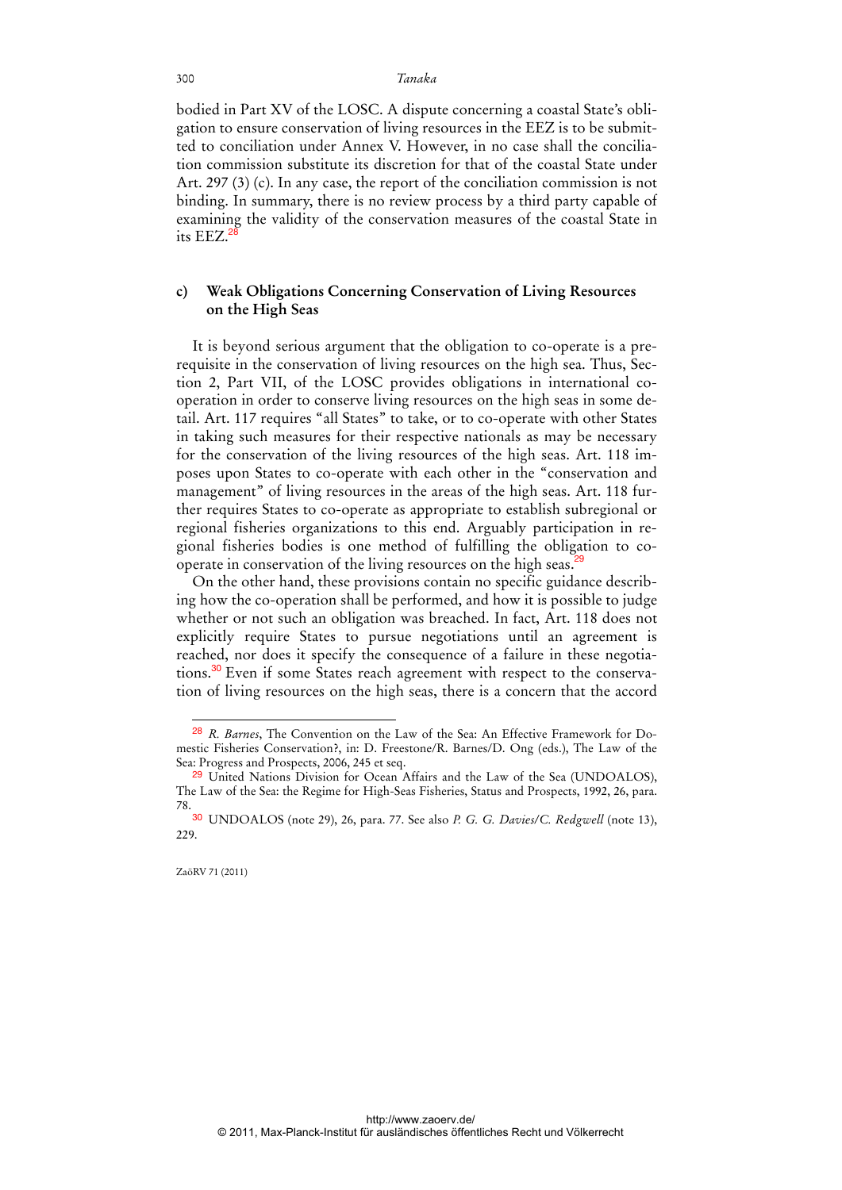bodied in Part XV of the LOSC. A dispute concerning a coastal State's obligation to ensure conservation of living resources in the EEZ is to be submitted to conciliation under Annex V. However, in no case shall the conciliation commission substitute its discretion for that of the coastal State under Art. 297 (3) (c). In any case, the report of the conciliation commission is not binding. In summary, there is no review process by a third party capable of examining the validity of the conservation measures of the coastal State in its EEZ.<sup>2</sup>

### **c) Weak Obligations Concerning Conservation of Living Resources on the High Seas**

It is beyond serious argument that the obligation to co-operate is a prerequisite in the conservation of living resources on the high sea. Thus, Section 2, Part VII, of the LOSC provides obligations in international cooperation in order to conserve living resources on the high seas in some detail. Art. 117 requires "all States" to take, or to co-operate with other States in taking such measures for their respective nationals as may be necessary for the conservation of the living resources of the high seas. Art. 118 imposes upon States to co-operate with each other in the "conservation and management" of living resources in the areas of the high seas. Art. 118 further requires States to co-operate as appropriate to establish subregional or regional fisheries organizations to this end. Arguably participation in regional fisheries bodies is one method of fulfilling the obligation to cooperate in conservation of the living resources on the high seas.<sup>29</sup>

On the other hand, these provisions contain no specific guidance describing how the co-operation shall be performed, and how it is possible to judge whether or not such an obligation was breached. In fact, Art. 118 does not explicitly require States to pursue negotiations until an agreement is reached, nor does it specify the consequence of a failure in these negotiations.30 Even if some States reach agreement with respect to the conservation of living resources on the high seas, there is a concern that the accord

<sup>28</sup> *R. Barnes*, The Convention on the Law of the Sea: An Effective Framework for Domestic Fisheries Conservation?, in: D. Freestone/R. Barnes/D. Ong (eds.), The Law of the Sea: Progress and Prospects, 2006, 245 et seq.

<sup>29</sup> United Nations Division for Ocean Affairs and the Law of the Sea (UNDOALOS), The Law of the Sea: the Regime for High-Seas Fisheries, Status and Prospects, 1992, 26, para. 78.

<sup>30</sup> UNDOALOS (note 29), 26, para. 77. See also *P. G. G. Davies/C. Redgwell* (note 13), 229.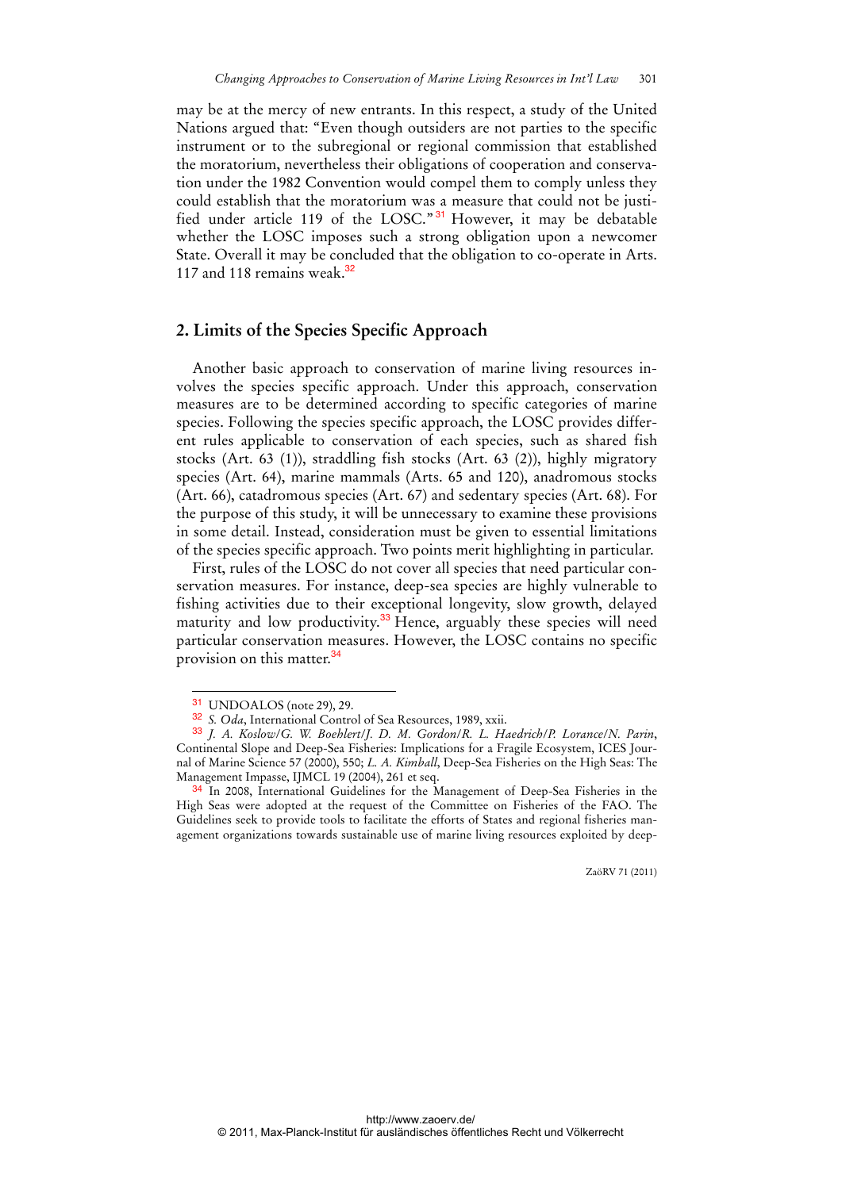may be at the mercy of new entrants. In this respect, a study of the United Nations argued that: "Even though outsiders are not parties to the specific instrument or to the subregional or regional commission that established the moratorium, nevertheless their obligations of cooperation and conservation under the 1982 Convention would compel them to comply unless they could establish that the moratorium was a measure that could not be justified under article 119 of the LOSC." <sup>31</sup> However, it may be debatable whether the LOSC imposes such a strong obligation upon a newcomer State. Overall it may be concluded that the obligation to co-operate in Arts. 117 and 118 remains weak. $32$ 

### **2. Limits of the Species Specific Approach**

Another basic approach to conservation of marine living resources involves the species specific approach. Under this approach, conservation measures are to be determined according to specific categories of marine species. Following the species specific approach, the LOSC provides different rules applicable to conservation of each species, such as shared fish stocks (Art. 63 (1)), straddling fish stocks (Art. 63 (2)), highly migratory species (Art. 64), marine mammals (Arts. 65 and 120), anadromous stocks (Art. 66), catadromous species (Art. 67) and sedentary species (Art. 68). For the purpose of this study, it will be unnecessary to examine these provisions in some detail. Instead, consideration must be given to essential limitations of the species specific approach. Two points merit highlighting in particular.

First, rules of the LOSC do not cover all species that need particular conservation measures. For instance, deep-sea species are highly vulnerable to fishing activities due to their exceptional longevity, slow growth, delayed maturity and low productivity.<sup>33</sup> Hence, arguably these species will need particular conservation measures. However, the LOSC contains no specific provision on this matter.<sup>34</sup>

 $\overline{a}$ 

<sup>31</sup> UNDOALOS (note 29), 29.

<sup>32</sup> *S. Oda*, International Control of Sea Resources, 1989, xxii.

<sup>33</sup> *J. A. Koslow*/*G. W. Boehlert*/*J. D. M. Gordon*/*R. L. Haedrich*/*P. Lorance*/*N. Parin*, Continental Slope and Deep-Sea Fisheries: Implications for a Fragile Ecosystem, ICES Journal of Marine Science 57 (2000), 550; *L. A. Kimball*, Deep-Sea Fisheries on the High Seas: The Management Impasse, IJMCL 19 (2004), 261 et seq.

<sup>34</sup> In 2008, International Guidelines for the Management of Deep-Sea Fisheries in the High Seas were adopted at the request of the Committee on Fisheries of the FAO. The Guidelines seek to provide tools to facilitate the efforts of States and regional fisheries management organizations towards sustainable use of marine living resources exploited by deep-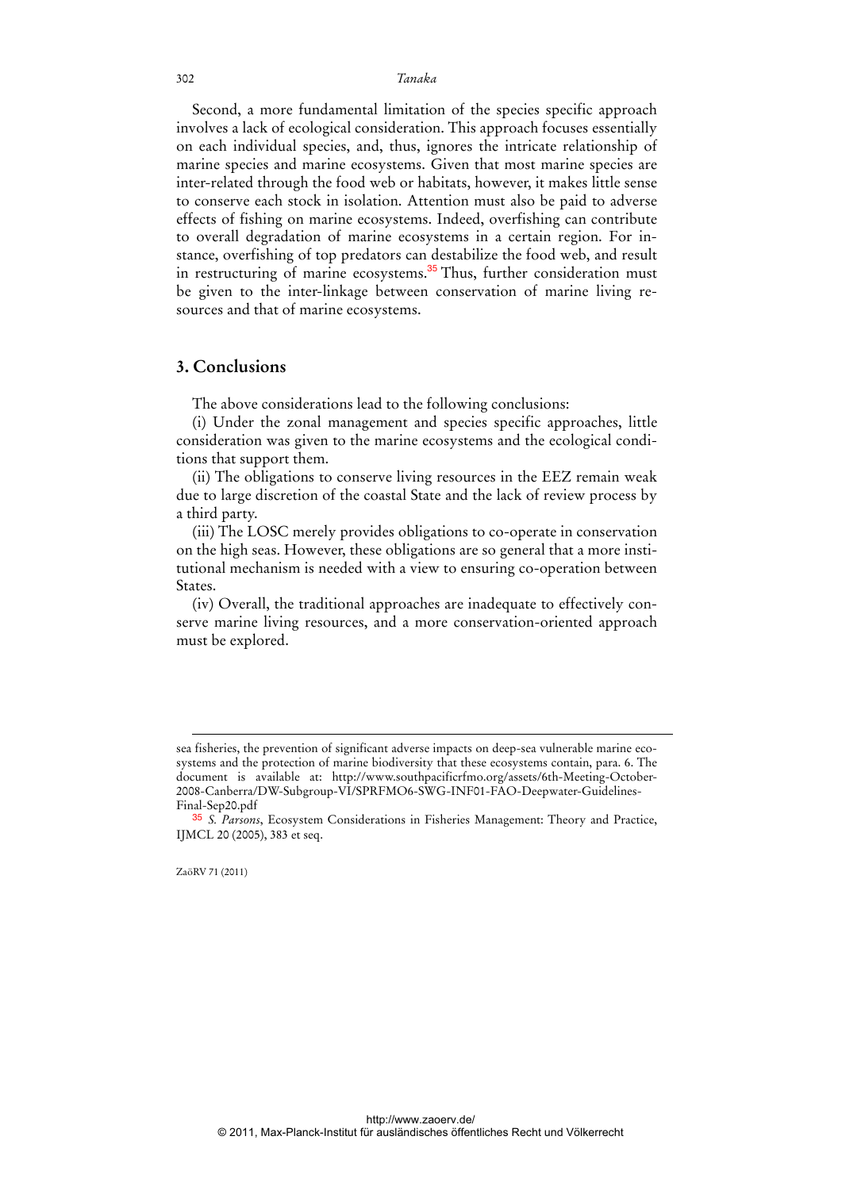Second, a more fundamental limitation of the species specific approach involves a lack of ecological consideration. This approach focuses essentially on each individual species, and, thus, ignores the intricate relationship of marine species and marine ecosystems. Given that most marine species are inter-related through the food web or habitats, however, it makes little sense to conserve each stock in isolation. Attention must also be paid to adverse effects of fishing on marine ecosystems. Indeed, overfishing can contribute to overall degradation of marine ecosystems in a certain region. For instance, overfishing of top predators can destabilize the food web, and result in restructuring of marine ecosystems.<sup>35</sup> Thus, further consideration must be given to the inter-linkage between conservation of marine living resources and that of marine ecosystems.

### **3. Conclusions**

The above considerations lead to the following conclusions:

(i) Under the zonal management and species specific approaches, little consideration was given to the marine ecosystems and the ecological conditions that support them.

(ii) The obligations to conserve living resources in the EEZ remain weak due to large discretion of the coastal State and the lack of review process by a third party.

(iii) The LOSC merely provides obligations to co-operate in conservation on the high seas. However, these obligations are so general that a more institutional mechanism is needed with a view to ensuring co-operation between States.

(iv) Overall, the traditional approaches are inadequate to effectively conserve marine living resources, and a more conservation-oriented approach must be explored.

-

sea fisheries, the prevention of significant adverse impacts on deep-sea vulnerable marine ecosystems and the protection of marine biodiversity that these ecosystems contain, para. 6. The document is available at: http://www.southpacificrfmo.org/assets/6th-Meeting-October-2008-Canberra/DW-Subgroup-VI/SPRFMO6-SWG-INF01-FAO-Deepwater-Guidelines-Final-Sep20.pdf

<sup>35</sup> *S. Parsons*, Ecosystem Considerations in Fisheries Management: Theory and Practice, IJMCL 20 (2005), 383 et seq.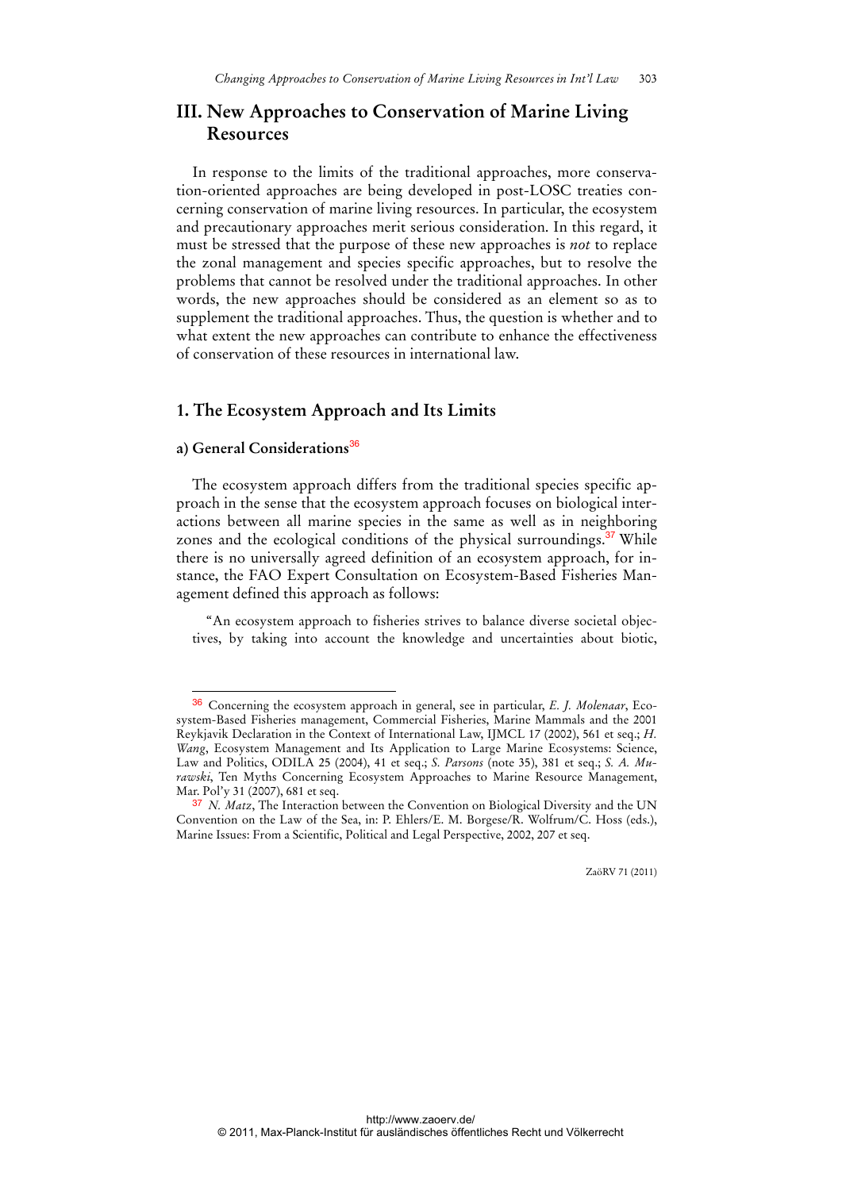## **III. New Approaches to Conservation of Marine Living Resources**

In response to the limits of the traditional approaches, more conservation-oriented approaches are being developed in post-LOSC treaties concerning conservation of marine living resources. In particular, the ecosystem and precautionary approaches merit serious consideration. In this regard, it must be stressed that the purpose of these new approaches is *not* to replace the zonal management and species specific approaches, but to resolve the problems that cannot be resolved under the traditional approaches. In other words, the new approaches should be considered as an element so as to supplement the traditional approaches. Thus, the question is whether and to what extent the new approaches can contribute to enhance the effectiveness of conservation of these resources in international law.

#### **1. The Ecosystem Approach and Its Limits**

### **a) General Considerations**<sup>36</sup>

 $\overline{a}$ 

The ecosystem approach differs from the traditional species specific approach in the sense that the ecosystem approach focuses on biological interactions between all marine species in the same as well as in neighboring zones and the ecological conditions of the physical surroundings. $37$  While there is no universally agreed definition of an ecosystem approach, for instance, the FAO Expert Consultation on Ecosystem-Based Fisheries Management defined this approach as follows:

"An ecosystem approach to fisheries strives to balance diverse societal objectives, by taking into account the knowledge and uncertainties about biotic,

<sup>36</sup> Concerning the ecosystem approach in general, see in particular, *E. J. Molenaar*, Ecosystem-Based Fisheries management, Commercial Fisheries, Marine Mammals and the 2001 Reykjavik Declaration in the Context of International Law, IJMCL 17 (2002), 561 et seq.; *H. Wang*, Ecosystem Management and Its Application to Large Marine Ecosystems: Science, Law and Politics, ODILA 25 (2004), 41 et seq.; *S. Parsons* (note 35), 381 et seq.; *S. A. Murawski*, Ten Myths Concerning Ecosystem Approaches to Marine Resource Management, Mar. Pol'y 31 (2007), 681 et seq.

<sup>&</sup>lt;sup>37</sup> *N. Matz*, The Interaction between the Convention on Biological Diversity and the UN Convention on the Law of the Sea, in: P. Ehlers/E. M. Borgese/R. Wolfrum/C. Hoss (eds.), Marine Issues: From a Scientific, Political and Legal Perspective, 2002, 207 et seq.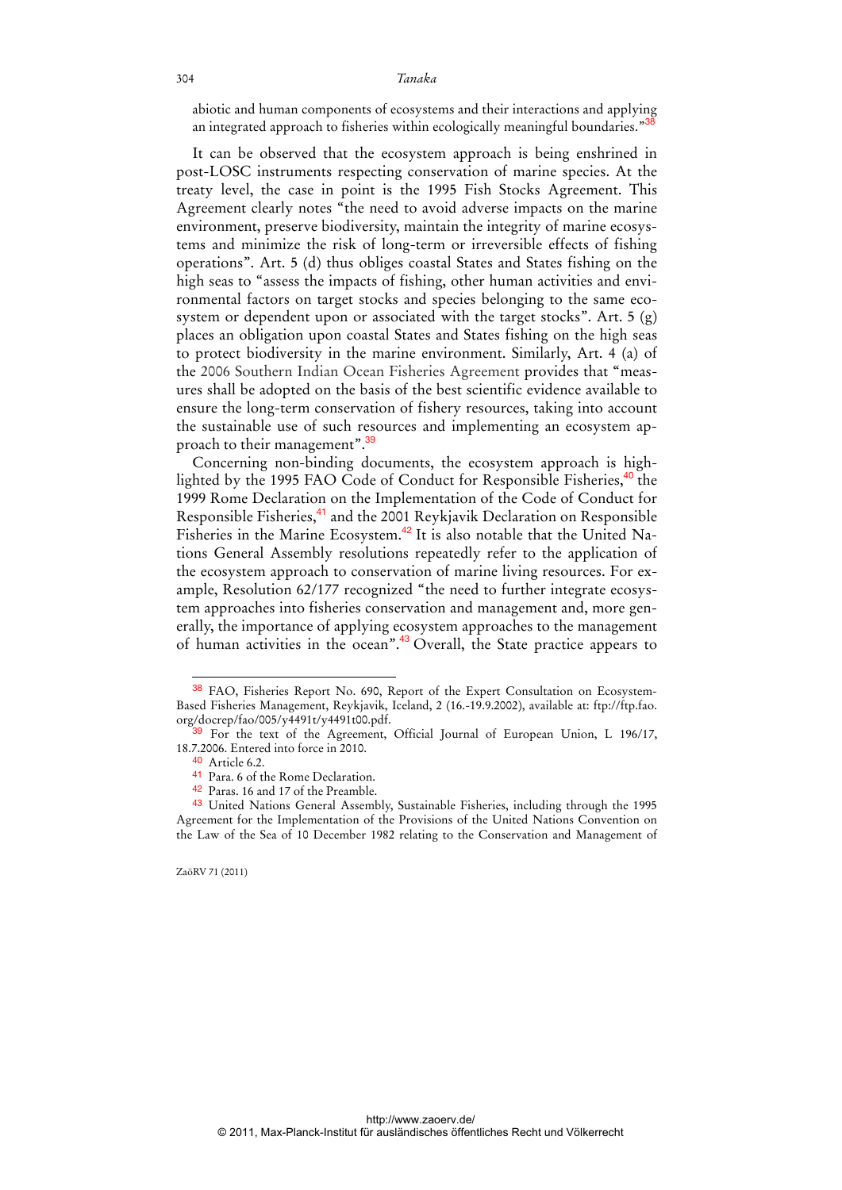abiotic and human components of ecosystems and their interactions and applying an integrated approach to fisheries within ecologically meaningful boundaries."<sup>3</sup>

It can be observed that the ecosystem approach is being enshrined in post-LOSC instruments respecting conservation of marine species. At the treaty level, the case in point is the 1995 Fish Stocks Agreement. This Agreement clearly notes "the need to avoid adverse impacts on the marine environment, preserve biodiversity, maintain the integrity of marine ecosystems and minimize the risk of long-term or irreversible effects of fishing operations". Art. 5 (d) thus obliges coastal States and States fishing on the high seas to "assess the impacts of fishing, other human activities and environmental factors on target stocks and species belonging to the same ecosystem or dependent upon or associated with the target stocks". Art. 5 (g) places an obligation upon coastal States and States fishing on the high seas to protect biodiversity in the marine environment. Similarly, Art. 4 (a) of the 2006 Southern Indian Ocean Fisheries Agreement provides that "measures shall be adopted on the basis of the best scientific evidence available to ensure the long-term conservation of fishery resources, taking into account the sustainable use of such resources and implementing an ecosystem approach to their management".<sup>39</sup>

Concerning non-binding documents, the ecosystem approach is highlighted by the 1995 FAO Code of Conduct for Responsible Fisheries,<sup>40</sup> the 1999 Rome Declaration on the Implementation of the Code of Conduct for Responsible Fisheries,<sup>41</sup> and the 2001 Reykjavik Declaration on Responsible Fisheries in the Marine Ecosystem.<sup>42</sup> It is also notable that the United Nations General Assembly resolutions repeatedly refer to the application of the ecosystem approach to conservation of marine living resources. For example, Resolution 62/177 recognized "the need to further integrate ecosystem approaches into fisheries conservation and management and, more generally, the importance of applying ecosystem approaches to the management of human activities in the ocean".<sup>43</sup> Overall, the State practice appears to

<sup>38</sup> FAO, Fisheries Report No. 690, Report of the Expert Consultation on Ecosystem-Based Fisheries Management, Reykjavik, Iceland, 2 (16.-19.9.2002), available at: ftp://ftp.fao. org/docrep/fao/005/y4491t/y4491t00.pdf.

<sup>&</sup>lt;sup>39</sup> For the text of the Agreement, Official Journal of European Union, L 196/17, 18.7.2006. Entered into force in 2010.

 $40$  Article 6.2.

<sup>41</sup> Para. 6 of the Rome Declaration.

<sup>42</sup> Paras. 16 and 17 of the Preamble.

<sup>43</sup> United Nations General Assembly, Sustainable Fisheries, including through the 1995 Agreement for the Implementation of the Provisions of the United Nations Convention on the Law of the Sea of 10 December 1982 relating to the Conservation and Management of

ZaöRV 71 (2011)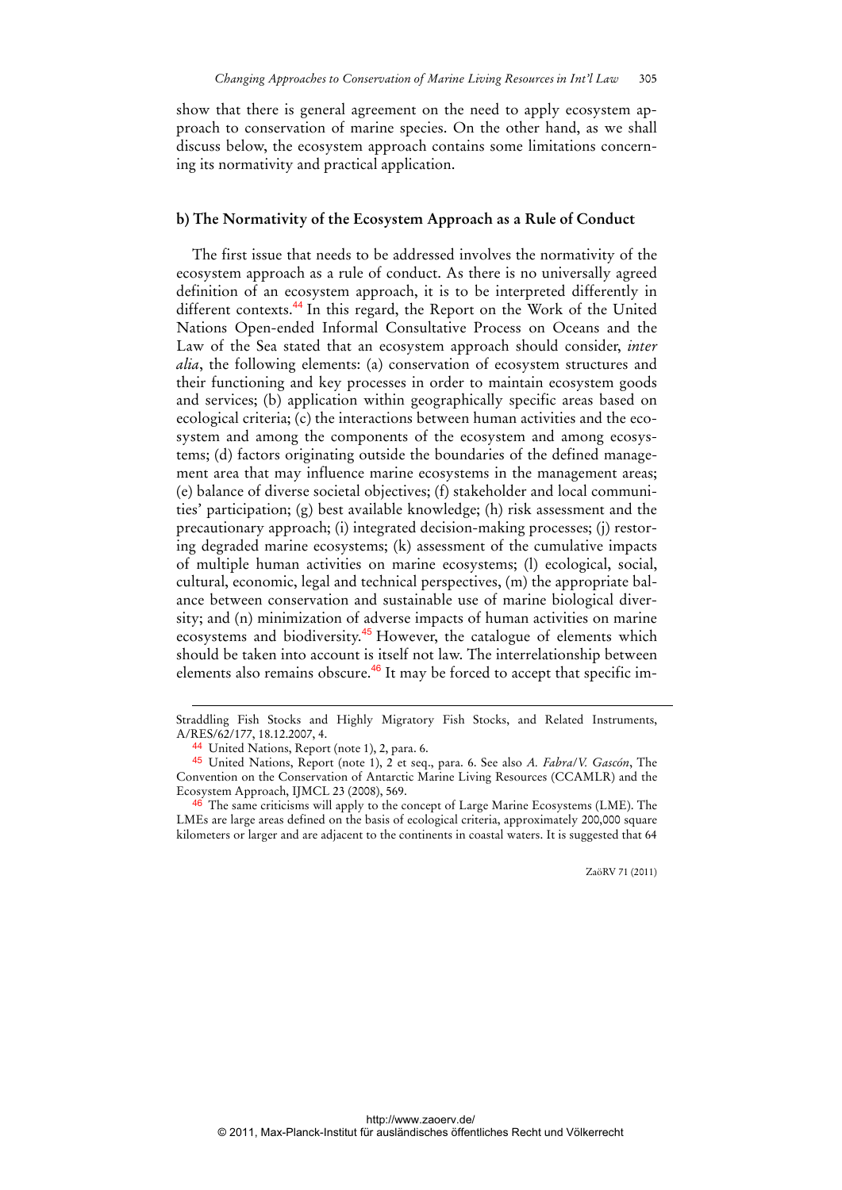show that there is general agreement on the need to apply ecosystem approach to conservation of marine species. On the other hand, as we shall discuss below, the ecosystem approach contains some limitations concerning its normativity and practical application.

#### **b) The Normativity of the Ecosystem Approach as a Rule of Conduct**

The first issue that needs to be addressed involves the normativity of the ecosystem approach as a rule of conduct. As there is no universally agreed definition of an ecosystem approach, it is to be interpreted differently in different contexts.<sup>44</sup> In this regard, the Report on the Work of the United Nations Open-ended Informal Consultative Process on Oceans and the Law of the Sea stated that an ecosystem approach should consider, *inter alia*, the following elements: (a) conservation of ecosystem structures and their functioning and key processes in order to maintain ecosystem goods and services; (b) application within geographically specific areas based on ecological criteria; (c) the interactions between human activities and the ecosystem and among the components of the ecosystem and among ecosystems; (d) factors originating outside the boundaries of the defined management area that may influence marine ecosystems in the management areas; (e) balance of diverse societal objectives; (f) stakeholder and local communities' participation; (g) best available knowledge; (h) risk assessment and the precautionary approach; (i) integrated decision-making processes; (j) restoring degraded marine ecosystems; (k) assessment of the cumulative impacts of multiple human activities on marine ecosystems; (l) ecological, social, cultural, economic, legal and technical perspectives, (m) the appropriate balance between conservation and sustainable use of marine biological diversity; and (n) minimization of adverse impacts of human activities on marine ecosystems and biodiversity.<sup>45</sup> However, the catalogue of elements which should be taken into account is itself not law. The interrelationship between elements also remains obscure.<sup>46</sup> It may be forced to accept that specific im-

-

Straddling Fish Stocks and Highly Migratory Fish Stocks, and Related Instruments, A/RES/62/177, 18.12.2007, 4.

<sup>44</sup> United Nations, Report (note 1), 2, para. 6.

<sup>45</sup> United Nations, Report (note 1), 2 et seq., para. 6. See also *A. Fabra*/*V. Gascón*, The Convention on the Conservation of Antarctic Marine Living Resources (CCAMLR) and the Ecosystem Approach, IJMCL 23 (2008), 569.

 $46$  The same criticisms will apply to the concept of Large Marine Ecosystems (LME). The LMEs are large areas defined on the basis of ecological criteria, approximately 200,000 square kilometers or larger and are adjacent to the continents in coastal waters. It is suggested that 64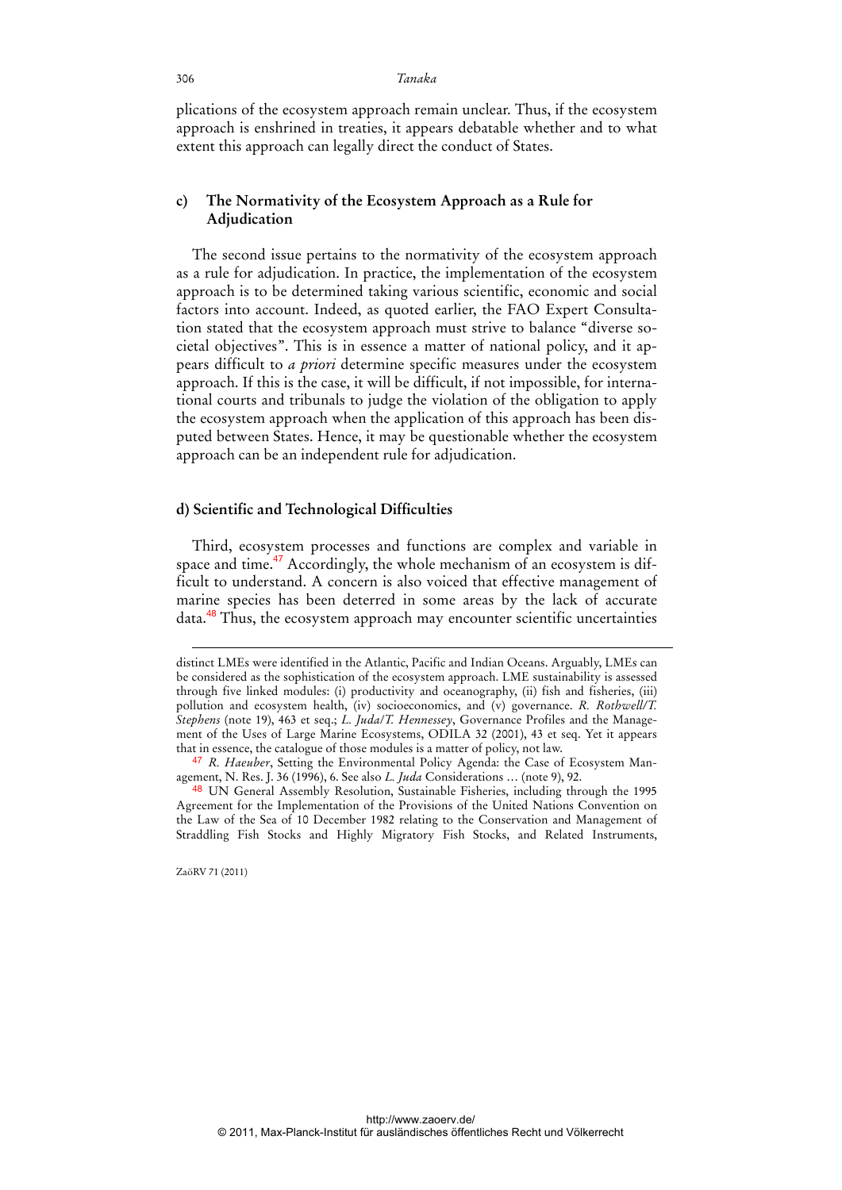plications of the ecosystem approach remain unclear. Thus, if the ecosystem approach is enshrined in treaties, it appears debatable whether and to what extent this approach can legally direct the conduct of States.

### **c) The Normativity of the Ecosystem Approach as a Rule for Adjudication**

The second issue pertains to the normativity of the ecosystem approach as a rule for adjudication. In practice, the implementation of the ecosystem approach is to be determined taking various scientific, economic and social factors into account. Indeed, as quoted earlier, the FAO Expert Consultation stated that the ecosystem approach must strive to balance "diverse societal objectives". This is in essence a matter of national policy, and it appears difficult to *a priori* determine specific measures under the ecosystem approach. If this is the case, it will be difficult, if not impossible, for international courts and tribunals to judge the violation of the obligation to apply the ecosystem approach when the application of this approach has been disputed between States. Hence, it may be questionable whether the ecosystem approach can be an independent rule for adjudication.

#### **d) Scientific and Technological Difficulties**

Third, ecosystem processes and functions are complex and variable in space and time.<sup>47</sup> Accordingly, the whole mechanism of an ecosystem is difficult to understand. A concern is also voiced that effective management of marine species has been deterred in some areas by the lack of accurate data.<sup>48</sup> Thus, the ecosystem approach may encounter scientific uncertainties

ZaöRV 71 (2011)

-

distinct LMEs were identified in the Atlantic, Pacific and Indian Oceans. Arguably, LMEs can be considered as the sophistication of the ecosystem approach. LME sustainability is assessed through five linked modules: (i) productivity and oceanography, (ii) fish and fisheries, (iii) pollution and ecosystem health, (iv) socioeconomics, and (v) governance. *R. Rothwell/T. Stephens* (note 19), 463 et seq.; *L. Juda*/*T. Hennessey*, Governance Profiles and the Management of the Uses of Large Marine Ecosystems, ODILA 32 (2001), 43 et seq. Yet it appears that in essence, the catalogue of those modules is a matter of policy, not law.

<sup>47</sup> *R. Haeuber*, Setting the Environmental Policy Agenda: the Case of Ecosystem Management, N. Res. J. 36 (1996), 6. See also *L. Juda* Considerations … (note 9), 92.

<sup>48</sup> UN General Assembly Resolution, Sustainable Fisheries, including through the 1995 Agreement for the Implementation of the Provisions of the United Nations Convention on the Law of the Sea of 10 December 1982 relating to the Conservation and Management of Straddling Fish Stocks and Highly Migratory Fish Stocks, and Related Instruments,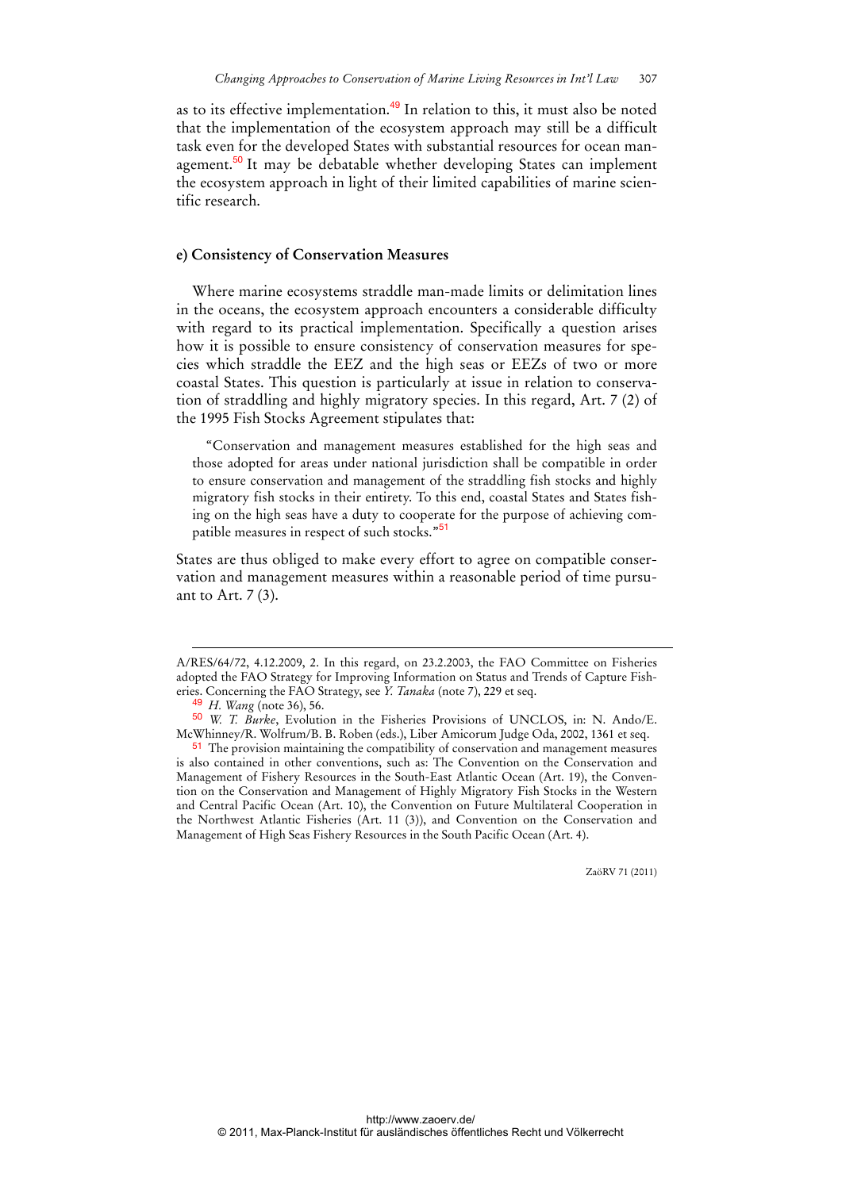as to its effective implementation.<sup>49</sup> In relation to this, it must also be noted that the implementation of the ecosystem approach may still be a difficult task even for the developed States with substantial resources for ocean management.<sup>50</sup> It may be debatable whether developing States can implement the ecosystem approach in light of their limited capabilities of marine scientific research.

#### **e) Consistency of Conservation Measures**

Where marine ecosystems straddle man-made limits or delimitation lines in the oceans, the ecosystem approach encounters a considerable difficulty with regard to its practical implementation. Specifically a question arises how it is possible to ensure consistency of conservation measures for species which straddle the EEZ and the high seas or EEZs of two or more coastal States. This question is particularly at issue in relation to conservation of straddling and highly migratory species. In this regard, Art. 7 (2) of the 1995 Fish Stocks Agreement stipulates that:

"Conservation and management measures established for the high seas and those adopted for areas under national jurisdiction shall be compatible in order to ensure conservation and management of the straddling fish stocks and highly migratory fish stocks in their entirety. To this end, coastal States and States fishing on the high seas have a duty to cooperate for the purpose of achieving compatible measures in respect of such stocks."<sup>51</sup>

States are thus obliged to make every effort to agree on compatible conservation and management measures within a reasonable period of time pursuant to Art. 7 (3).

-

A/RES/64/72, 4.12.2009, 2. In this regard, on 23.2.2003, the FAO Committee on Fisheries adopted the FAO Strategy for Improving Information on Status and Trends of Capture Fisheries. Concerning the FAO Strategy, see *Y. Tanaka* (note 7), 229 et seq.

<sup>49</sup> *H. Wang* (note 36), 56.

<sup>50</sup> *W. T. Burke*, Evolution in the Fisheries Provisions of UNCLOS, in: N. Ando/E. McWhinney/R. Wolfrum/B. B. Roben (eds.), Liber Amicorum Judge Oda, 2002, 1361 et seq.

<sup>&</sup>lt;sup>51</sup> The provision maintaining the compatibility of conservation and management measures is also contained in other conventions, such as: The Convention on the Conservation and Management of Fishery Resources in the South-East Atlantic Ocean (Art. 19), the Convention on the Conservation and Management of Highly Migratory Fish Stocks in the Western and Central Pacific Ocean (Art. 10), the Convention on Future Multilateral Cooperation in the Northwest Atlantic Fisheries (Art. 11 (3)), and Convention on the Conservation and Management of High Seas Fishery Resources in the South Pacific Ocean (Art. 4).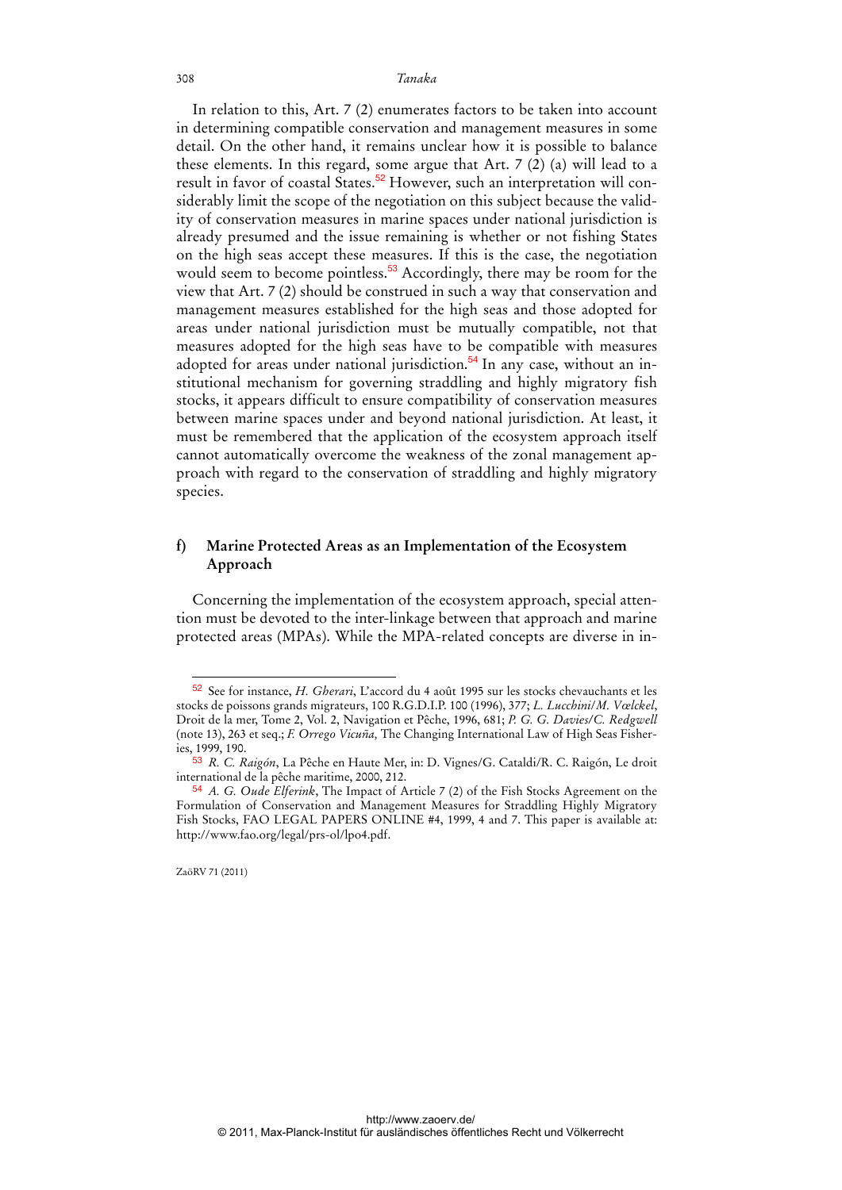In relation to this, Art. 7 (2) enumerates factors to be taken into account in determining compatible conservation and management measures in some detail. On the other hand, it remains unclear how it is possible to balance these elements. In this regard, some argue that Art. 7 (2) (a) will lead to a result in favor of coastal States.<sup>52</sup> However, such an interpretation will considerably limit the scope of the negotiation on this subject because the validity of conservation measures in marine spaces under national jurisdiction is already presumed and the issue remaining is whether or not fishing States on the high seas accept these measures. If this is the case, the negotiation would seem to become pointless.<sup>53</sup> Accordingly, there may be room for the view that Art. 7 (2) should be construed in such a way that conservation and management measures established for the high seas and those adopted for areas under national jurisdiction must be mutually compatible, not that measures adopted for the high seas have to be compatible with measures adopted for areas under national jurisdiction.<sup>54</sup> In any case, without an institutional mechanism for governing straddling and highly migratory fish stocks, it appears difficult to ensure compatibility of conservation measures between marine spaces under and beyond national jurisdiction. At least, it must be remembered that the application of the ecosystem approach itself cannot automatically overcome the weakness of the zonal management approach with regard to the conservation of straddling and highly migratory species.

### **f) Marine Protected Areas as an Implementation of the Ecosystem Approach**

Concerning the implementation of the ecosystem approach, special attention must be devoted to the inter-linkage between that approach and marine protected areas (MPAs). While the MPA-related concepts are diverse in in-

ZaöRV 71 (2011)

<sup>52</sup> See for instance, *H. Gherari*, L'accord du 4 août 1995 sur les stocks chevauchants et les stocks de poissons grands migrateurs, 100 R.G.D.I.P. 100 (1996), 377; *L. Lucchini*/*M. Vœlckel*, Droit de la mer, Tome 2, Vol. 2, Navigation et Pêche, 1996, 681; *P. G. G. Davies/C. Redgwell* (note 13), 263 et seq.; *F. Orrego Vicuña,* The Changing International Law of High Seas Fisheries, 1999, 190.

<sup>53</sup> *R. C. Raigón*, La Pêche en Haute Mer, in: D. Vignes/G. Cataldi/R. C. Raigón, Le droit international de la pêche maritime, 2000, 212.

<sup>54</sup> *A. G. Oude Elferink*, The Impact of Article 7 (2) of the Fish Stocks Agreement on the Formulation of Conservation and Management Measures for Straddling Highly Migratory Fish Stocks, FAO LEGAL PAPERS ONLINE #4, 1999, 4 and 7. This paper is available at: http://www.fao.org/legal/prs-ol/lpo4.pdf.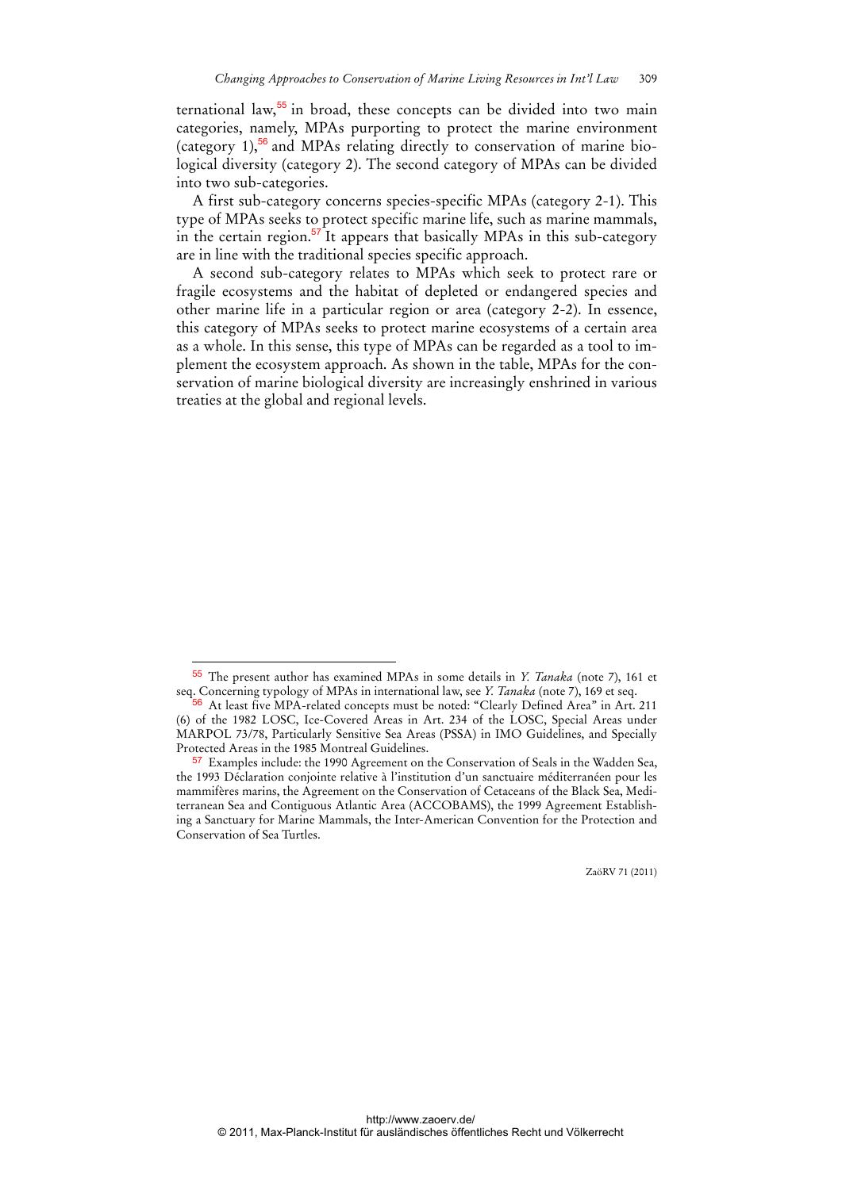ternational law, $55$  in broad, these concepts can be divided into two main categories, namely, MPAs purporting to protect the marine environment (category  $1$ ),<sup>56</sup> and MPAs relating directly to conservation of marine biological diversity (category 2). The second category of MPAs can be divided into two sub-categories.

A first sub-category concerns species-specific MPAs (category 2-1). This type of MPAs seeks to protect specific marine life, such as marine mammals, in the certain region.<sup>57</sup> It appears that basically MPAs in this sub-category are in line with the traditional species specific approach.

A second sub-category relates to MPAs which seek to protect rare or fragile ecosystems and the habitat of depleted or endangered species and other marine life in a particular region or area (category 2-2). In essence, this category of MPAs seeks to protect marine ecosystems of a certain area as a whole. In this sense, this type of MPAs can be regarded as a tool to implement the ecosystem approach. As shown in the table, MPAs for the conservation of marine biological diversity are increasingly enshrined in various treaties at the global and regional levels.

 $\overline{a}$ 

<sup>55</sup> The present author has examined MPAs in some details in *Y. Tanaka* (note 7), 161 et seq. Concerning typology of MPAs in international law, see *Y. Tanaka* (note 7), 169 et seq.

<sup>&</sup>lt;sup>56</sup> At least five MPA-related concepts must be noted: "Clearly Defined Area" in Art. 211 (6) of the 1982 LOSC, Ice-Covered Areas in Art. 234 of the LOSC, Special Areas under MARPOL 73/78, Particularly Sensitive Sea Areas (PSSA) in IMO Guidelines, and Specially Protected Areas in the 1985 Montreal Guidelines.

<sup>57</sup> Examples include: the 1990 Agreement on the Conservation of Seals in the Wadden Sea, the 1993 Déclaration conjointe relative à l'institution d'un sanctuaire méditerranéen pour les mammifères marins, the Agreement on the Conservation of Cetaceans of the Black Sea, Mediterranean Sea and Contiguous Atlantic Area (ACCOBAMS), the 1999 Agreement Establishing a Sanctuary for Marine Mammals, the Inter-American Convention for the Protection and Conservation of Sea Turtles.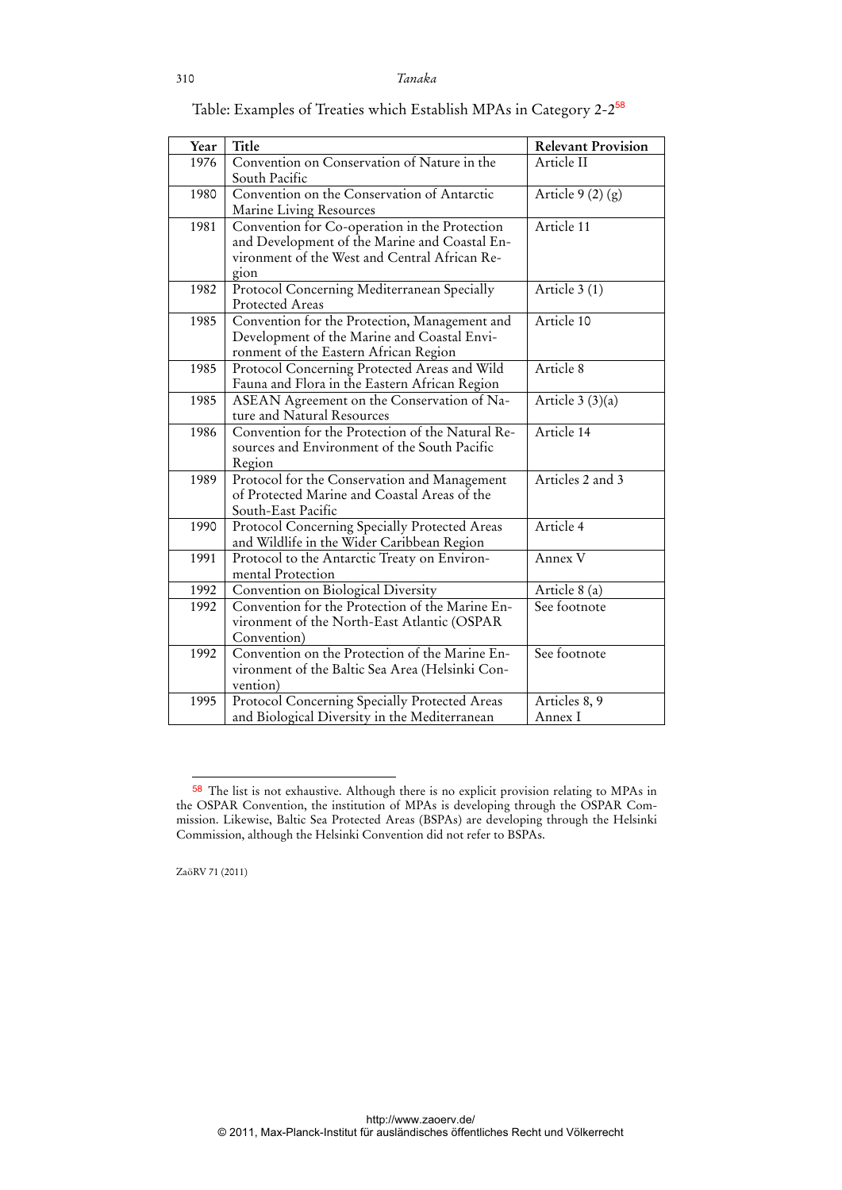| Year | Title                                                                                                                                                   | <b>Relevant Provision</b> |
|------|---------------------------------------------------------------------------------------------------------------------------------------------------------|---------------------------|
| 1976 | Convention on Conservation of Nature in the<br>South Pacific                                                                                            | Article II                |
| 1980 | Convention on the Conservation of Antarctic<br>Marine Living Resources                                                                                  | Article $9(2)(g)$         |
| 1981 | Convention for Co-operation in the Protection<br>and Development of the Marine and Coastal En-<br>vironment of the West and Central African Re-<br>gion | Article 11                |
| 1982 | Protocol Concerning Mediterranean Specially<br>Protected Areas                                                                                          | Article 3 (1)             |
| 1985 | Convention for the Protection, Management and<br>Development of the Marine and Coastal Envi-<br>ronment of the Eastern African Region                   | Article 10                |
| 1985 | Protocol Concerning Protected Areas and Wild<br>Fauna and Flora in the Eastern African Region                                                           | Article 8                 |
| 1985 | ASEAN Agreement on the Conservation of Na-<br>ture and Natural Resources                                                                                | Article $3(3)(a)$         |
| 1986 | Convention for the Protection of the Natural Re-<br>sources and Environment of the South Pacific<br>Region                                              | Article 14                |
| 1989 | Protocol for the Conservation and Management<br>of Protected Marine and Coastal Areas of the<br>South-East Pacific                                      | Articles 2 and 3          |
| 1990 | Protocol Concerning Specially Protected Areas<br>and Wildlife in the Wider Caribbean Region                                                             | Article 4                 |
| 1991 | Protocol to the Antarctic Treaty on Environ-<br>mental Protection                                                                                       | Annex V                   |
| 1992 | Convention on Biological Diversity                                                                                                                      | Article 8 (a)             |
| 1992 | Convention for the Protection of the Marine En-<br>vironment of the North-East Atlantic (OSPAR<br>Convention)                                           | See footnote              |
| 1992 | Convention on the Protection of the Marine En-<br>vironment of the Baltic Sea Area (Helsinki Con-<br>vention)                                           | See footnote              |
| 1995 | Protocol Concerning Specially Protected Areas<br>and Biological Diversity in the Mediterranean                                                          | Articles 8, 9<br>Annex I  |

Table: Examples of Treaties which Establish MPAs in Category 2-2<sup>58</sup>

ZaöRV 71 (2011)

<sup>&</sup>lt;sup>58</sup> The list is not exhaustive. Although there is no explicit provision relating to MPAs in the OSPAR Convention, the institution of MPAs is developing through the OSPAR Commission. Likewise, Baltic Sea Protected Areas (BSPAs) are developing through the Helsinki Commission, although the Helsinki Convention did not refer to BSPAs.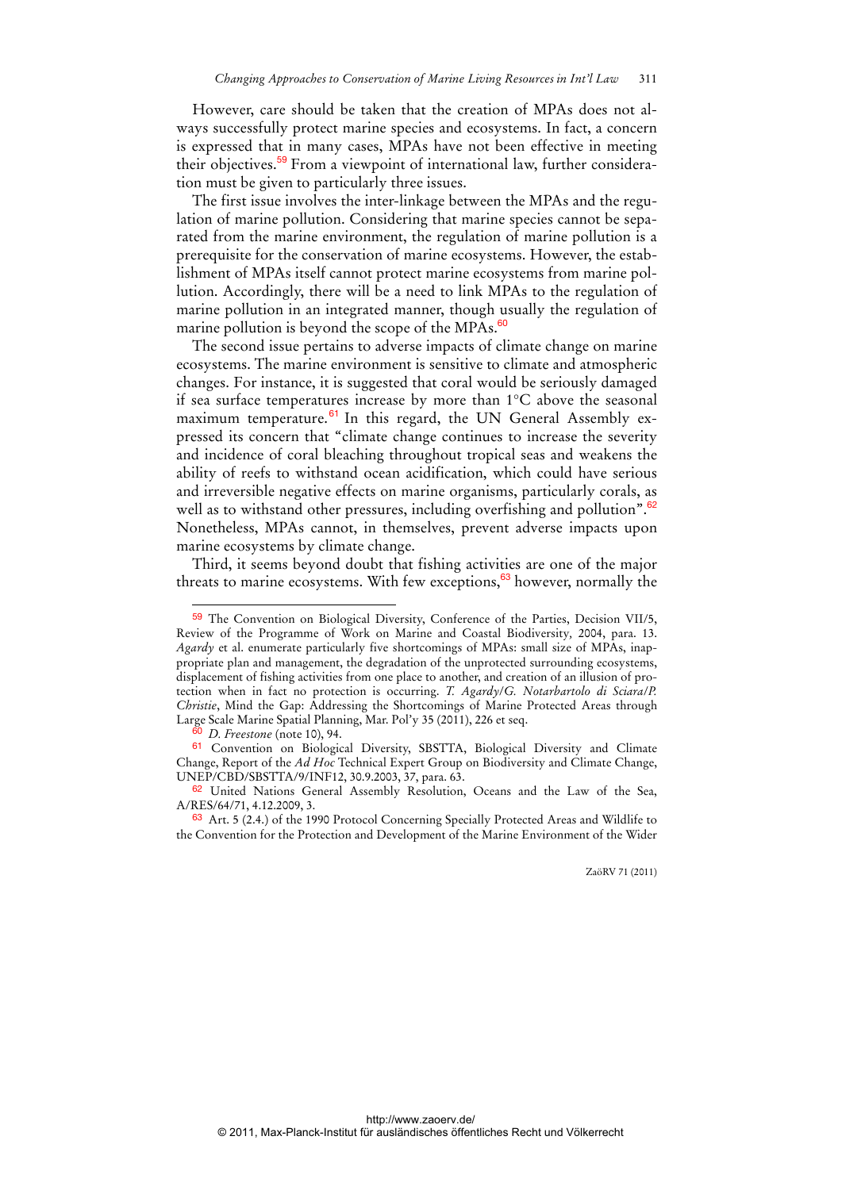However, care should be taken that the creation of MPAs does not always successfully protect marine species and ecosystems. In fact, a concern is expressed that in many cases, MPAs have not been effective in meeting their objectives.59 From a viewpoint of international law, further consideration must be given to particularly three issues.

The first issue involves the inter-linkage between the MPAs and the regulation of marine pollution. Considering that marine species cannot be separated from the marine environment, the regulation of marine pollution is a prerequisite for the conservation of marine ecosystems. However, the establishment of MPAs itself cannot protect marine ecosystems from marine pollution. Accordingly, there will be a need to link MPAs to the regulation of marine pollution in an integrated manner, though usually the regulation of marine pollution is beyond the scope of the MPAs. $60$ 

The second issue pertains to adverse impacts of climate change on marine ecosystems. The marine environment is sensitive to climate and atmospheric changes. For instance, it is suggested that coral would be seriously damaged if sea surface temperatures increase by more than 1°C above the seasonal maximum temperature.<sup>61</sup> In this regard, the UN General Assembly expressed its concern that "climate change continues to increase the severity and incidence of coral bleaching throughout tropical seas and weakens the ability of reefs to withstand ocean acidification, which could have serious and irreversible negative effects on marine organisms, particularly corals, as well as to withstand other pressures, including overfishing and pollution".<sup>62</sup> Nonetheless, MPAs cannot, in themselves, prevent adverse impacts upon marine ecosystems by climate change.

Third, it seems beyond doubt that fishing activities are one of the major threats to marine ecosystems. With few exceptions,  $63$  however, normally the

 $\overline{a}$ 

<sup>59</sup> The Convention on Biological Diversity, Conference of the Parties, Decision VII/5, Review of the Programme of Work on Marine and Coastal Biodiversity*,* 2004, para. 13. *Agardy* et al. enumerate particularly five shortcomings of MPAs: small size of MPAs, inappropriate plan and management, the degradation of the unprotected surrounding ecosystems, displacement of fishing activities from one place to another, and creation of an illusion of protection when in fact no protection is occurring. *T. Agardy*/*G. Notarbartolo di Sciara*/*P. Christie*, Mind the Gap: Addressing the Shortcomings of Marine Protected Areas through Large Scale Marine Spatial Planning, Mar. Pol'y 35 (2011), 226 et seq.

<sup>60</sup> *D. Freestone* (note 10), 94.

<sup>61</sup> Convention on Biological Diversity, SBSTTA, Biological Diversity and Climate Change, Report of the *Ad Hoc* Technical Expert Group on Biodiversity and Climate Change, UNEP/CBD/SBSTTA/9/INF12, 30.9.2003, 37, para. 63.

<sup>62</sup> United Nations General Assembly Resolution, Oceans and the Law of the Sea, A/RES/64/71, 4.12.2009, 3.

<sup>63</sup> Art. 5 (2.4.) of the 1990 Protocol Concerning Specially Protected Areas and Wildlife to the Convention for the Protection and Development of the Marine Environment of the Wider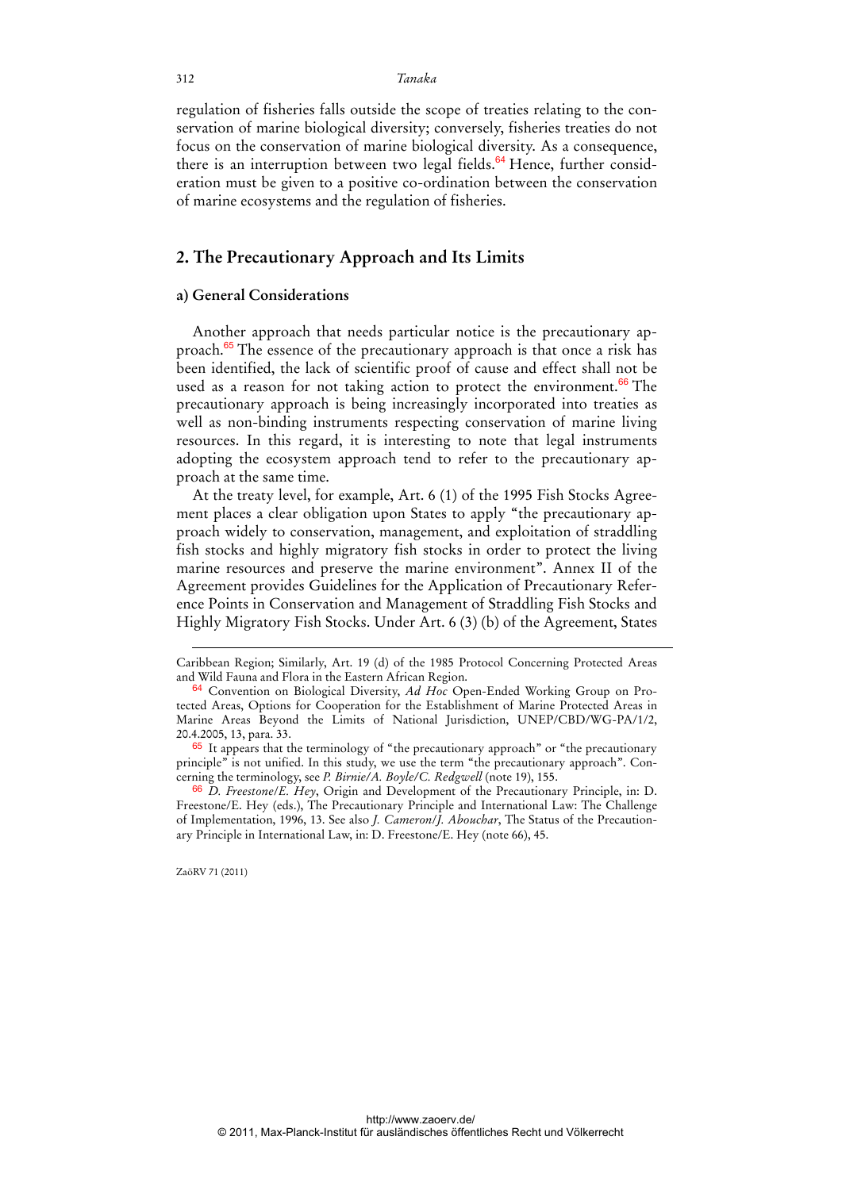regulation of fisheries falls outside the scope of treaties relating to the conservation of marine biological diversity; conversely, fisheries treaties do not focus on the conservation of marine biological diversity. As a consequence, there is an interruption between two legal fields.<sup>64</sup> Hence, further consideration must be given to a positive co-ordination between the conservation of marine ecosystems and the regulation of fisheries.

### **2. The Precautionary Approach and Its Limits**

#### **a) General Considerations**

Another approach that needs particular notice is the precautionary approach.<sup>65</sup> The essence of the precautionary approach is that once a risk has been identified, the lack of scientific proof of cause and effect shall not be used as a reason for not taking action to protect the environment.<sup>66</sup> The precautionary approach is being increasingly incorporated into treaties as well as non-binding instruments respecting conservation of marine living resources. In this regard, it is interesting to note that legal instruments adopting the ecosystem approach tend to refer to the precautionary approach at the same time.

At the treaty level, for example, Art. 6 (1) of the 1995 Fish Stocks Agreement places a clear obligation upon States to apply "the precautionary approach widely to conservation, management, and exploitation of straddling fish stocks and highly migratory fish stocks in order to protect the living marine resources and preserve the marine environment". Annex II of the Agreement provides Guidelines for the Application of Precautionary Reference Points in Conservation and Management of Straddling Fish Stocks and Highly Migratory Fish Stocks. Under Art. 6 (3) (b) of the Agreement, States

ZaöRV 71 (2011)

-

Caribbean Region; Similarly, Art. 19 (d) of the 1985 Protocol Concerning Protected Areas and Wild Fauna and Flora in the Eastern African Region.

<sup>64</sup> Convention on Biological Diversity, *Ad Hoc* Open-Ended Working Group on Protected Areas, Options for Cooperation for the Establishment of Marine Protected Areas in Marine Areas Beyond the Limits of National Jurisdiction, UNEP/CBD/WG-PA/1/2, 20.4.2005, 13, para. 33.

<sup>&</sup>lt;sup>65</sup> It appears that the terminology of "the precautionary approach" or "the precautionary principle" is not unified. In this study, we use the term "the precautionary approach". Concerning the terminology, see *P. Birnie/A. Boyle/C. Redgwell* (note 19), 155.

<sup>66</sup> *D. Freestone*/*E. Hey*, Origin and Development of the Precautionary Principle, in: D. Freestone/E. Hey (eds.), The Precautionary Principle and International Law: The Challenge of Implementation, 1996, 13. See also *J. Cameron*/*J. Abouchar*, The Status of the Precautionary Principle in International Law, in: D. Freestone/E. Hey (note 66), 45.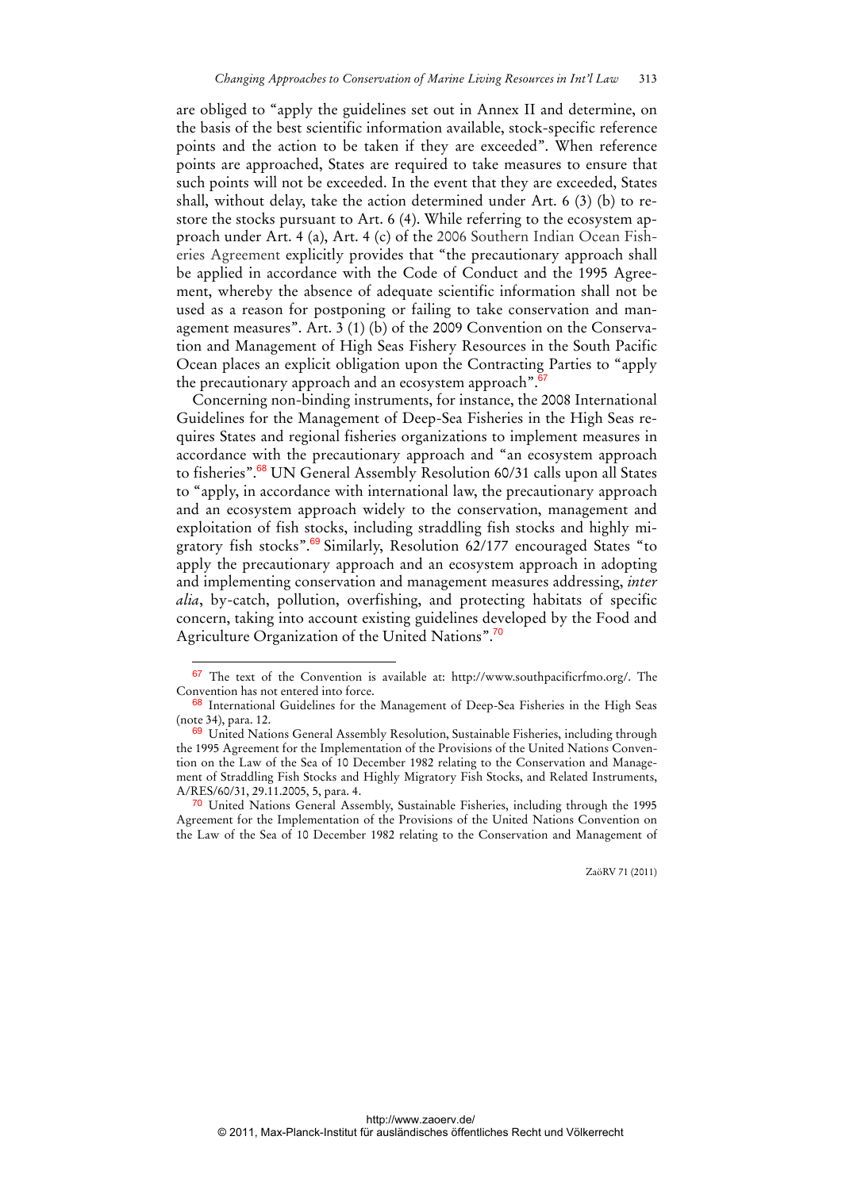are obliged to "apply the guidelines set out in Annex II and determine, on the basis of the best scientific information available, stock-specific reference points and the action to be taken if they are exceeded". When reference points are approached, States are required to take measures to ensure that such points will not be exceeded. In the event that they are exceeded, States shall, without delay, take the action determined under Art. 6 (3) (b) to restore the stocks pursuant to Art. 6 (4). While referring to the ecosystem approach under Art. 4 (a), Art. 4 (c) of the 2006 Southern Indian Ocean Fisheries Agreement explicitly provides that "the precautionary approach shall be applied in accordance with the Code of Conduct and the 1995 Agreement, whereby the absence of adequate scientific information shall not be used as a reason for postponing or failing to take conservation and management measures". Art. 3 (1) (b) of the 2009 Convention on the Conservation and Management of High Seas Fishery Resources in the South Pacific Ocean places an explicit obligation upon the Contracting Parties to "apply the precautionary approach and an ecosystem approach". $67$ 

Concerning non-binding instruments, for instance, the 2008 International Guidelines for the Management of Deep-Sea Fisheries in the High Seas requires States and regional fisheries organizations to implement measures in accordance with the precautionary approach and "an ecosystem approach to fisheries".<sup>68</sup> UN General Assembly Resolution 60/31 calls upon all States to "apply, in accordance with international law, the precautionary approach and an ecosystem approach widely to the conservation, management and exploitation of fish stocks, including straddling fish stocks and highly migratory fish stocks".<sup>69</sup> Similarly, Resolution 62/177 encouraged States "to apply the precautionary approach and an ecosystem approach in adopting and implementing conservation and management measures addressing, *inter alia*, by-catch, pollution, overfishing, and protecting habitats of specific concern, taking into account existing guidelines developed by the Food and Agriculture Organization of the United Nations".<sup>70</sup>

 $\overline{a}$ 

<sup>67</sup> The text of the Convention is available at: http://www.southpacificrfmo.org/. The Convention has not entered into force.

<sup>&</sup>lt;sup>68</sup> International Guidelines for the Management of Deep-Sea Fisheries in the High Seas (note 34), para. 12.

<sup>69</sup> United Nations General Assembly Resolution, Sustainable Fisheries, including through the 1995 Agreement for the Implementation of the Provisions of the United Nations Convention on the Law of the Sea of 10 December 1982 relating to the Conservation and Management of Straddling Fish Stocks and Highly Migratory Fish Stocks, and Related Instruments, A/RES/60/31, 29.11.2005, 5, para. 4.

<sup>&</sup>lt;sup>70</sup> United Nations General Assembly, Sustainable Fisheries, including through the 1995 Agreement for the Implementation of the Provisions of the United Nations Convention on the Law of the Sea of 10 December 1982 relating to the Conservation and Management of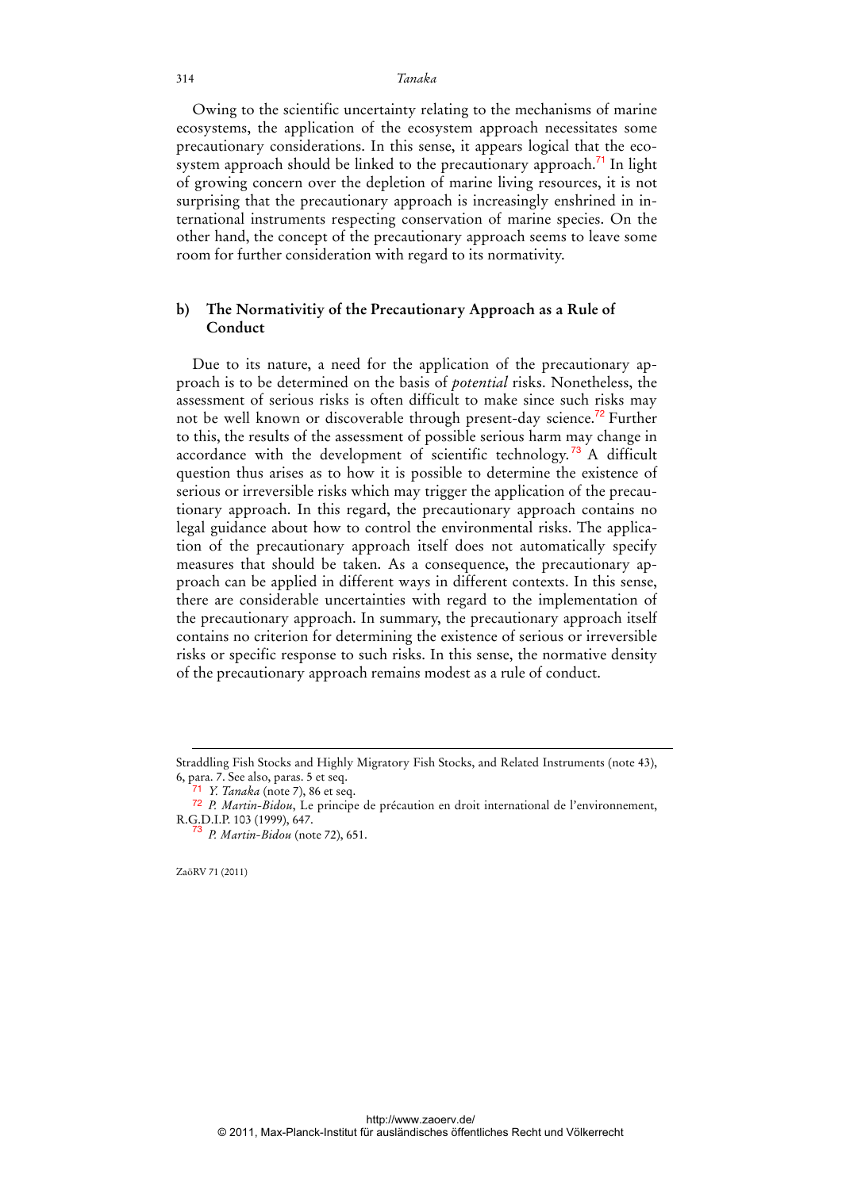Owing to the scientific uncertainty relating to the mechanisms of marine ecosystems, the application of the ecosystem approach necessitates some precautionary considerations. In this sense, it appears logical that the ecosystem approach should be linked to the precautionary approach.<sup>71</sup> In light of growing concern over the depletion of marine living resources, it is not surprising that the precautionary approach is increasingly enshrined in international instruments respecting conservation of marine species. On the other hand, the concept of the precautionary approach seems to leave some room for further consideration with regard to its normativity.

### **b) The Normativitiy of the Precautionary Approach as a Rule of Conduct**

Due to its nature, a need for the application of the precautionary approach is to be determined on the basis of *potential* risks. Nonetheless, the assessment of serious risks is often difficult to make since such risks may not be well known or discoverable through present-day science.<sup>72</sup> Further to this, the results of the assessment of possible serious harm may change in accordance with the development of scientific technology.<sup>73</sup> A difficult question thus arises as to how it is possible to determine the existence of serious or irreversible risks which may trigger the application of the precautionary approach. In this regard, the precautionary approach contains no legal guidance about how to control the environmental risks. The application of the precautionary approach itself does not automatically specify measures that should be taken. As a consequence, the precautionary approach can be applied in different ways in different contexts. In this sense, there are considerable uncertainties with regard to the implementation of the precautionary approach. In summary, the precautionary approach itself contains no criterion for determining the existence of serious or irreversible risks or specific response to such risks. In this sense, the normative density of the precautionary approach remains modest as a rule of conduct.

ZaöRV 71 (2011)

-

Straddling Fish Stocks and Highly Migratory Fish Stocks, and Related Instruments (note 43), 6, para. 7. See also, paras. 5 et seq.

<sup>71</sup> *Y. Tanaka* (note 7), 86 et seq.

<sup>72</sup> *P. Martin-Bidou*, Le principe de précaution en droit international de l'environnement, R.G.D.I.P. 103 (1999), 647. <sup>73</sup> *P. Martin-Bidou* (note 72), 651.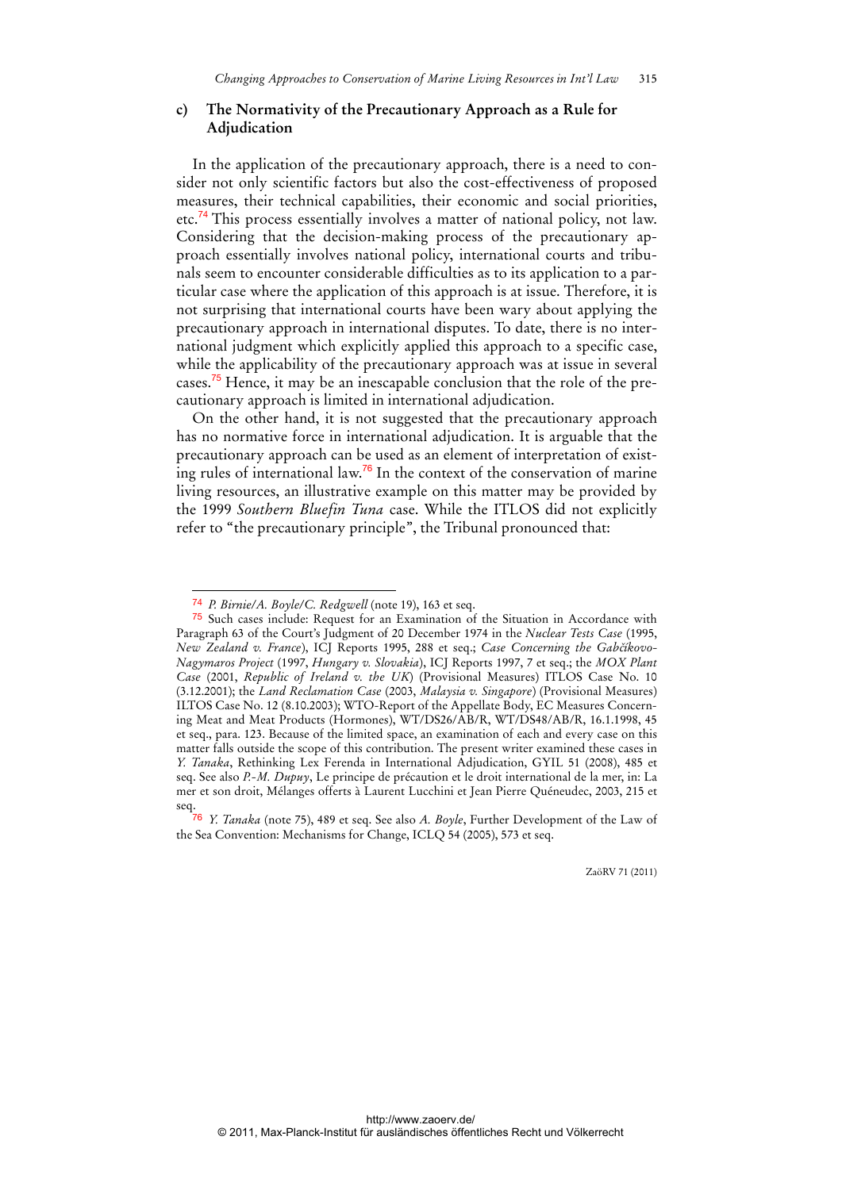### **c) The Normativity of the Precautionary Approach as a Rule for Adjudication**

In the application of the precautionary approach, there is a need to consider not only scientific factors but also the cost-effectiveness of proposed measures, their technical capabilities, their economic and social priorities, etc.<sup>74</sup> This process essentially involves a matter of national policy, not law. Considering that the decision-making process of the precautionary approach essentially involves national policy, international courts and tribunals seem to encounter considerable difficulties as to its application to a particular case where the application of this approach is at issue. Therefore, it is not surprising that international courts have been wary about applying the precautionary approach in international disputes. To date, there is no international judgment which explicitly applied this approach to a specific case, while the applicability of the precautionary approach was at issue in several cases.75 Hence, it may be an inescapable conclusion that the role of the precautionary approach is limited in international adjudication.

On the other hand, it is not suggested that the precautionary approach has no normative force in international adjudication. It is arguable that the precautionary approach can be used as an element of interpretation of existing rules of international law.<sup>76</sup> In the context of the conservation of marine living resources, an illustrative example on this matter may be provided by the 1999 *Southern Bluefin Tuna* case. While the ITLOS did not explicitly refer to "the precautionary principle", the Tribunal pronounced that:

 $\overline{a}$ 

<sup>74</sup> *P. Birnie/A. Boyle/C. Redgwell* (note 19), 163 et seq.

<sup>75</sup> Such cases include: Request for an Examination of the Situation in Accordance with Paragraph 63 of the Court's Judgment of 20 December 1974 in the *Nuclear Tests Case* (1995, *New Zealand v. France*), ICJ Reports 1995, 288 et seq.; *Case Concerning the Gabčíkovo-Nagymaros Project* (1997, *Hungary v. Slovakia*), ICJ Reports 1997, 7 et seq.; the *MOX Plant Case* (2001, *Republic of Ireland v. the UK*) (Provisional Measures) ITLOS Case No. 10 (3.12.2001); the *Land Reclamation Case* (2003, *Malaysia v. Singapore*) (Provisional Measures) ILTOS Case No. 12 (8.10.2003); WTO-Report of the Appellate Body, EC Measures Concerning Meat and Meat Products (Hormones), WT/DS26/AB/R, WT/DS48/AB/R, 16.1.1998, 45 et seq., para. 123. Because of the limited space, an examination of each and every case on this matter falls outside the scope of this contribution. The present writer examined these cases in *Y. Tanaka*, Rethinking Lex Ferenda in International Adjudication, GYIL 51 (2008), 485 et seq. See also *P.-M. Dupuy*, Le principe de précaution et le droit international de la mer, in: La mer et son droit, Mélanges offerts à Laurent Lucchini et Jean Pierre Quéneudec, 2003, 215 et seq.

<sup>76</sup> *Y. Tanaka* (note 75), 489 et seq. See also *A. Boyle*, Further Development of the Law of the Sea Convention: Mechanisms for Change, ICLQ 54 (2005), 573 et seq.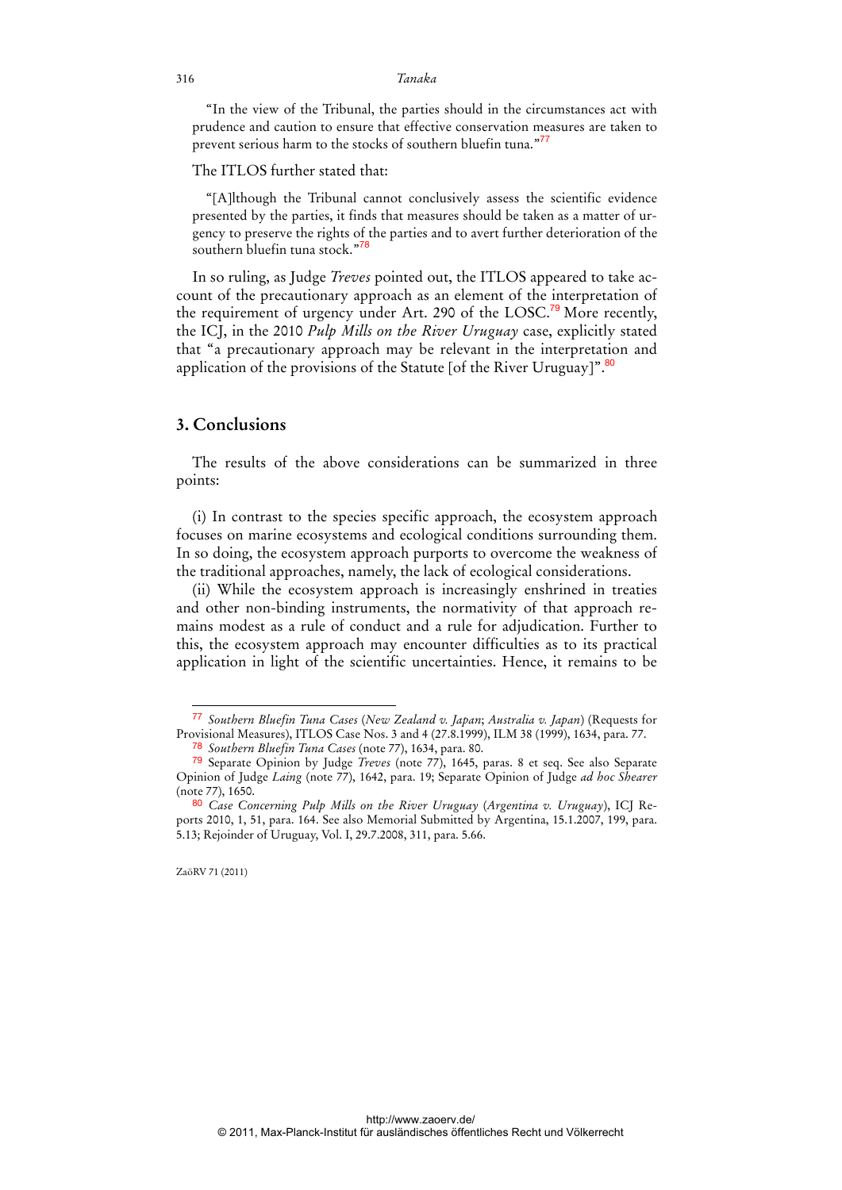"In the view of the Tribunal, the parties should in the circumstances act with prudence and caution to ensure that effective conservation measures are taken to prevent serious harm to the stocks of southern bluefin tuna."<sup>77</sup>

#### The ITLOS further stated that:

"[A]lthough the Tribunal cannot conclusively assess the scientific evidence presented by the parties, it finds that measures should be taken as a matter of urgency to preserve the rights of the parties and to avert further deterioration of the southern bluefin tuna stock."<sup>78</sup>

In so ruling, as Judge *Treves* pointed out, the ITLOS appeared to take account of the precautionary approach as an element of the interpretation of the requirement of urgency under Art. 290 of the LOSC.<sup>79</sup> More recently, the ICJ, in the 2010 *Pulp Mills on the River Uruguay* case, explicitly stated that "a precautionary approach may be relevant in the interpretation and application of the provisions of the Statute [of the River Uruguay]".<sup>80</sup>

### **3. Conclusions**

The results of the above considerations can be summarized in three points:

(i) In contrast to the species specific approach, the ecosystem approach focuses on marine ecosystems and ecological conditions surrounding them. In so doing, the ecosystem approach purports to overcome the weakness of the traditional approaches, namely, the lack of ecological considerations.

(ii) While the ecosystem approach is increasingly enshrined in treaties and other non-binding instruments, the normativity of that approach remains modest as a rule of conduct and a rule for adjudication. Further to this, the ecosystem approach may encounter difficulties as to its practical application in light of the scientific uncertainties. Hence, it remains to be

<sup>77</sup> *Southern Bluefin Tuna Cases* (*New Zealand v. Japan*; *Australia v. Japan*) (Requests for Provisional Measures), ITLOS Case Nos. 3 and 4 (27.8.1999), ILM 38 (1999), 1634, para. 77.

<sup>78</sup> *Southern Bluefin Tuna Cases* (note 77), 1634, para. 80.

<sup>79</sup> Separate Opinion by Judge *Treves* (note 77), 1645, paras. 8 et seq. See also Separate Opinion of Judge *Laing* (note 77), 1642, para. 19; Separate Opinion of Judge *ad hoc Shearer* (note 77), 1650.

<sup>80</sup> *Case Concerning Pulp Mills on the River Uruguay* (*Argentina v. Uruguay*), ICJ Reports 2010, 1, 51, para. 164. See also Memorial Submitted by Argentina, 15.1.2007, 199, para. 5.13; Rejoinder of Uruguay, Vol. I, 29.7.2008, 311, para. 5.66.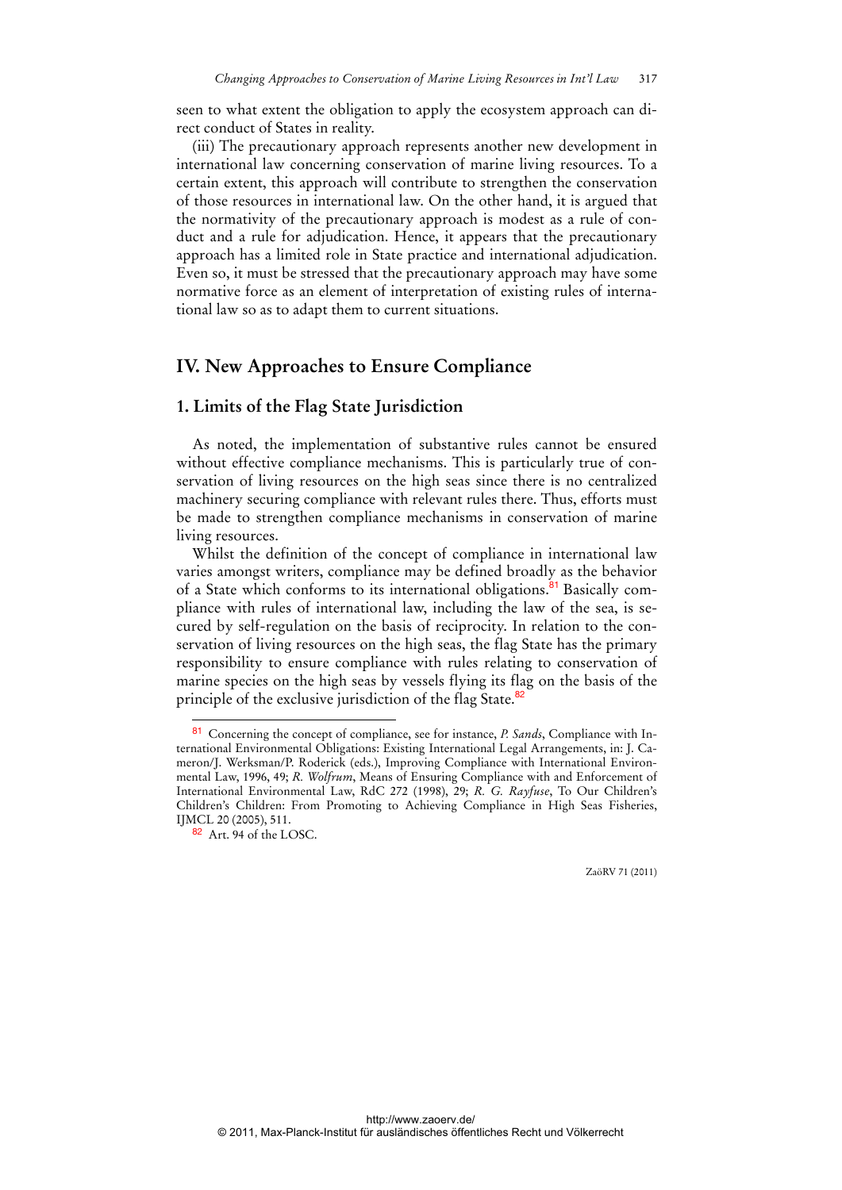seen to what extent the obligation to apply the ecosystem approach can direct conduct of States in reality.

(iii) The precautionary approach represents another new development in international law concerning conservation of marine living resources. To a certain extent, this approach will contribute to strengthen the conservation of those resources in international law. On the other hand, it is argued that the normativity of the precautionary approach is modest as a rule of conduct and a rule for adjudication. Hence, it appears that the precautionary approach has a limited role in State practice and international adjudication. Even so, it must be stressed that the precautionary approach may have some normative force as an element of interpretation of existing rules of international law so as to adapt them to current situations.

## **IV. New Approaches to Ensure Compliance**

### **1. Limits of the Flag State Jurisdiction**

As noted, the implementation of substantive rules cannot be ensured without effective compliance mechanisms. This is particularly true of conservation of living resources on the high seas since there is no centralized machinery securing compliance with relevant rules there. Thus, efforts must be made to strengthen compliance mechanisms in conservation of marine living resources.

Whilst the definition of the concept of compliance in international law varies amongst writers, compliance may be defined broadly as the behavior of a State which conforms to its international obligations.<sup>81</sup> Basically compliance with rules of international law, including the law of the sea, is secured by self-regulation on the basis of reciprocity. In relation to the conservation of living resources on the high seas, the flag State has the primary responsibility to ensure compliance with rules relating to conservation of marine species on the high seas by vessels flying its flag on the basis of the principle of the exclusive jurisdiction of the flag State.<sup>82</sup>

 $\overline{a}$ 

<sup>81</sup> Concerning the concept of compliance, see for instance, *P. Sands*, Compliance with International Environmental Obligations: Existing International Legal Arrangements, in: J. Cameron/J. Werksman/P. Roderick (eds.), Improving Compliance with International Environmental Law, 1996, 49; *R. Wolfrum*, Means of Ensuring Compliance with and Enforcement of International Environmental Law, RdC 272 (1998), 29; *R. G. Rayfuse*, To Our Children's Children's Children: From Promoting to Achieving Compliance in High Seas Fisheries, IJMCL 20 (2005), 511.

<sup>82</sup> Art. 94 of the LOSC.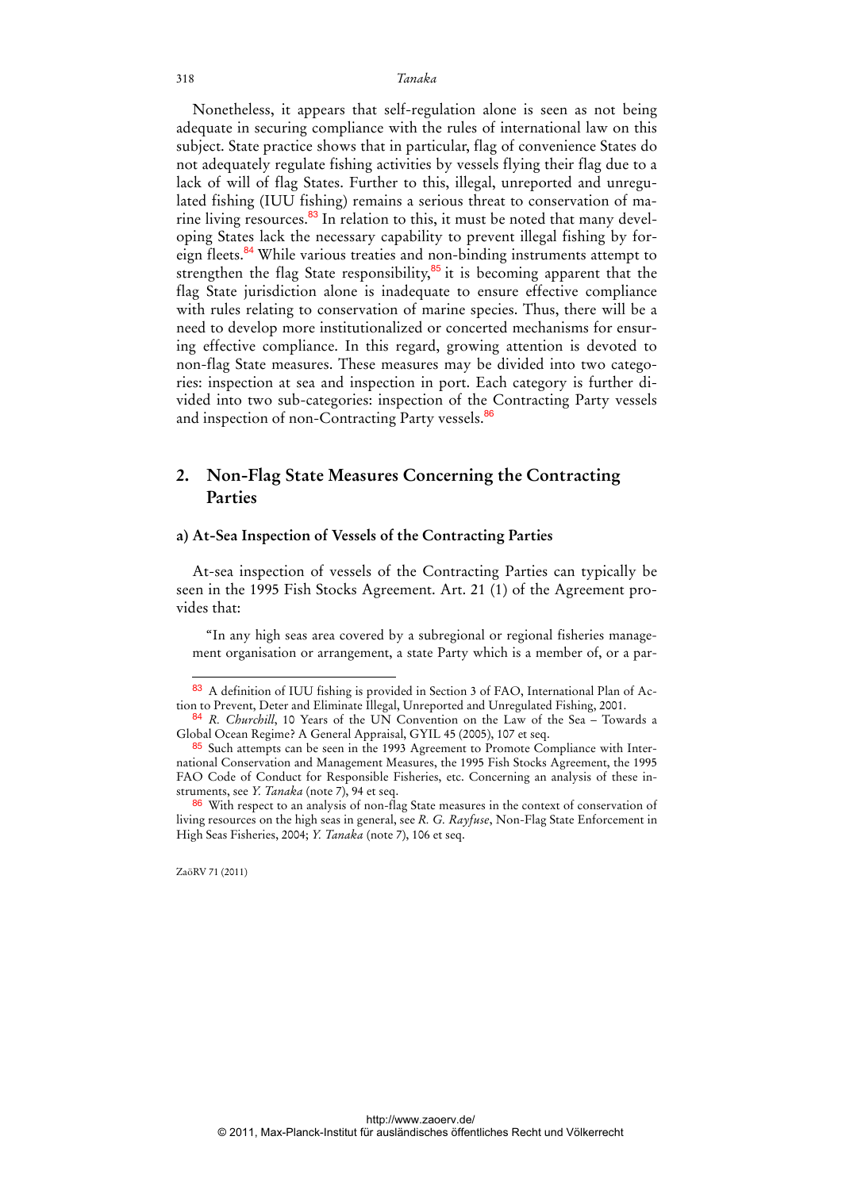Nonetheless, it appears that self-regulation alone is seen as not being adequate in securing compliance with the rules of international law on this subject. State practice shows that in particular, flag of convenience States do not adequately regulate fishing activities by vessels flying their flag due to a lack of will of flag States. Further to this, illegal, unreported and unregulated fishing (IUU fishing) remains a serious threat to conservation of marine living resources. $83$  In relation to this, it must be noted that many developing States lack the necessary capability to prevent illegal fishing by foreign fleets.<sup>84</sup> While various treaties and non-binding instruments attempt to strengthen the flag State responsibility, $85$  it is becoming apparent that the flag State jurisdiction alone is inadequate to ensure effective compliance with rules relating to conservation of marine species. Thus, there will be a need to develop more institutionalized or concerted mechanisms for ensuring effective compliance. In this regard, growing attention is devoted to non-flag State measures. These measures may be divided into two categories: inspection at sea and inspection in port. Each category is further divided into two sub-categories: inspection of the Contracting Party vessels and inspection of non-Contracting Party vessels.<sup>86</sup>

## **2. Non-Flag State Measures Concerning the Contracting Parties**

### **a) At-Sea Inspection of Vessels of the Contracting Parties**

At-sea inspection of vessels of the Contracting Parties can typically be seen in the 1995 Fish Stocks Agreement. Art. 21 (1) of the Agreement provides that:

"In any high seas area covered by a subregional or regional fisheries management organisation or arrangement, a state Party which is a member of, or a par-

ZaöRV 71 (2011)

<sup>83</sup> A definition of IUU fishing is provided in Section 3 of FAO, International Plan of Action to Prevent, Deter and Eliminate Illegal, Unreported and Unregulated Fishing, 2001.

<sup>84</sup> *R. Churchill*, 10 Years of the UN Convention on the Law of the Sea – Towards a Global Ocean Regime? A General Appraisal, GYIL 45 (2005), 107 et seq.

<sup>85</sup> Such attempts can be seen in the 1993 Agreement to Promote Compliance with International Conservation and Management Measures, the 1995 Fish Stocks Agreement, the 1995 FAO Code of Conduct for Responsible Fisheries, etc. Concerning an analysis of these instruments, see *Y. Tanaka* (note 7), 94 et seq.

 $86$  With respect to an analysis of non-flag State measures in the context of conservation of living resources on the high seas in general, see *R. G. Rayfuse*, Non-Flag State Enforcement in High Seas Fisheries, 2004; *Y. Tanaka* (note 7), 106 et seq.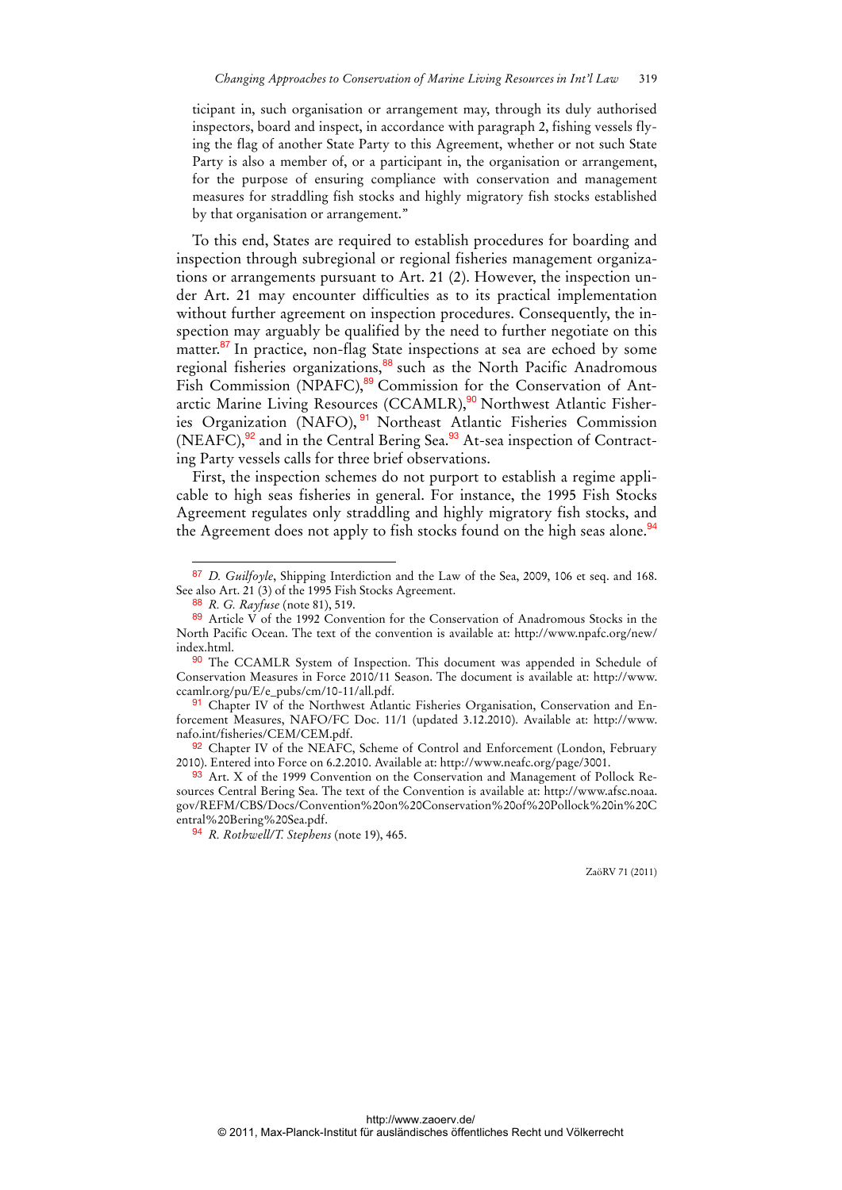ticipant in, such organisation or arrangement may, through its duly authorised inspectors, board and inspect, in accordance with paragraph 2, fishing vessels flying the flag of another State Party to this Agreement, whether or not such State Party is also a member of, or a participant in, the organisation or arrangement, for the purpose of ensuring compliance with conservation and management measures for straddling fish stocks and highly migratory fish stocks established by that organisation or arrangement."

To this end, States are required to establish procedures for boarding and inspection through subregional or regional fisheries management organizations or arrangements pursuant to Art. 21 (2). However, the inspection under Art. 21 may encounter difficulties as to its practical implementation without further agreement on inspection procedures. Consequently, the inspection may arguably be qualified by the need to further negotiate on this matter.<sup>87</sup> In practice, non-flag State inspections at sea are echoed by some regional fisheries organizations,<sup>88</sup> such as the North Pacific Anadromous Fish Commission (NPAFC),<sup>89</sup> Commission for the Conservation of Antarctic Marine Living Resources (CCAMLR),<sup>90</sup> Northwest Atlantic Fisheries Organization (NAFO), <sup>91</sup> Northeast Atlantic Fisheries Commission (NEAFC),<sup>92</sup> and in the Central Bering Sea.<sup>93</sup> At-sea inspection of Contracting Party vessels calls for three brief observations.

First, the inspection schemes do not purport to establish a regime applicable to high seas fisheries in general. For instance, the 1995 Fish Stocks Agreement regulates only straddling and highly migratory fish stocks, and the Agreement does not apply to fish stocks found on the high seas alone.<sup>94</sup>

 $\overline{a}$ 

91 Chapter IV of the Northwest Atlantic Fisheries Organisation, Conservation and Enforcement Measures, NAFO/FC Doc. 11/1 (updated 3.12.2010). Available at: http://www. nafo.int/fisheries/CEM/CEM.pdf.

92 Chapter IV of the NEAFC, Scheme of Control and Enforcement (London, February 2010). Entered into Force on 6.2.2010. Available at: http://www.neafc.org/page/3001.

93 Art. X of the 1999 Convention on the Conservation and Management of Pollock Resources Central Bering Sea. The text of the Convention is available at: http://www.afsc.noaa. gov/REFM/CBS/Docs/Convention%20on%20Conservation%20of%20Pollock%20in%20C entral%20Bering%20Sea.pdf.

94 *R. Rothwell/T. Stephens* (note 19), 465.

<sup>87</sup> *D. Guilfoyle*, Shipping Interdiction and the Law of the Sea, 2009, 106 et seq. and 168. See also Art. 21 (3) of the 1995 Fish Stocks Agreement.

<sup>88</sup> *R. G. Rayfuse* (note 81), 519.

<sup>89</sup> Article V of the 1992 Convention for the Conservation of Anadromous Stocks in the North Pacific Ocean. The text of the convention is available at: http://www.npafc.org/new/ index.html.

<sup>90</sup> The CCAMLR System of Inspection. This document was appended in Schedule of Conservation Measures in Force 2010/11 Season. The document is available at: http://www. ccamlr.org/pu/E/e\_pubs/cm/10-11/all.pdf.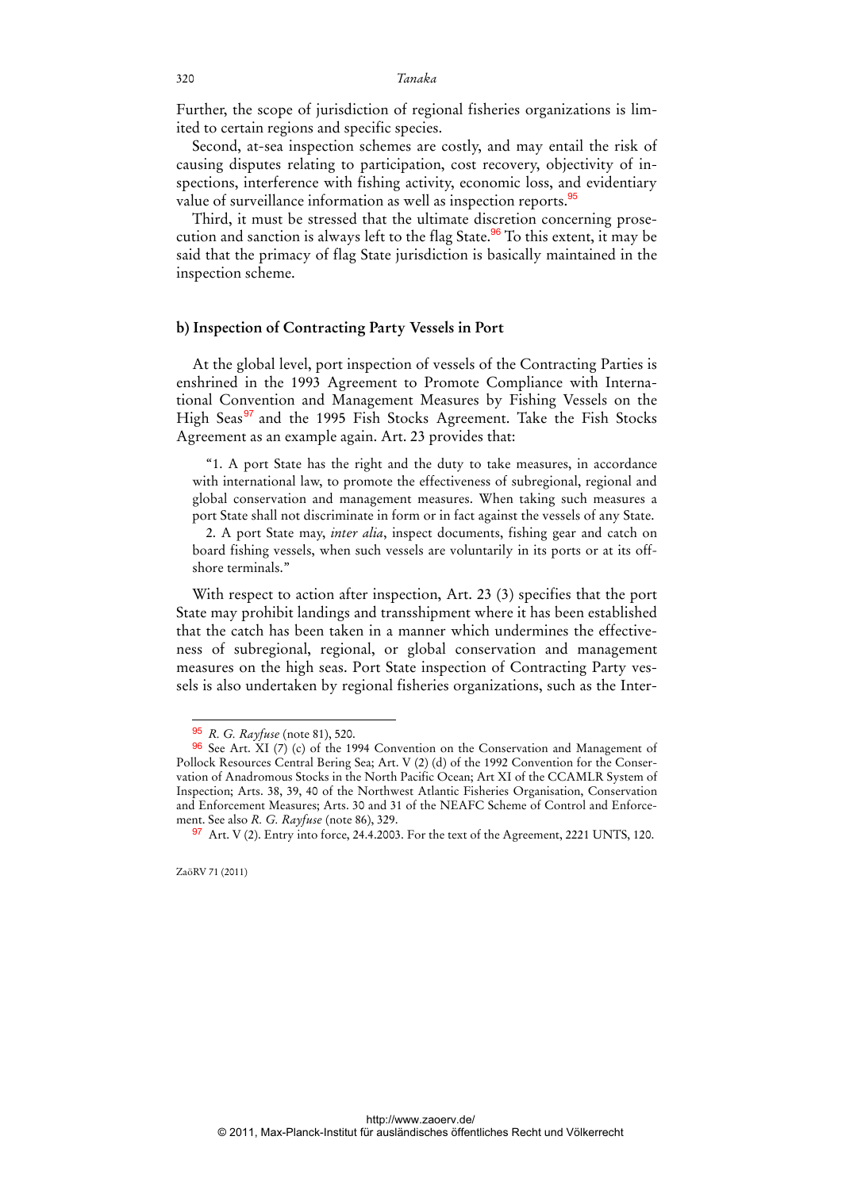Further, the scope of jurisdiction of regional fisheries organizations is limited to certain regions and specific species.

Second, at-sea inspection schemes are costly, and may entail the risk of causing disputes relating to participation, cost recovery, objectivity of inspections, interference with fishing activity, economic loss, and evidentiary value of surveillance information as well as inspection reports.<sup>95</sup>

Third, it must be stressed that the ultimate discretion concerning prosecution and sanction is always left to the flag State.<sup>96</sup> To this extent, it may be said that the primacy of flag State jurisdiction is basically maintained in the inspection scheme.

#### **b) Inspection of Contracting Party Vessels in Port**

At the global level, port inspection of vessels of the Contracting Parties is enshrined in the 1993 Agreement to Promote Compliance with International Convention and Management Measures by Fishing Vessels on the High Seas<sup>97</sup> and the 1995 Fish Stocks Agreement. Take the Fish Stocks Agreement as an example again. Art. 23 provides that:

"1. A port State has the right and the duty to take measures, in accordance with international law, to promote the effectiveness of subregional, regional and global conservation and management measures. When taking such measures a port State shall not discriminate in form or in fact against the vessels of any State.

2. A port State may, *inter alia*, inspect documents, fishing gear and catch on board fishing vessels, when such vessels are voluntarily in its ports or at its offshore terminals."

With respect to action after inspection, Art. 23 (3) specifies that the port State may prohibit landings and transshipment where it has been established that the catch has been taken in a manner which undermines the effectiveness of subregional, regional, or global conservation and management measures on the high seas. Port State inspection of Contracting Party vessels is also undertaken by regional fisheries organizations, such as the Inter-

<sup>95</sup> *R. G. Rayfuse* (note 81), 520.

<sup>96</sup> See Art. XI (7) (c) of the 1994 Convention on the Conservation and Management of Pollock Resources Central Bering Sea; Art. V (2) (d) of the 1992 Convention for the Conservation of Anadromous Stocks in the North Pacific Ocean; Art XI of the CCAMLR System of Inspection; Arts. 38, 39, 40 of the Northwest Atlantic Fisheries Organisation, Conservation and Enforcement Measures; Arts. 30 and 31 of the NEAFC Scheme of Control and Enforcement. See also *R. G. Rayfuse* (note 86), 329.

<sup>97</sup> Art. V (2). Entry into force, 24.4.2003. For the text of the Agreement, 2221 UNTS, 120.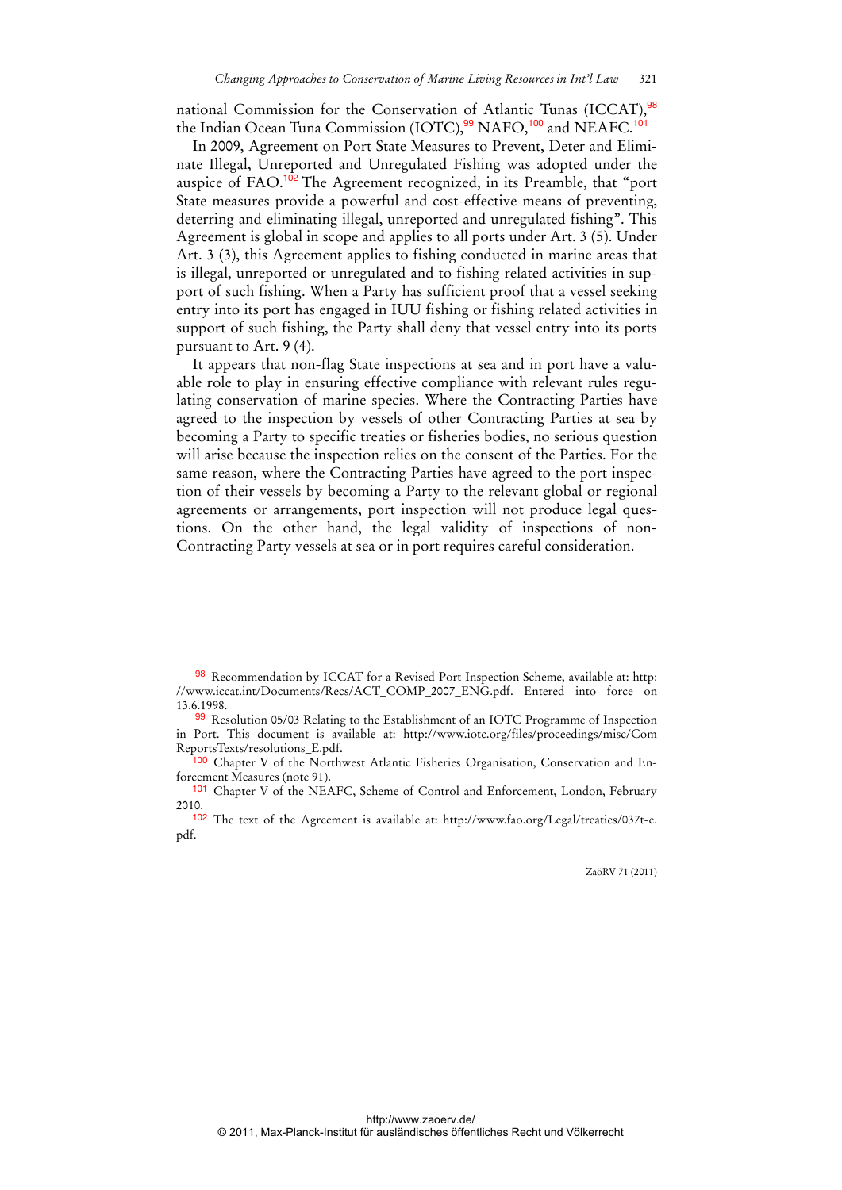national Commission for the Conservation of Atlantic Tunas (ICCAT),<sup>98</sup> the Indian Ocean Tuna Commission (IOTC),<sup>99</sup> NAFO,<sup>100</sup> and NEAFC.<sup>101</sup>

In 2009, Agreement on Port State Measures to Prevent, Deter and Eliminate Illegal, Unreported and Unregulated Fishing was adopted under the auspice of FAO.<sup>102</sup> The Agreement recognized, in its Preamble, that "port State measures provide a powerful and cost-effective means of preventing, deterring and eliminating illegal, unreported and unregulated fishing". This Agreement is global in scope and applies to all ports under Art. 3 (5). Under Art. 3 (3), this Agreement applies to fishing conducted in marine areas that is illegal, unreported or unregulated and to fishing related activities in support of such fishing. When a Party has sufficient proof that a vessel seeking entry into its port has engaged in IUU fishing or fishing related activities in support of such fishing, the Party shall deny that vessel entry into its ports pursuant to Art. 9 (4).

It appears that non-flag State inspections at sea and in port have a valuable role to play in ensuring effective compliance with relevant rules regulating conservation of marine species. Where the Contracting Parties have agreed to the inspection by vessels of other Contracting Parties at sea by becoming a Party to specific treaties or fisheries bodies, no serious question will arise because the inspection relies on the consent of the Parties. For the same reason, where the Contracting Parties have agreed to the port inspection of their vessels by becoming a Party to the relevant global or regional agreements or arrangements, port inspection will not produce legal questions. On the other hand, the legal validity of inspections of non-Contracting Party vessels at sea or in port requires careful consideration.

<sup>98</sup> Recommendation by ICCAT for a Revised Port Inspection Scheme, available at: http: //www.iccat.int/Documents/Recs/ACT\_COMP\_2007\_ENG.pdf. Entered into force on 13.6.1998.

<sup>99</sup> Resolution 05/03 Relating to the Establishment of an IOTC Programme of Inspection in Port. This document is available at: http://www.iotc.org/files/proceedings/misc/Com ReportsTexts/resolutions\_E.pdf.

<sup>&</sup>lt;sup>00</sup> Chapter V of the Northwest Atlantic Fisheries Organisation, Conservation and Enforcement Measures (note 91).

<sup>101</sup> Chapter V of the NEAFC, Scheme of Control and Enforcement, London, February 2010.

<sup>102</sup> The text of the Agreement is available at: http://www.fao.org/Legal/treaties/037t-e. pdf.

ZaöRV 71 (2011)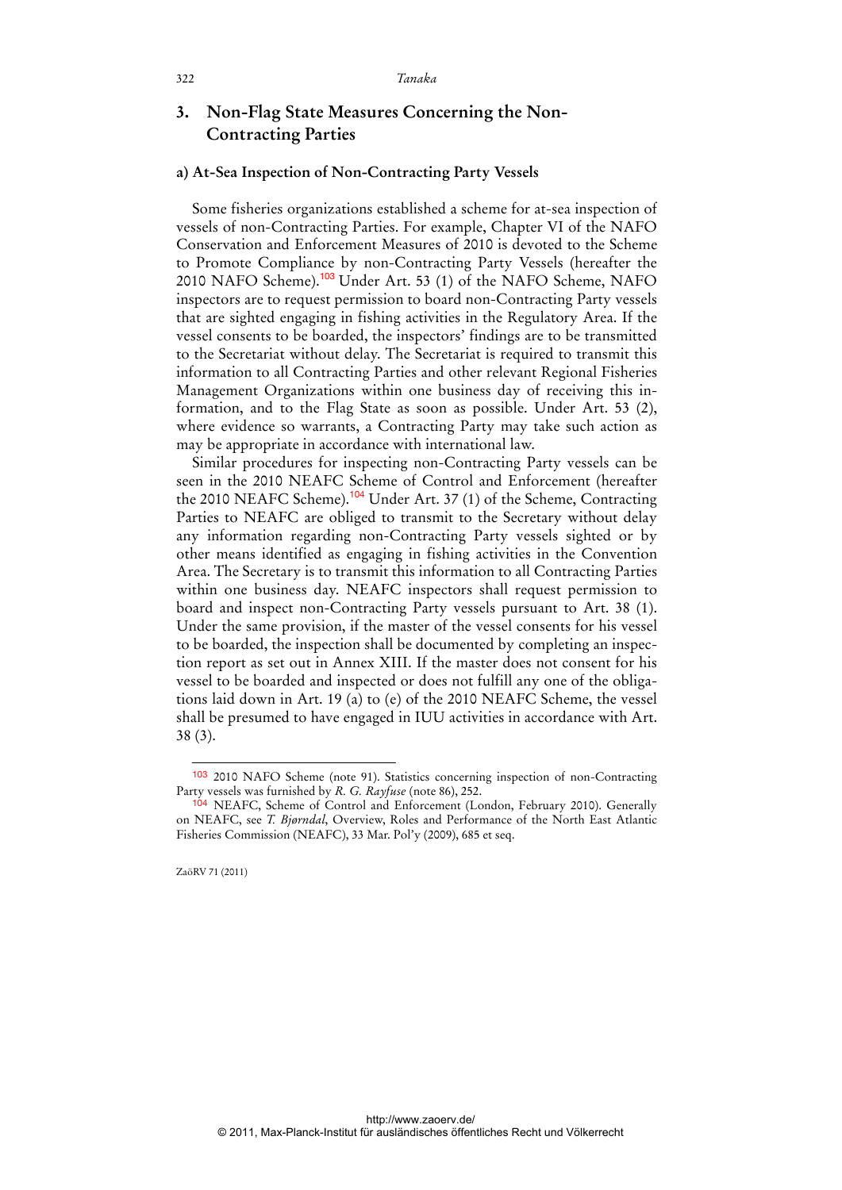## **3. Non-Flag State Measures Concerning the Non-Contracting Parties**

#### **a) At-Sea Inspection of Non-Contracting Party Vessels**

Some fisheries organizations established a scheme for at-sea inspection of vessels of non-Contracting Parties. For example, Chapter VI of the NAFO Conservation and Enforcement Measures of 2010 is devoted to the Scheme to Promote Compliance by non-Contracting Party Vessels (hereafter the 2010 NAFO Scheme).<sup>103</sup> Under Art. 53 (1) of the NAFO Scheme, NAFO inspectors are to request permission to board non-Contracting Party vessels that are sighted engaging in fishing activities in the Regulatory Area. If the vessel consents to be boarded, the inspectors' findings are to be transmitted to the Secretariat without delay. The Secretariat is required to transmit this information to all Contracting Parties and other relevant Regional Fisheries Management Organizations within one business day of receiving this information, and to the Flag State as soon as possible. Under Art. 53 (2), where evidence so warrants, a Contracting Party may take such action as may be appropriate in accordance with international law.

Similar procedures for inspecting non-Contracting Party vessels can be seen in the 2010 NEAFC Scheme of Control and Enforcement (hereafter the 2010 NEAFC Scheme).<sup>104</sup> Under Art. 37 (1) of the Scheme, Contracting Parties to NEAFC are obliged to transmit to the Secretary without delay any information regarding non-Contracting Party vessels sighted or by other means identified as engaging in fishing activities in the Convention Area. The Secretary is to transmit this information to all Contracting Parties within one business day. NEAFC inspectors shall request permission to board and inspect non-Contracting Party vessels pursuant to Art. 38 (1). Under the same provision, if the master of the vessel consents for his vessel to be boarded, the inspection shall be documented by completing an inspection report as set out in Annex XIII. If the master does not consent for his vessel to be boarded and inspected or does not fulfill any one of the obligations laid down in Art. 19 (a) to (e) of the 2010 NEAFC Scheme, the vessel shall be presumed to have engaged in IUU activities in accordance with Art. 38 (3).

ZaöRV 71 (2011)

<sup>103</sup> 2010 NAFO Scheme (note 91). Statistics concerning inspection of non-Contracting Party vessels was furnished by *R. G. Rayfuse* (note 86), 252.

<sup>104</sup> NEAFC, Scheme of Control and Enforcement (London, February 2010). Generally on NEAFC, see *T. Bjørndal*, Overview, Roles and Performance of the North East Atlantic Fisheries Commission (NEAFC), 33 Mar. Pol'y (2009), 685 et seq.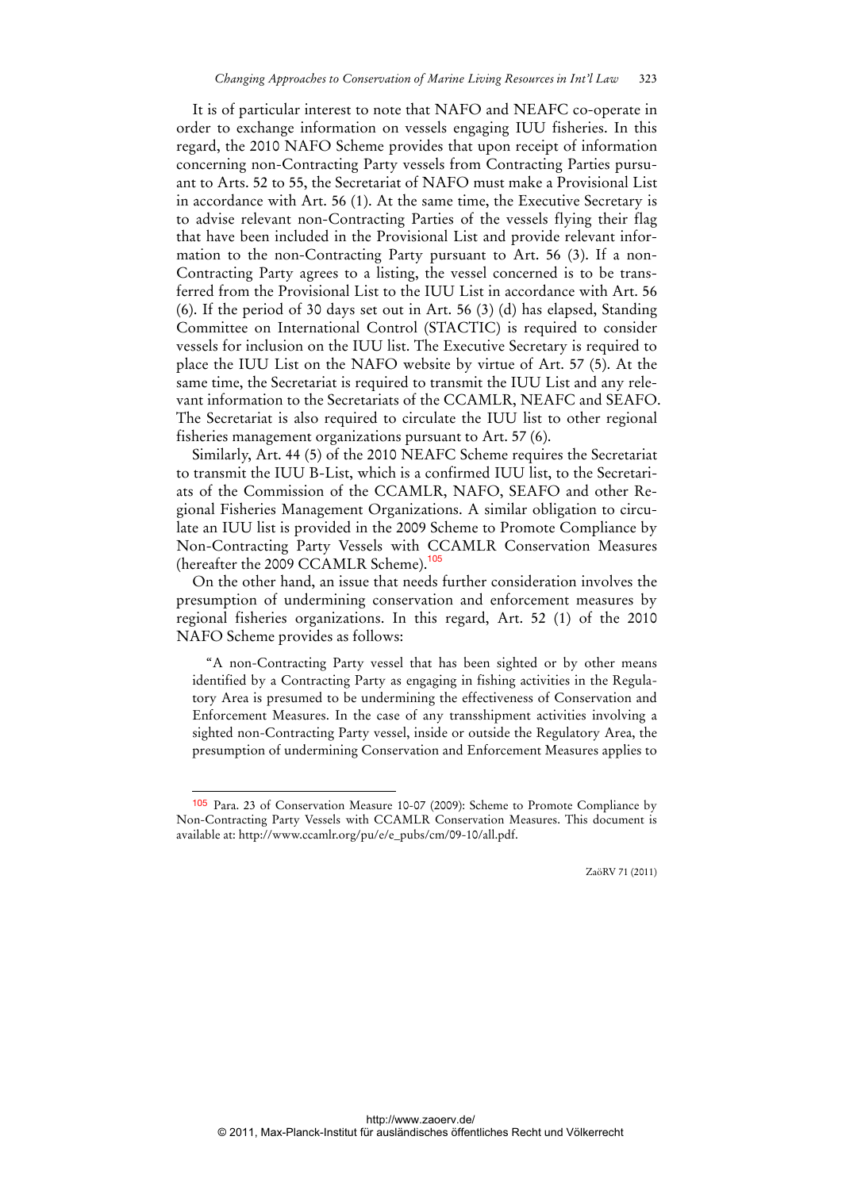It is of particular interest to note that NAFO and NEAFC co-operate in order to exchange information on vessels engaging IUU fisheries. In this regard, the 2010 NAFO Scheme provides that upon receipt of information concerning non-Contracting Party vessels from Contracting Parties pursuant to Arts. 52 to 55, the Secretariat of NAFO must make a Provisional List in accordance with Art. 56 (1). At the same time, the Executive Secretary is to advise relevant non-Contracting Parties of the vessels flying their flag that have been included in the Provisional List and provide relevant information to the non-Contracting Party pursuant to Art. 56 (3). If a non-Contracting Party agrees to a listing, the vessel concerned is to be transferred from the Provisional List to the IUU List in accordance with Art. 56 (6). If the period of 30 days set out in Art. 56 (3) (d) has elapsed, Standing Committee on International Control (STACTIC) is required to consider vessels for inclusion on the IUU list. The Executive Secretary is required to place the IUU List on the NAFO website by virtue of Art. 57 (5). At the same time, the Secretariat is required to transmit the IUU List and any relevant information to the Secretariats of the CCAMLR, NEAFC and SEAFO. The Secretariat is also required to circulate the IUU list to other regional fisheries management organizations pursuant to Art. 57 (6).

Similarly, Art. 44 (5) of the 2010 NEAFC Scheme requires the Secretariat to transmit the IUU B-List, which is a confirmed IUU list, to the Secretariats of the Commission of the CCAMLR, NAFO, SEAFO and other Regional Fisheries Management Organizations. A similar obligation to circulate an IUU list is provided in the 2009 Scheme to Promote Compliance by Non-Contracting Party Vessels with CCAMLR Conservation Measures (hereafter the 2009 CCAMLR Scheme).<sup>105</sup>

On the other hand, an issue that needs further consideration involves the presumption of undermining conservation and enforcement measures by regional fisheries organizations. In this regard, Art. 52 (1) of the 2010 NAFO Scheme provides as follows:

"A non-Contracting Party vessel that has been sighted or by other means identified by a Contracting Party as engaging in fishing activities in the Regulatory Area is presumed to be undermining the effectiveness of Conservation and Enforcement Measures. In the case of any transshipment activities involving a sighted non-Contracting Party vessel, inside or outside the Regulatory Area, the presumption of undermining Conservation and Enforcement Measures applies to

 $\overline{a}$ 

<sup>105</sup> Para. 23 of Conservation Measure 10-07 (2009): Scheme to Promote Compliance by Non-Contracting Party Vessels with CCAMLR Conservation Measures. This document is available at: http://www.ccamlr.org/pu/e/e\_pubs/cm/09-10/all.pdf.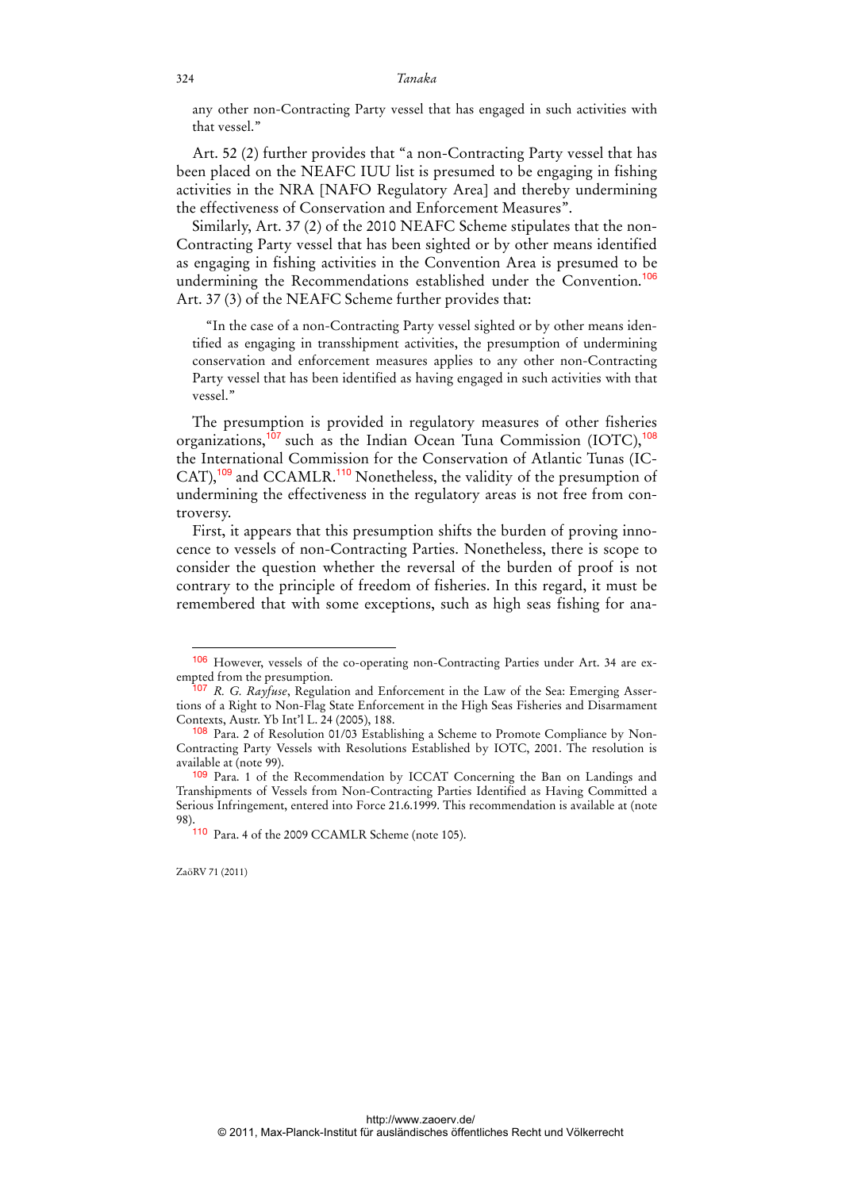any other non-Contracting Party vessel that has engaged in such activities with that vessel."

Art. 52 (2) further provides that "a non-Contracting Party vessel that has been placed on the NEAFC IUU list is presumed to be engaging in fishing activities in the NRA [NAFO Regulatory Area] and thereby undermining the effectiveness of Conservation and Enforcement Measures".

Similarly, Art. 37 (2) of the 2010 NEAFC Scheme stipulates that the non-Contracting Party vessel that has been sighted or by other means identified as engaging in fishing activities in the Convention Area is presumed to be undermining the Recommendations established under the Convention.<sup>106</sup> Art. 37 (3) of the NEAFC Scheme further provides that:

"In the case of a non-Contracting Party vessel sighted or by other means identified as engaging in transshipment activities, the presumption of undermining conservation and enforcement measures applies to any other non-Contracting Party vessel that has been identified as having engaged in such activities with that vessel."

The presumption is provided in regulatory measures of other fisheries organizations,<sup>107</sup> such as the Indian Ocean Tuna Commission (IOTC),<sup>108</sup> the International Commission for the Conservation of Atlantic Tunas (IC-CAT),<sup>109</sup> and CCAMLR.<sup>110</sup> Nonetheless, the validity of the presumption of undermining the effectiveness in the regulatory areas is not free from controversy.

First, it appears that this presumption shifts the burden of proving innocence to vessels of non-Contracting Parties. Nonetheless, there is scope to consider the question whether the reversal of the burden of proof is not contrary to the principle of freedom of fisheries. In this regard, it must be remembered that with some exceptions, such as high seas fishing for ana-

<sup>106</sup> However, vessels of the co-operating non-Contracting Parties under Art. 34 are exempted from the presumption.

<sup>107</sup> *R. G. Rayfuse*, Regulation and Enforcement in the Law of the Sea: Emerging Assertions of a Right to Non-Flag State Enforcement in the High Seas Fisheries and Disarmament Contexts, Austr. Yb Int'l L. 24 (2005), 188.

<sup>108</sup> Para. 2 of Resolution 01/03 Establishing a Scheme to Promote Compliance by Non-Contracting Party Vessels with Resolutions Established by IOTC, 2001. The resolution is available at (note 99).

<sup>109</sup> Para. 1 of the Recommendation by ICCAT Concerning the Ban on Landings and Transhipments of Vessels from Non-Contracting Parties Identified as Having Committed a Serious Infringement, entered into Force 21.6.1999. This recommendation is available at (note 98).

<sup>110</sup> Para. 4 of the 2009 CCAMLR Scheme (note 105).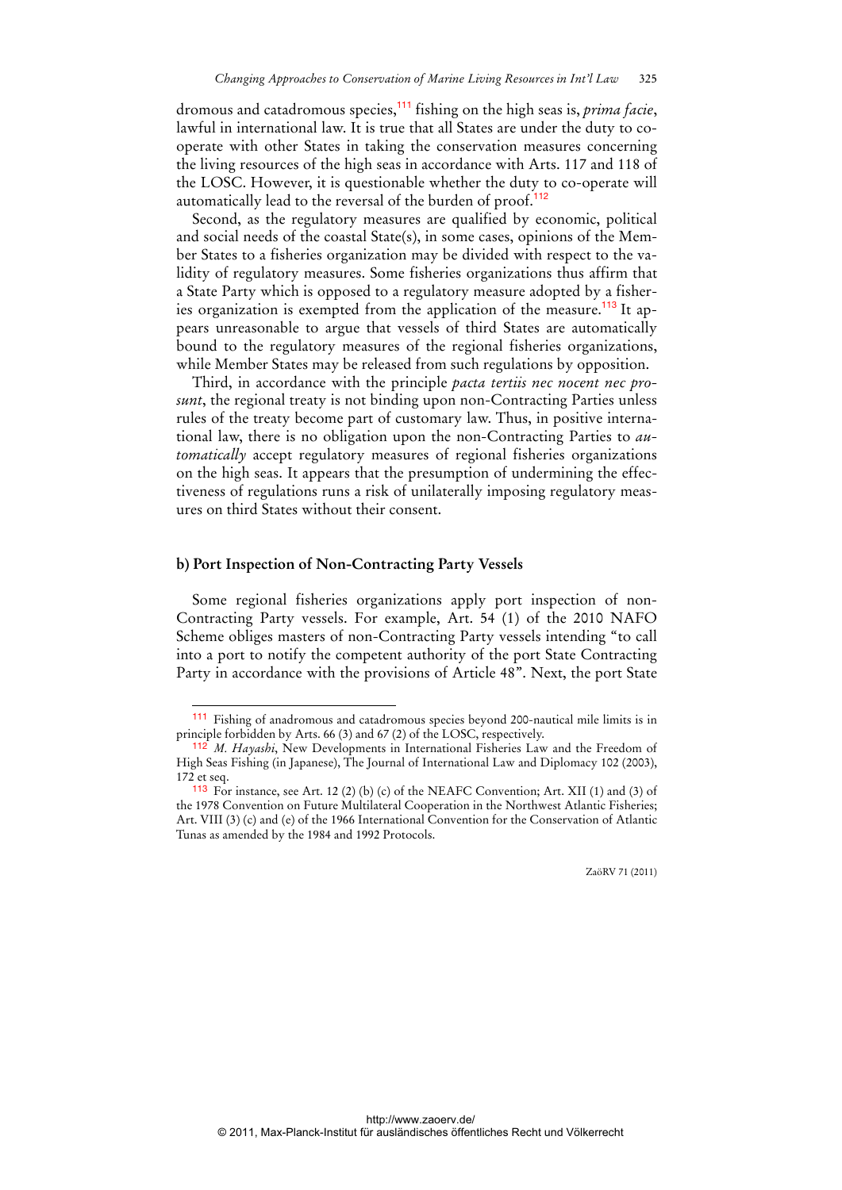dromous and catadromous species,<sup>111</sup> fishing on the high seas is, *prima facie*, lawful in international law. It is true that all States are under the duty to cooperate with other States in taking the conservation measures concerning the living resources of the high seas in accordance with Arts. 117 and 118 of the LOSC. However, it is questionable whether the duty to co-operate will automatically lead to the reversal of the burden of proof.<sup>112</sup>

Second, as the regulatory measures are qualified by economic, political and social needs of the coastal State(s), in some cases, opinions of the Member States to a fisheries organization may be divided with respect to the validity of regulatory measures. Some fisheries organizations thus affirm that a State Party which is opposed to a regulatory measure adopted by a fisheries organization is exempted from the application of the measure.<sup>113</sup> It appears unreasonable to argue that vessels of third States are automatically bound to the regulatory measures of the regional fisheries organizations, while Member States may be released from such regulations by opposition.

Third, in accordance with the principle *pacta tertiis nec nocent nec prosunt*, the regional treaty is not binding upon non-Contracting Parties unless rules of the treaty become part of customary law. Thus, in positive international law, there is no obligation upon the non-Contracting Parties to *automatically* accept regulatory measures of regional fisheries organizations on the high seas. It appears that the presumption of undermining the effectiveness of regulations runs a risk of unilaterally imposing regulatory measures on third States without their consent.

#### **b) Port Inspection of Non-Contracting Party Vessels**

 $\ddot{ }$ 

Some regional fisheries organizations apply port inspection of non-Contracting Party vessels. For example, Art. 54 (1) of the 2010 NAFO Scheme obliges masters of non-Contracting Party vessels intending "to call into a port to notify the competent authority of the port State Contracting Party in accordance with the provisions of Article 48". Next, the port State

<sup>111</sup> Fishing of anadromous and catadromous species beyond 200-nautical mile limits is in principle forbidden by Arts. 66 (3) and 67 (2) of the LOSC, respectively.

<sup>112</sup> *M. Hayashi*, New Developments in International Fisheries Law and the Freedom of High Seas Fishing (in Japanese), The Journal of International Law and Diplomacy 102 (2003), 172 et seq.

<sup>113</sup> For instance, see Art. 12 (2) (b) (c) of the NEAFC Convention; Art. XII (1) and (3) of the 1978 Convention on Future Multilateral Cooperation in the Northwest Atlantic Fisheries; Art. VIII (3) (c) and (e) of the 1966 International Convention for the Conservation of Atlantic Tunas as amended by the 1984 and 1992 Protocols.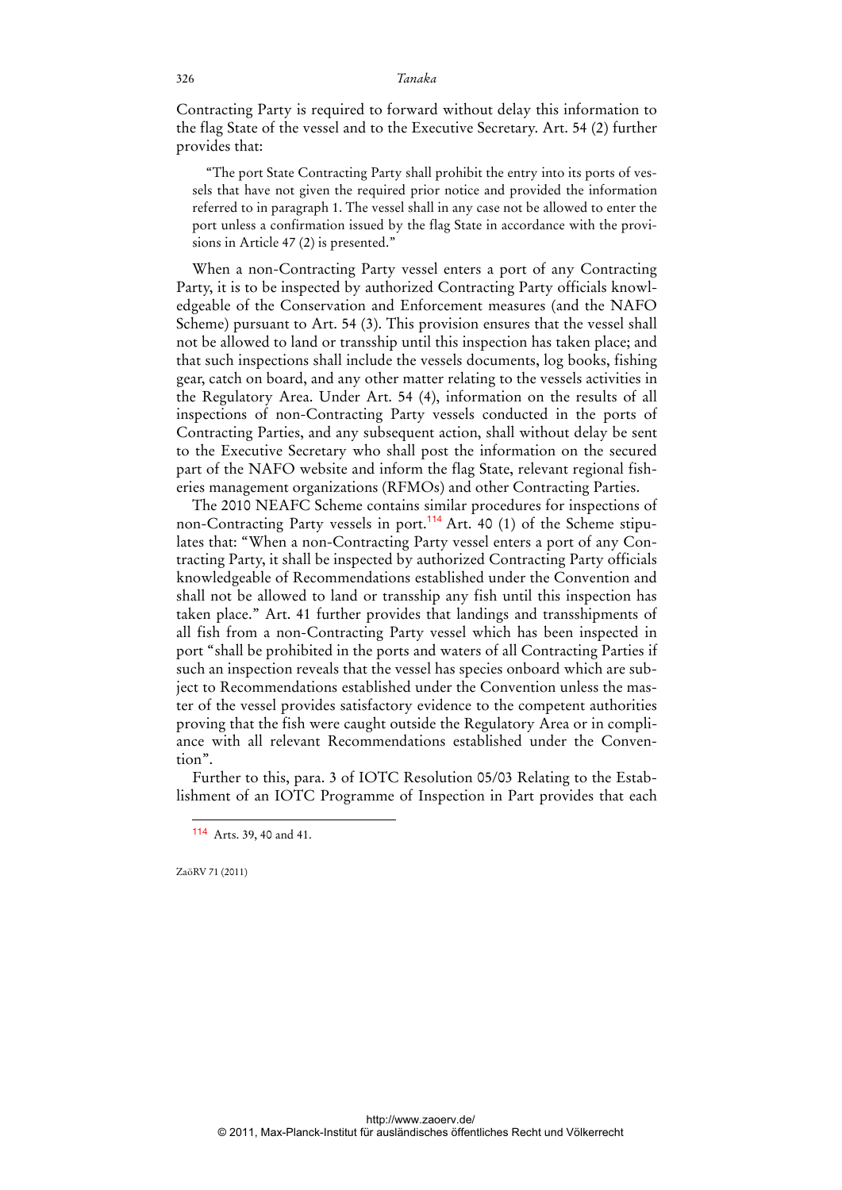Contracting Party is required to forward without delay this information to the flag State of the vessel and to the Executive Secretary. Art. 54 (2) further provides that:

"The port State Contracting Party shall prohibit the entry into its ports of vessels that have not given the required prior notice and provided the information referred to in paragraph 1. The vessel shall in any case not be allowed to enter the port unless a confirmation issued by the flag State in accordance with the provisions in Article 47 (2) is presented."

When a non-Contracting Party vessel enters a port of any Contracting Party, it is to be inspected by authorized Contracting Party officials knowledgeable of the Conservation and Enforcement measures (and the NAFO Scheme) pursuant to Art. 54 (3). This provision ensures that the vessel shall not be allowed to land or transship until this inspection has taken place; and that such inspections shall include the vessels documents, log books, fishing gear, catch on board, and any other matter relating to the vessels activities in the Regulatory Area. Under Art. 54 (4), information on the results of all inspections of non-Contracting Party vessels conducted in the ports of Contracting Parties, and any subsequent action, shall without delay be sent to the Executive Secretary who shall post the information on the secured part of the NAFO website and inform the flag State, relevant regional fisheries management organizations (RFMOs) and other Contracting Parties.

The 2010 NEAFC Scheme contains similar procedures for inspections of non-Contracting Party vessels in port.<sup>114</sup> Art. 40 (1) of the Scheme stipulates that: "When a non-Contracting Party vessel enters a port of any Contracting Party, it shall be inspected by authorized Contracting Party officials knowledgeable of Recommendations established under the Convention and shall not be allowed to land or transship any fish until this inspection has taken place." Art. 41 further provides that landings and transshipments of all fish from a non-Contracting Party vessel which has been inspected in port "shall be prohibited in the ports and waters of all Contracting Parties if such an inspection reveals that the vessel has species onboard which are subject to Recommendations established under the Convention unless the master of the vessel provides satisfactory evidence to the competent authorities proving that the fish were caught outside the Regulatory Area or in compliance with all relevant Recommendations established under the Convention".

Further to this, para. 3 of IOTC Resolution 05/03 Relating to the Establishment of an IOTC Programme of Inspection in Part provides that each

ZaöRV 71 (2011)

<sup>114</sup> Arts. 39, 40 and 41.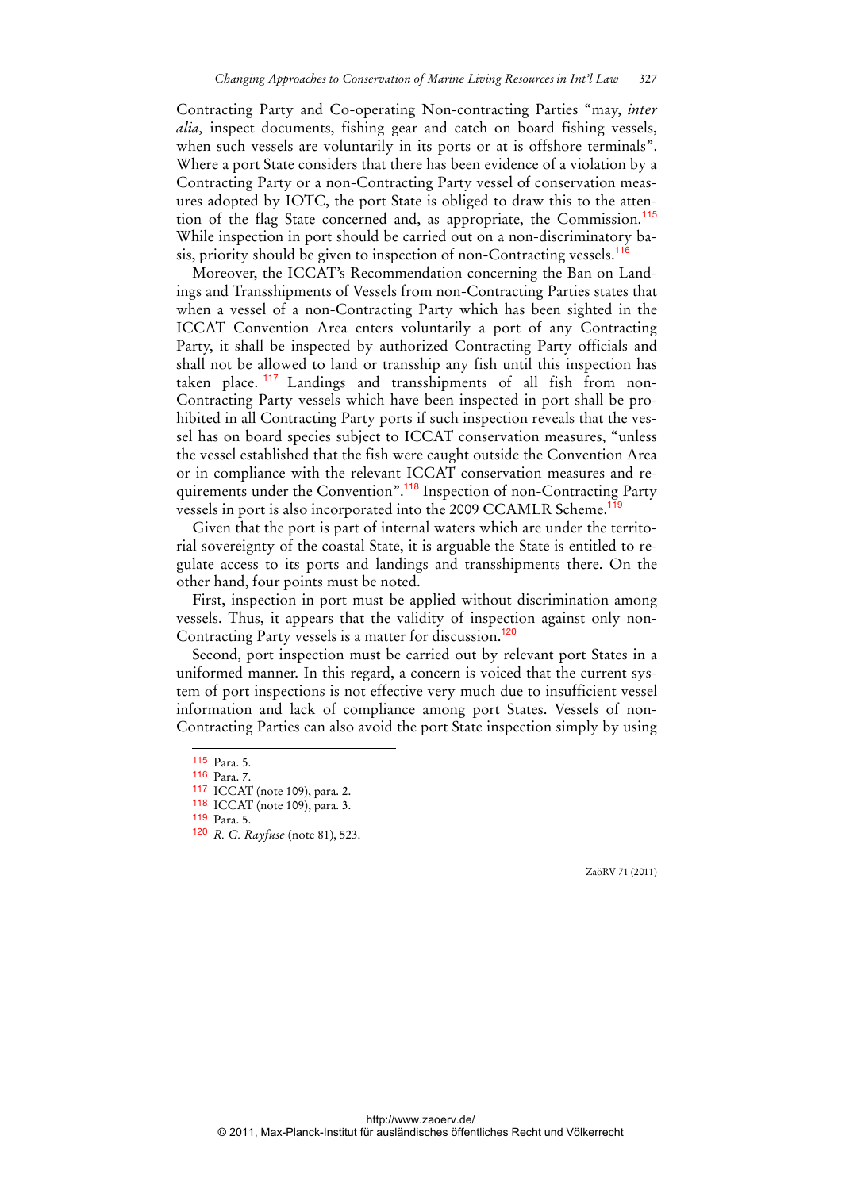Contracting Party and Co-operating Non-contracting Parties "may, *inter alia,* inspect documents, fishing gear and catch on board fishing vessels, when such vessels are voluntarily in its ports or at is offshore terminals". Where a port State considers that there has been evidence of a violation by a Contracting Party or a non-Contracting Party vessel of conservation measures adopted by IOTC, the port State is obliged to draw this to the attention of the flag State concerned and, as appropriate, the Commission.<sup>115</sup> While inspection in port should be carried out on a non-discriminatory basis, priority should be given to inspection of non-Contracting vessels.<sup>116</sup>

Moreover, the ICCAT's Recommendation concerning the Ban on Landings and Transshipments of Vessels from non-Contracting Parties states that when a vessel of a non-Contracting Party which has been sighted in the ICCAT Convention Area enters voluntarily a port of any Contracting Party, it shall be inspected by authorized Contracting Party officials and shall not be allowed to land or transship any fish until this inspection has taken place.<sup>117</sup> Landings and transshipments of all fish from non-Contracting Party vessels which have been inspected in port shall be prohibited in all Contracting Party ports if such inspection reveals that the vessel has on board species subject to ICCAT conservation measures, "unless the vessel established that the fish were caught outside the Convention Area or in compliance with the relevant ICCAT conservation measures and requirements under the Convention".<sup>118</sup> Inspection of non-Contracting Party vessels in port is also incorporated into the 2009 CCAMLR Scheme.<sup>1</sup>

Given that the port is part of internal waters which are under the territorial sovereignty of the coastal State, it is arguable the State is entitled to regulate access to its ports and landings and transshipments there. On the other hand, four points must be noted.

First, inspection in port must be applied without discrimination among vessels. Thus, it appears that the validity of inspection against only non-Contracting Party vessels is a matter for discussion.<sup>120</sup>

Second, port inspection must be carried out by relevant port States in a uniformed manner. In this regard, a concern is voiced that the current system of port inspections is not effective very much due to insufficient vessel information and lack of compliance among port States. Vessels of non-Contracting Parties can also avoid the port State inspection simply by using

 $\ddot{ }$ 

<sup>115</sup> Para. 5.

<sup>116</sup> Para. 7.

<sup>117</sup> ICCAT (note 109), para. 2.

<sup>118</sup> ICCAT (note 109), para. 3.

<sup>119</sup> Para. 5.

<sup>120</sup> *R. G. Rayfuse* (note 81), 523.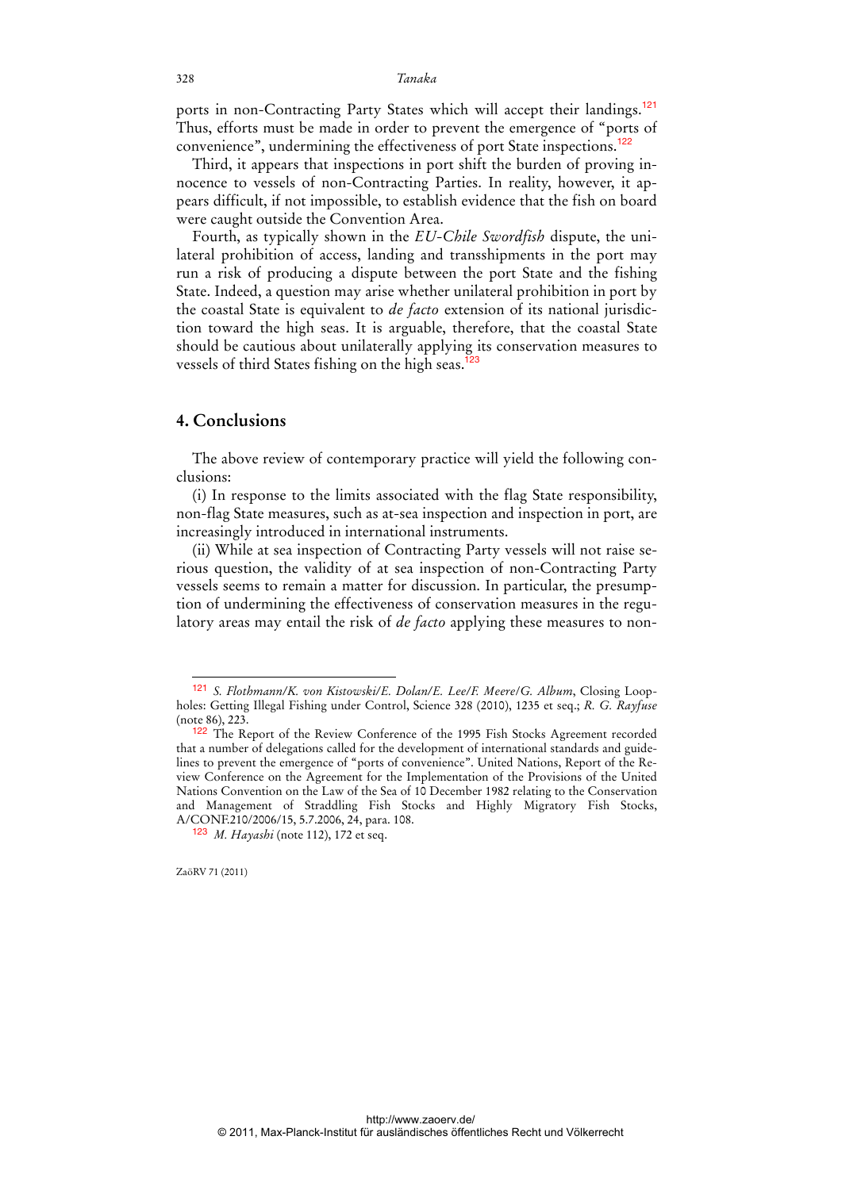ports in non-Contracting Party States which will accept their landings.<sup>121</sup> Thus, efforts must be made in order to prevent the emergence of "ports of convenience", undermining the effectiveness of port State inspections.<sup>122</sup>

Third, it appears that inspections in port shift the burden of proving innocence to vessels of non-Contracting Parties. In reality, however, it appears difficult, if not impossible, to establish evidence that the fish on board were caught outside the Convention Area.

Fourth, as typically shown in the *EU-Chile Swordfish* dispute, the unilateral prohibition of access, landing and transshipments in the port may run a risk of producing a dispute between the port State and the fishing State. Indeed, a question may arise whether unilateral prohibition in port by the coastal State is equivalent to *de facto* extension of its national jurisdiction toward the high seas. It is arguable, therefore, that the coastal State should be cautious about unilaterally applying its conservation measures to vessels of third States fishing on the high seas.<sup>123</sup>

### **4. Conclusions**

The above review of contemporary practice will yield the following conclusions:

(i) In response to the limits associated with the flag State responsibility, non-flag State measures, such as at-sea inspection and inspection in port, are increasingly introduced in international instruments.

(ii) While at sea inspection of Contracting Party vessels will not raise serious question, the validity of at sea inspection of non-Contracting Party vessels seems to remain a matter for discussion. In particular, the presumption of undermining the effectiveness of conservation measures in the regulatory areas may entail the risk of *de facto* applying these measures to non-

ZaöRV 71 (2011)

<sup>121</sup> *S. Flothmann/K. von Kistowski/E. Dolan/E. Lee/F. Meere*/*G. Album*, Closing Loopholes: Getting Illegal Fishing under Control, Science 328 (2010), 1235 et seq.; *R. G. Rayfuse* (note 86), 223.

<sup>&</sup>lt;sup>122</sup> The Report of the Review Conference of the 1995 Fish Stocks Agreement recorded that a number of delegations called for the development of international standards and guidelines to prevent the emergence of "ports of convenience". United Nations, Report of the Review Conference on the Agreement for the Implementation of the Provisions of the United Nations Convention on the Law of the Sea of 10 December 1982 relating to the Conservation and Management of Straddling Fish Stocks and Highly Migratory Fish Stocks, A/CONF.210/2006/15, 5.7.2006, 24, para. 108.

<sup>123</sup> *M. Hayashi* (note 112), 172 et seq.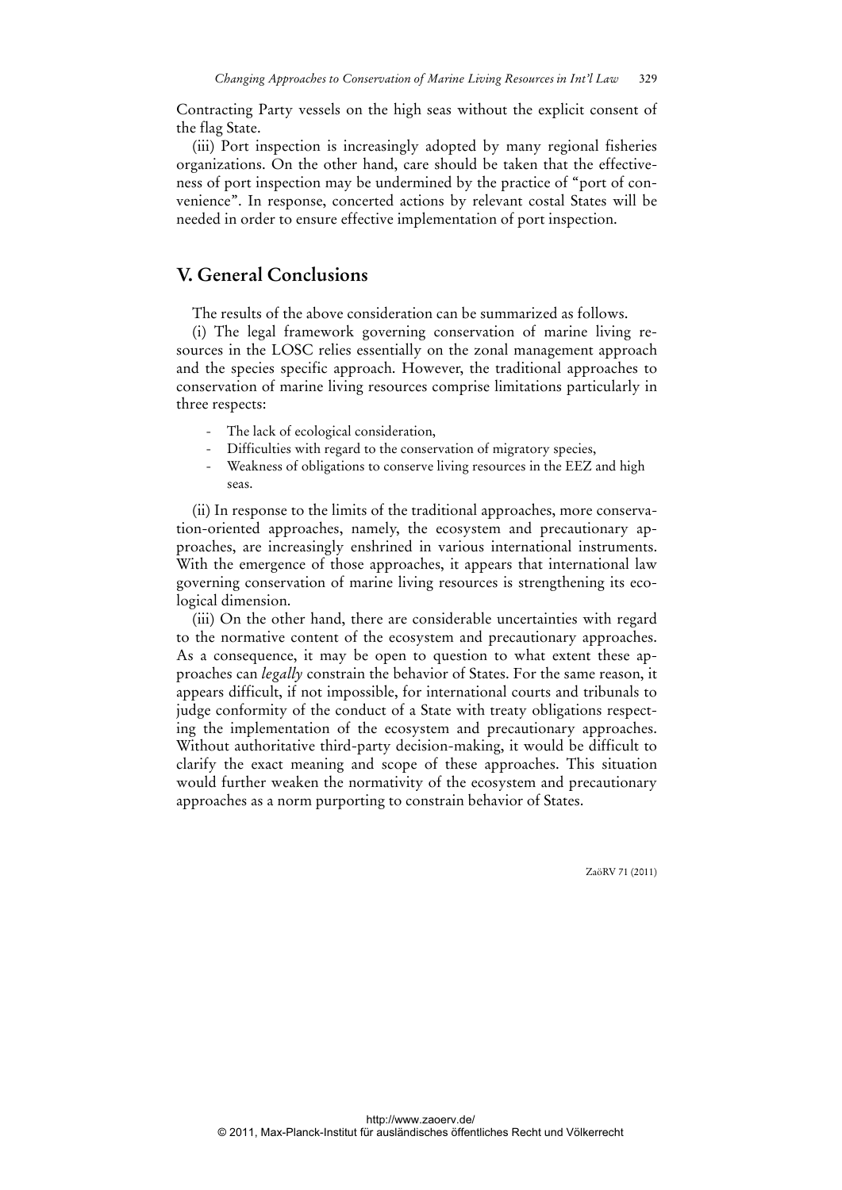Contracting Party vessels on the high seas without the explicit consent of the flag State.

(iii) Port inspection is increasingly adopted by many regional fisheries organizations. On the other hand, care should be taken that the effectiveness of port inspection may be undermined by the practice of "port of convenience". In response, concerted actions by relevant costal States will be needed in order to ensure effective implementation of port inspection.

## **V. General Conclusions**

The results of the above consideration can be summarized as follows.

(i) The legal framework governing conservation of marine living resources in the LOSC relies essentially on the zonal management approach and the species specific approach. However, the traditional approaches to conservation of marine living resources comprise limitations particularly in three respects:

- The lack of ecological consideration,
- Difficulties with regard to the conservation of migratory species,
- Weakness of obligations to conserve living resources in the EEZ and high seas.

(ii) In response to the limits of the traditional approaches, more conservation-oriented approaches, namely, the ecosystem and precautionary approaches, are increasingly enshrined in various international instruments. With the emergence of those approaches, it appears that international law governing conservation of marine living resources is strengthening its ecological dimension.

(iii) On the other hand, there are considerable uncertainties with regard to the normative content of the ecosystem and precautionary approaches. As a consequence, it may be open to question to what extent these approaches can *legally* constrain the behavior of States. For the same reason, it appears difficult, if not impossible, for international courts and tribunals to judge conformity of the conduct of a State with treaty obligations respecting the implementation of the ecosystem and precautionary approaches. Without authoritative third-party decision-making, it would be difficult to clarify the exact meaning and scope of these approaches. This situation would further weaken the normativity of the ecosystem and precautionary approaches as a norm purporting to constrain behavior of States.